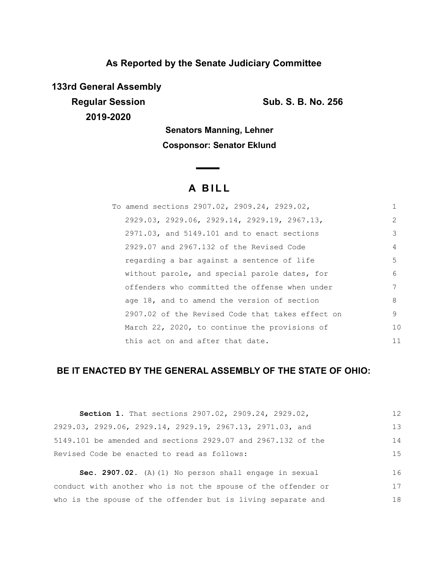# **As Reported by the Senate Judiciary Committee**

**133rd General Assembly Regular Session Sub. S. B. No. 256 2019-2020**

**Senators Manning, Lehner Cosponsor: Senator Eklund**

# **A B I L L**

<u> The Common State State Sta</u>te

| To amend sections 2907.02, 2909.24, 2929.02,     | $\mathbf{1}$  |
|--------------------------------------------------|---------------|
| 2929.03, 2929.06, 2929.14, 2929.19, 2967.13,     | $\mathcal{L}$ |
| $2971.03$ , and $5149.101$ and to enact sections | 3             |
| 2929.07 and 2967.132 of the Revised Code         | 4             |
| regarding a bar against a sentence of life       | .5            |
| without parole, and special parole dates, for    | 6             |
| offenders who committed the offense when under   | 7             |
| age 18, and to amend the version of section      | 8             |
| 2907.02 of the Revised Code that takes effect on | 9             |
| March 22, 2020, to continue the provisions of    | 10            |
| this act on and after that date.                 | 11            |

# **BE IT ENACTED BY THE GENERAL ASSEMBLY OF THE STATE OF OHIO:**

| <b>Section 1.</b> That sections 2907.02, 2909.24, 2929.02,    | 12 |
|---------------------------------------------------------------|----|
| 2929.03, 2929.06, 2929.14, 2929.19, 2967.13, 2971.03, and     | 13 |
| 5149.101 be amended and sections 2929.07 and 2967.132 of the  | 14 |
| Revised Code be enacted to read as follows:                   | 15 |
| <b>Sec. 2907.02.</b> (A) (1) No person shall engage in sexual | 16 |
| conduct with another who is not the spouse of the offender or | 17 |
| who is the spouse of the offender but is living separate and  | 18 |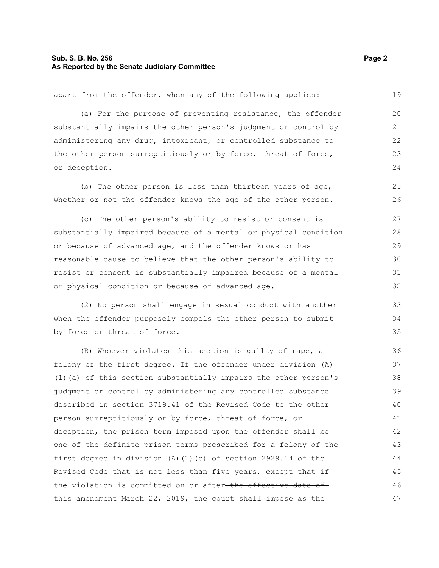#### **Sub. S. B. No. 256 Page 2 As Reported by the Senate Judiciary Committee**

apart from the offender, when any of the following applies: (a) For the purpose of preventing resistance, the offender substantially impairs the other person's judgment or control by administering any drug, intoxicant, or controlled substance to the other person surreptitiously or by force, threat of force, or deception. (b) The other person is less than thirteen years of age, whether or not the offender knows the age of the other person. (c) The other person's ability to resist or consent is substantially impaired because of a mental or physical condition or because of advanced age, and the offender knows or has reasonable cause to believe that the other person's ability to resist or consent is substantially impaired because of a mental or physical condition or because of advanced age. (2) No person shall engage in sexual conduct with another when the offender purposely compels the other person to submit by force or threat of force. (B) Whoever violates this section is guilty of rape, a felony of the first degree. If the offender under division (A) (1)(a) of this section substantially impairs the other person's judgment or control by administering any controlled substance described in section 3719.41 of the Revised Code to the other person surreptitiously or by force, threat of force, or deception, the prison term imposed upon the offender shall be one of the definite prison terms prescribed for a felony of the first degree in division  $(A)$  (1)(b) of section 2929.14 of the 19 20 21 22 23 24 25 26 27 28 29 30 31 32 33 34 35 36 37 38 39 40 41 42 43 44

Revised Code that is not less than five years, except that if the violation is committed on or after-the effective date of this amendment March 22, 2019, the court shall impose as the 45 46 47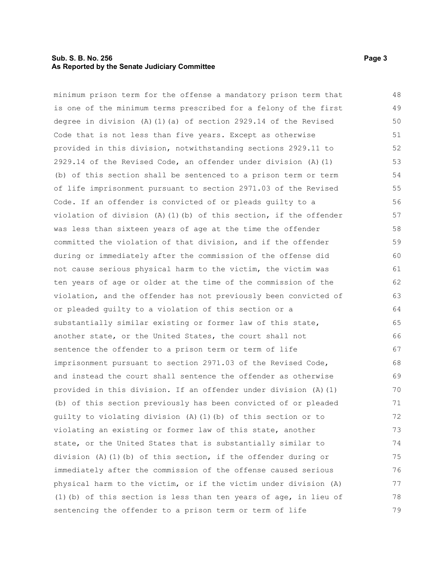#### **Sub. S. B. No. 256 Page 3 As Reported by the Senate Judiciary Committee**

minimum prison term for the offense a mandatory prison term that is one of the minimum terms prescribed for a felony of the first degree in division (A)(1)(a) of section 2929.14 of the Revised Code that is not less than five years. Except as otherwise provided in this division, notwithstanding sections 2929.11 to 2929.14 of the Revised Code, an offender under division (A)(1) (b) of this section shall be sentenced to a prison term or term of life imprisonment pursuant to section 2971.03 of the Revised Code. If an offender is convicted of or pleads guilty to a violation of division  $(A)$   $(1)$   $(b)$  of this section, if the offender was less than sixteen years of age at the time the offender committed the violation of that division, and if the offender during or immediately after the commission of the offense did not cause serious physical harm to the victim, the victim was ten years of age or older at the time of the commission of the violation, and the offender has not previously been convicted of or pleaded guilty to a violation of this section or a substantially similar existing or former law of this state, another state, or the United States, the court shall not sentence the offender to a prison term or term of life imprisonment pursuant to section 2971.03 of the Revised Code, and instead the court shall sentence the offender as otherwise provided in this division. If an offender under division (A)(1) (b) of this section previously has been convicted of or pleaded guilty to violating division (A)(1)(b) of this section or to violating an existing or former law of this state, another state, or the United States that is substantially similar to division (A)(1)(b) of this section, if the offender during or immediately after the commission of the offense caused serious physical harm to the victim, or if the victim under division (A) (1)(b) of this section is less than ten years of age, in lieu of sentencing the offender to a prison term or term of life 48 49 50 51 52 53 54 55 56 57 58 59 60 61 62 63 64 65 66 67 68 69 70 71 72 73 74 75 76 77 78 79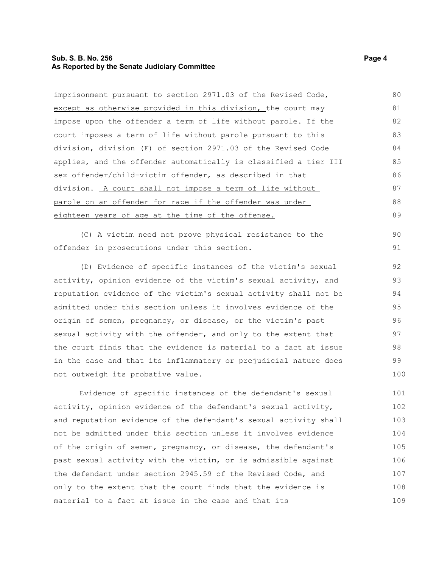#### **Sub. S. B. No. 256 Page 4 As Reported by the Senate Judiciary Committee**

imprisonment pursuant to section 2971.03 of the Revised Code, except as otherwise provided in this division, the court may impose upon the offender a term of life without parole. If the court imposes a term of life without parole pursuant to this division, division (F) of section 2971.03 of the Revised Code applies, and the offender automatically is classified a tier III sex offender/child-victim offender, as described in that division. A court shall not impose a term of life without parole on an offender for rape if the offender was under eighteen years of age at the time of the offense. 80 81 82 83 84 85 86 87 88 89

(C) A victim need not prove physical resistance to the offender in prosecutions under this section.

(D) Evidence of specific instances of the victim's sexual activity, opinion evidence of the victim's sexual activity, and reputation evidence of the victim's sexual activity shall not be admitted under this section unless it involves evidence of the origin of semen, pregnancy, or disease, or the victim's past sexual activity with the offender, and only to the extent that the court finds that the evidence is material to a fact at issue in the case and that its inflammatory or prejudicial nature does not outweigh its probative value.

Evidence of specific instances of the defendant's sexual activity, opinion evidence of the defendant's sexual activity, and reputation evidence of the defendant's sexual activity shall not be admitted under this section unless it involves evidence of the origin of semen, pregnancy, or disease, the defendant's past sexual activity with the victim, or is admissible against the defendant under section 2945.59 of the Revised Code, and only to the extent that the court finds that the evidence is material to a fact at issue in the case and that its 101 102 103 104 105 106 107 108 109

90 91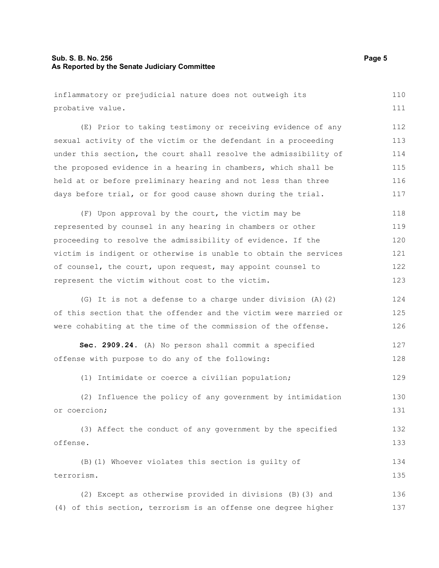# **Sub. S. B. No. 256 Page 5 As Reported by the Senate Judiciary Committee**

| inflammatory or prejudicial nature does not outweigh its         | 110 |
|------------------------------------------------------------------|-----|
| probative value.                                                 | 111 |
| (E) Prior to taking testimony or receiving evidence of any       | 112 |
| sexual activity of the victim or the defendant in a proceeding   | 113 |
| under this section, the court shall resolve the admissibility of | 114 |
| the proposed evidence in a hearing in chambers, which shall be   | 115 |
| held at or before preliminary hearing and not less than three    | 116 |
| days before trial, or for good cause shown during the trial.     | 117 |
| (F) Upon approval by the court, the victim may be                | 118 |
| represented by counsel in any hearing in chambers or other       | 119 |
| proceeding to resolve the admissibility of evidence. If the      | 120 |
| victim is indigent or otherwise is unable to obtain the services | 121 |
| of counsel, the court, upon request, may appoint counsel to      | 122 |
| represent the victim without cost to the victim.                 | 123 |
| (G) It is not a defense to a charge under division (A) (2)       | 124 |
| of this section that the offender and the victim were married or | 125 |
| were cohabiting at the time of the commission of the offense.    | 126 |
| Sec. 2909.24. (A) No person shall commit a specified             | 127 |
| offense with purpose to do any of the following:                 | 128 |
| (1) Intimidate or coerce a civilian population;                  | 129 |
| (2) Influence the policy of any government by intimidation       | 130 |
| or coercion;                                                     | 131 |
| (3) Affect the conduct of any government by the specified        | 132 |
| offense.                                                         | 133 |
| (B) (1) Whoever violates this section is guilty of               | 134 |
| terrorism.                                                       | 135 |
| (2) Except as otherwise provided in divisions (B) (3) and        | 136 |
| (4) of this section, terrorism is an offense one degree higher   | 137 |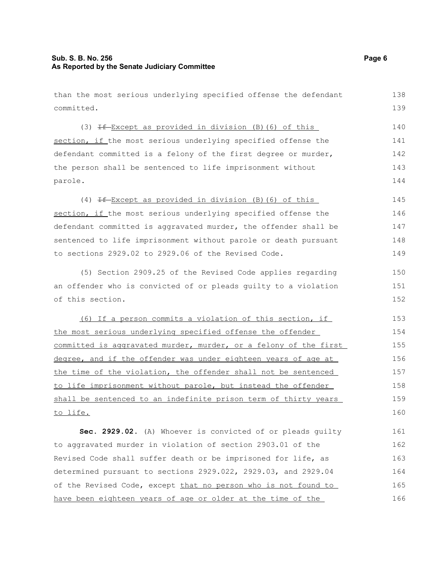than the most serious underlying specified offense the defendant committed.

(3)  $H$ Except as provided in division (B)(6) of this section, if the most serious underlying specified offense the defendant committed is a felony of the first degree or murder, the person shall be sentenced to life imprisonment without parole. 140 141 142 143 144

(4)  $H = Except as provided in division (B) (6) of this$ section, if the most serious underlying specified offense the defendant committed is aggravated murder, the offender shall be sentenced to life imprisonment without parole or death pursuant to sections 2929.02 to 2929.06 of the Revised Code. 145 146 147 148 149

(5) Section 2909.25 of the Revised Code applies regarding an offender who is convicted of or pleads guilty to a violation of this section.

(6) If a person commits a violation of this section, if the most serious underlying specified offense the offender committed is aggravated murder, murder, or a felony of the first degree, and if the offender was under eighteen years of age at the time of the violation, the offender shall not be sentenced to life imprisonment without parole, but instead the offender shall be sentenced to an indefinite prison term of thirty years to life. 153 154 155 156 157 158 159 160

**Sec. 2929.02.** (A) Whoever is convicted of or pleads guilty to aggravated murder in violation of section 2903.01 of the Revised Code shall suffer death or be imprisoned for life, as determined pursuant to sections 2929.022, 2929.03, and 2929.04 of the Revised Code, except that no person who is not found to have been eighteen years of age or older at the time of the 161 162 163 164 165 166

138 139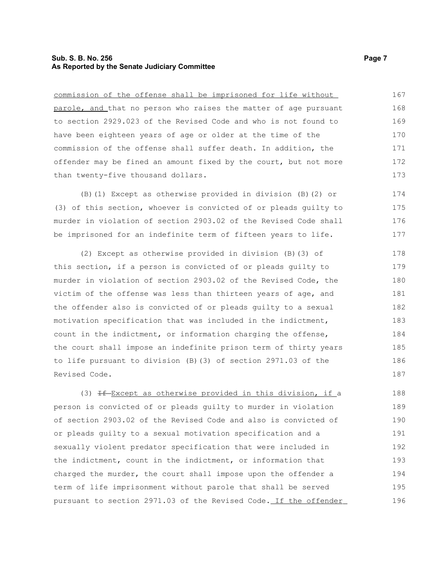#### **Sub. S. B. No. 256 Page 7 As Reported by the Senate Judiciary Committee**

| commission of the offense shall be imprisoned for life without   | 167 |
|------------------------------------------------------------------|-----|
| parole, and that no person who raises the matter of age pursuant | 168 |
| to section 2929.023 of the Revised Code and who is not found to  | 169 |
| have been eighteen years of age or older at the time of the      | 170 |
| commission of the offense shall suffer death. In addition, the   | 171 |
| offender may be fined an amount fixed by the court, but not more | 172 |
| than twenty-five thousand dollars.                               | 173 |
|                                                                  |     |

(B)(1) Except as otherwise provided in division (B)(2) or (3) of this section, whoever is convicted of or pleads guilty to murder in violation of section 2903.02 of the Revised Code shall be imprisoned for an indefinite term of fifteen years to life. 174 175 176 177

(2) Except as otherwise provided in division (B)(3) of this section, if a person is convicted of or pleads guilty to murder in violation of section 2903.02 of the Revised Code, the victim of the offense was less than thirteen years of age, and the offender also is convicted of or pleads guilty to a sexual motivation specification that was included in the indictment, count in the indictment, or information charging the offense, the court shall impose an indefinite prison term of thirty years to life pursuant to division (B)(3) of section 2971.03 of the Revised Code. 178 179 180 181 182 183 184 185 186 187

(3)  $If-Except as otherwise provided in this division, if a$ person is convicted of or pleads guilty to murder in violation of section 2903.02 of the Revised Code and also is convicted of or pleads guilty to a sexual motivation specification and a sexually violent predator specification that were included in the indictment, count in the indictment, or information that charged the murder, the court shall impose upon the offender a term of life imprisonment without parole that shall be served pursuant to section 2971.03 of the Revised Code. If the offender 188 189 190 191 192 193 194 195 196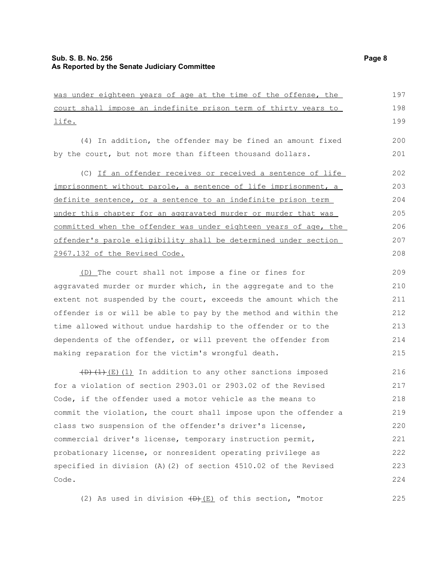was under eighteen years of age at the time of the offense, the court shall impose an indefinite prison term of thirty years to life. 197 198 199

(4) In addition, the offender may be fined an amount fixed by the court, but not more than fifteen thousand dollars. 200 201

(C) If an offender receives or received a sentence of life imprisonment without parole, a sentence of life imprisonment, a definite sentence, or a sentence to an indefinite prison term under this chapter for an aggravated murder or murder that was committed when the offender was under eighteen years of age, the offender's parole eligibility shall be determined under section 2967.132 of the Revised Code. 202 203 204 205 206 207 208

(D) The court shall not impose a fine or fines for aggravated murder or murder which, in the aggregate and to the extent not suspended by the court, exceeds the amount which the offender is or will be able to pay by the method and within the time allowed without undue hardship to the offender or to the dependents of the offender, or will prevent the offender from making reparation for the victim's wrongful death. 209 210 211 212 213 214 215

 $(D)$  (1)(E)(1) In addition to any other sanctions imposed for a violation of section 2903.01 or 2903.02 of the Revised Code, if the offender used a motor vehicle as the means to commit the violation, the court shall impose upon the offender a class two suspension of the offender's driver's license, commercial driver's license, temporary instruction permit, probationary license, or nonresident operating privilege as specified in division (A)(2) of section 4510.02 of the Revised Code. 216 217 218 219 220 221 222 223 224

(2) As used in division  $(D)$  (E) of this section, "motor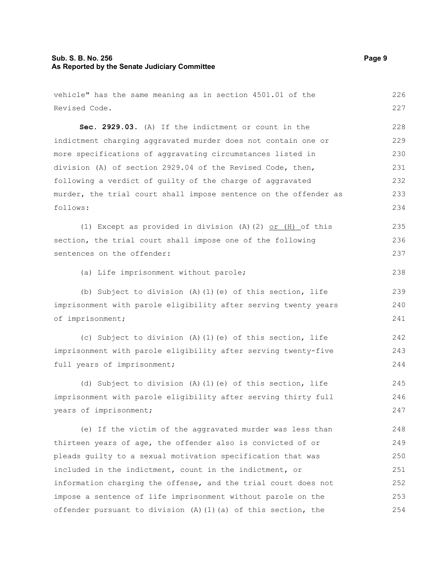# **Sub. S. B. No. 256 Page 9 As Reported by the Senate Judiciary Committee**

| vehicle" has the same meaning as in section 4501.01 of the       | 226 |
|------------------------------------------------------------------|-----|
| Revised Code.                                                    | 227 |
| Sec. 2929.03. (A) If the indictment or count in the              | 228 |
| indictment charging aggravated murder does not contain one or    | 229 |
| more specifications of aggravating circumstances listed in       | 230 |
| division (A) of section 2929.04 of the Revised Code, then,       | 231 |
| following a verdict of guilty of the charge of aggravated        | 232 |
| murder, the trial court shall impose sentence on the offender as | 233 |
| follows:                                                         | 234 |
| (1) Except as provided in division (A) (2) $or$ (H) of this      | 235 |
| section, the trial court shall impose one of the following       | 236 |
| sentences on the offender:                                       | 237 |
| (a) Life imprisonment without parole;                            | 238 |
| (b) Subject to division (A) $(1)$ (e) of this section, life      | 239 |
| imprisonment with parole eligibility after serving twenty years  | 240 |
| of imprisonment;                                                 | 241 |
| (c) Subject to division (A) (1) (e) of this section, life        | 242 |
| imprisonment with parole eligibility after serving twenty-five   | 243 |
| full years of imprisonment;                                      | 244 |
| (d) Subject to division $(A)$ $(1)$ $(e)$ of this section, life  | 245 |
| imprisonment with parole eligibility after serving thirty full   | 246 |
| years of imprisonment;                                           | 247 |
| (e) If the victim of the aggravated murder was less than         | 248 |
| thirteen years of age, the offender also is convicted of or      | 249 |
| pleads quilty to a sexual motivation specification that was      | 250 |
| included in the indictment, count in the indictment, or          | 251 |
| information charging the offense, and the trial court does not   | 252 |
| impose a sentence of life imprisonment without parole on the     | 253 |
| offender pursuant to division (A) (1) (a) of this section, the   | 254 |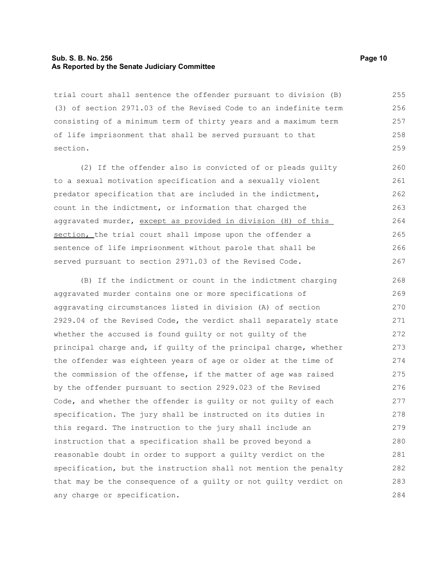#### **Sub. S. B. No. 256 Page 10 As Reported by the Senate Judiciary Committee**

trial court shall sentence the offender pursuant to division (B) (3) of section 2971.03 of the Revised Code to an indefinite term consisting of a minimum term of thirty years and a maximum term of life imprisonment that shall be served pursuant to that section. 255 256 257 258 259

(2) If the offender also is convicted of or pleads guilty to a sexual motivation specification and a sexually violent predator specification that are included in the indictment, count in the indictment, or information that charged the aggravated murder, except as provided in division (H) of this section, the trial court shall impose upon the offender a sentence of life imprisonment without parole that shall be served pursuant to section 2971.03 of the Revised Code. 260 261 262 263 264 265 266 267

(B) If the indictment or count in the indictment charging aggravated murder contains one or more specifications of aggravating circumstances listed in division (A) of section 2929.04 of the Revised Code, the verdict shall separately state whether the accused is found guilty or not guilty of the principal charge and, if guilty of the principal charge, whether the offender was eighteen years of age or older at the time of the commission of the offense, if the matter of age was raised by the offender pursuant to section 2929.023 of the Revised Code, and whether the offender is guilty or not guilty of each specification. The jury shall be instructed on its duties in this regard. The instruction to the jury shall include an instruction that a specification shall be proved beyond a reasonable doubt in order to support a guilty verdict on the specification, but the instruction shall not mention the penalty that may be the consequence of a guilty or not guilty verdict on any charge or specification. 268 269 270 271 272 273 274 275 276 277 278 279 280 281 282 283 284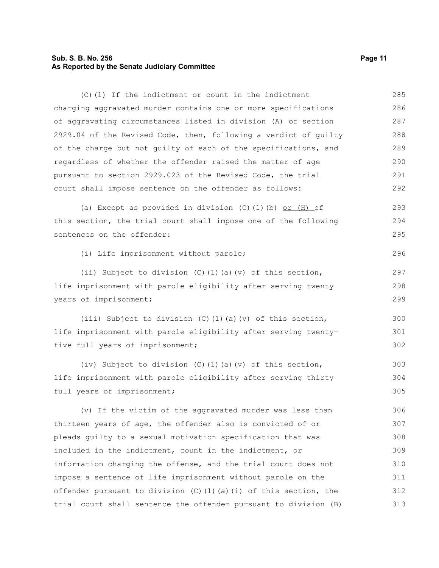#### **Sub. S. B. No. 256 Page 11 As Reported by the Senate Judiciary Committee**

(C)(1) If the indictment or count in the indictment charging aggravated murder contains one or more specifications of aggravating circumstances listed in division (A) of section 2929.04 of the Revised Code, then, following a verdict of guilty of the charge but not guilty of each of the specifications, and regardless of whether the offender raised the matter of age pursuant to section 2929.023 of the Revised Code, the trial court shall impose sentence on the offender as follows: (a) Except as provided in division (C)(1)(b) or  $(H)$  of this section, the trial court shall impose one of the following sentences on the offender: (i) Life imprisonment without parole; (ii) Subject to division (C)(1)(a)(v) of this section, life imprisonment with parole eligibility after serving twenty years of imprisonment; (iii) Subject to division (C)(1)(a)(v) of this section, life imprisonment with parole eligibility after serving twentyfive full years of imprisonment; (iv) Subject to division (C)(1)(a)(v) of this section, life imprisonment with parole eligibility after serving thirty full years of imprisonment; (v) If the victim of the aggravated murder was less than thirteen years of age, the offender also is convicted of or pleads guilty to a sexual motivation specification that was included in the indictment, count in the indictment, or information charging the offense, and the trial court does not impose a sentence of life imprisonment without parole on the offender pursuant to division  $(C)$  (1)(a)(i) of this section, the trial court shall sentence the offender pursuant to division (B) 285 286 287 288 289 290 291 292 293 294 295 296 297 298 299 300 301 302 303 304 305 306 307 308 309 310 311 312 313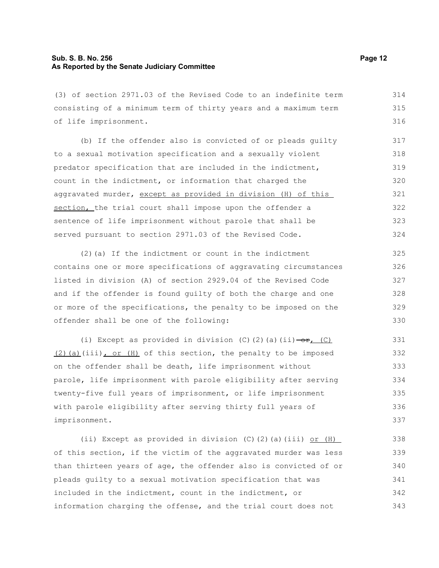#### **Sub. S. B. No. 256 Page 12 As Reported by the Senate Judiciary Committee**

(3) of section 2971.03 of the Revised Code to an indefinite term consisting of a minimum term of thirty years and a maximum term of life imprisonment. 314 315 316

(b) If the offender also is convicted of or pleads guilty to a sexual motivation specification and a sexually violent predator specification that are included in the indictment, count in the indictment, or information that charged the aggravated murder, except as provided in division (H) of this section, the trial court shall impose upon the offender a sentence of life imprisonment without parole that shall be served pursuant to section 2971.03 of the Revised Code. 317 318 319 320 321 322 323 324

(2)(a) If the indictment or count in the indictment contains one or more specifications of aggravating circumstances listed in division (A) of section 2929.04 of the Revised Code and if the offender is found guilty of both the charge and one or more of the specifications, the penalty to be imposed on the offender shall be one of the following:

(i) Except as provided in division (C)(2)(a)(ii)  $-6f$ <sub>1</sub> (C)  $(2)$  (a)(iii), or (H) of this section, the penalty to be imposed on the offender shall be death, life imprisonment without parole, life imprisonment with parole eligibility after serving twenty-five full years of imprisonment, or life imprisonment with parole eligibility after serving thirty full years of imprisonment. 331 332 333 334 335 336 337

(ii) Except as provided in division (C)(2)(a)(iii) or  $(H)$ of this section, if the victim of the aggravated murder was less than thirteen years of age, the offender also is convicted of or pleads guilty to a sexual motivation specification that was included in the indictment, count in the indictment, or information charging the offense, and the trial court does not 338 339 340 341 342 343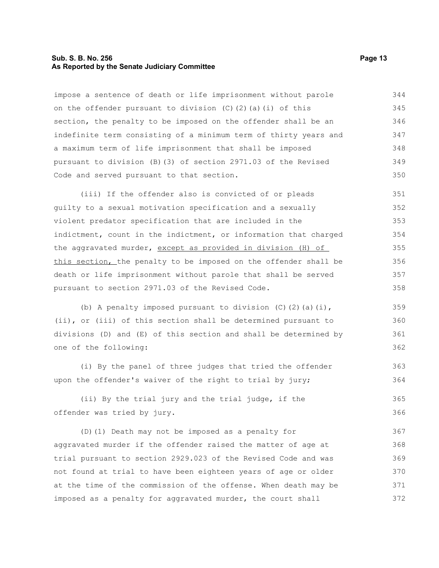#### **Sub. S. B. No. 256 Page 13 As Reported by the Senate Judiciary Committee**

impose a sentence of death or life imprisonment without parole on the offender pursuant to division  $(C)$   $(2)$   $(a)$   $(i)$  of this section, the penalty to be imposed on the offender shall be an indefinite term consisting of a minimum term of thirty years and a maximum term of life imprisonment that shall be imposed pursuant to division (B)(3) of section 2971.03 of the Revised Code and served pursuant to that section. 344 345 346 347 348 349 350

(iii) If the offender also is convicted of or pleads guilty to a sexual motivation specification and a sexually violent predator specification that are included in the indictment, count in the indictment, or information that charged the aggravated murder, except as provided in division (H) of this section, the penalty to be imposed on the offender shall be death or life imprisonment without parole that shall be served pursuant to section 2971.03 of the Revised Code. 351 352 353 354 355 356 357 358

(b) A penalty imposed pursuant to division (C)(2)(a)(i), (ii), or (iii) of this section shall be determined pursuant to divisions (D) and (E) of this section and shall be determined by one of the following:

(i) By the panel of three judges that tried the offender upon the offender's waiver of the right to trial by jury; 363 364

(ii) By the trial jury and the trial judge, if the offender was tried by jury. 365 366

(D)(1) Death may not be imposed as a penalty for aggravated murder if the offender raised the matter of age at trial pursuant to section 2929.023 of the Revised Code and was not found at trial to have been eighteen years of age or older at the time of the commission of the offense. When death may be imposed as a penalty for aggravated murder, the court shall 367 368 369 370 371 372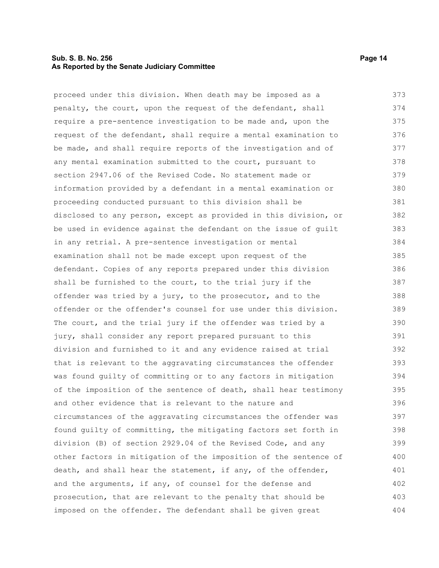#### **Sub. S. B. No. 256 Page 14 As Reported by the Senate Judiciary Committee**

proceed under this division. When death may be imposed as a penalty, the court, upon the request of the defendant, shall require a pre-sentence investigation to be made and, upon the request of the defendant, shall require a mental examination to be made, and shall require reports of the investigation and of any mental examination submitted to the court, pursuant to section 2947.06 of the Revised Code. No statement made or information provided by a defendant in a mental examination or proceeding conducted pursuant to this division shall be disclosed to any person, except as provided in this division, or be used in evidence against the defendant on the issue of guilt in any retrial. A pre-sentence investigation or mental examination shall not be made except upon request of the defendant. Copies of any reports prepared under this division shall be furnished to the court, to the trial jury if the offender was tried by a jury, to the prosecutor, and to the offender or the offender's counsel for use under this division. The court, and the trial jury if the offender was tried by a jury, shall consider any report prepared pursuant to this division and furnished to it and any evidence raised at trial that is relevant to the aggravating circumstances the offender was found guilty of committing or to any factors in mitigation of the imposition of the sentence of death, shall hear testimony and other evidence that is relevant to the nature and circumstances of the aggravating circumstances the offender was found guilty of committing, the mitigating factors set forth in division (B) of section 2929.04 of the Revised Code, and any other factors in mitigation of the imposition of the sentence of death, and shall hear the statement, if any, of the offender, and the arguments, if any, of counsel for the defense and prosecution, that are relevant to the penalty that should be imposed on the offender. The defendant shall be given great 373 374 375 376 377 378 379 380 381 382 383 384 385 386 387 388 389 390 391 392 393 394 395 396 397 398 399 400 401 402 403 404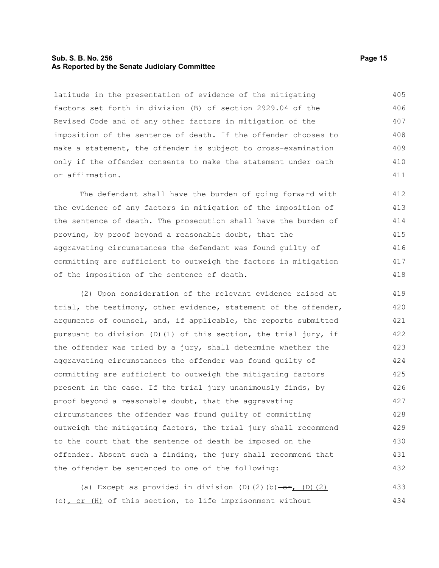#### **Sub. S. B. No. 256 Page 15 As Reported by the Senate Judiciary Committee**

latitude in the presentation of evidence of the mitigating factors set forth in division (B) of section 2929.04 of the Revised Code and of any other factors in mitigation of the imposition of the sentence of death. If the offender chooses to make a statement, the offender is subject to cross-examination only if the offender consents to make the statement under oath or affirmation. 405 406 407 408 409 410 411

The defendant shall have the burden of going forward with the evidence of any factors in mitigation of the imposition of the sentence of death. The prosecution shall have the burden of proving, by proof beyond a reasonable doubt, that the aggravating circumstances the defendant was found guilty of committing are sufficient to outweigh the factors in mitigation of the imposition of the sentence of death. 412 413 414 415 416 417 418

(2) Upon consideration of the relevant evidence raised at trial, the testimony, other evidence, statement of the offender, arguments of counsel, and, if applicable, the reports submitted pursuant to division (D)(1) of this section, the trial jury, if the offender was tried by a jury, shall determine whether the aggravating circumstances the offender was found guilty of committing are sufficient to outweigh the mitigating factors present in the case. If the trial jury unanimously finds, by proof beyond a reasonable doubt, that the aggravating circumstances the offender was found guilty of committing outweigh the mitigating factors, the trial jury shall recommend to the court that the sentence of death be imposed on the offender. Absent such a finding, the jury shall recommend that the offender be sentenced to one of the following: 419 420 421 422 423 424 425 426 427 428 429 430 431 432

(a) Except as provided in division (D)(2)(b)  $-6$   $\frac{F}{(D)(2)}$ (c), or (H) of this section, to life imprisonment without 433 434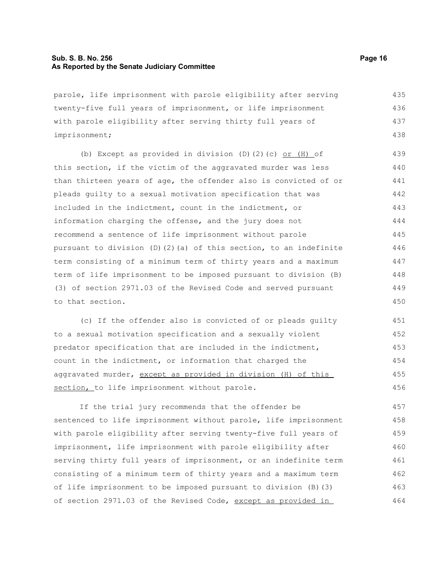#### **Sub. S. B. No. 256 Page 16 As Reported by the Senate Judiciary Committee**

parole, life imprisonment with parole eligibility after serving twenty-five full years of imprisonment, or life imprisonment with parole eligibility after serving thirty full years of imprisonment; 435 436 437 438

(b) Except as provided in division (D)(2)(c)  $or$  (H) of this section, if the victim of the aggravated murder was less than thirteen years of age, the offender also is convicted of or pleads guilty to a sexual motivation specification that was included in the indictment, count in the indictment, or information charging the offense, and the jury does not recommend a sentence of life imprisonment without parole pursuant to division (D)(2)(a) of this section, to an indefinite term consisting of a minimum term of thirty years and a maximum term of life imprisonment to be imposed pursuant to division (B) (3) of section 2971.03 of the Revised Code and served pursuant to that section. 439 440 441 442 443 444 445 446 447 448 449 450

(c) If the offender also is convicted of or pleads guilty to a sexual motivation specification and a sexually violent predator specification that are included in the indictment, count in the indictment, or information that charged the aggravated murder, except as provided in division (H) of this section, to life imprisonment without parole. 451 452 453 454 455 456

If the trial jury recommends that the offender be sentenced to life imprisonment without parole, life imprisonment with parole eligibility after serving twenty-five full years of imprisonment, life imprisonment with parole eligibility after serving thirty full years of imprisonment, or an indefinite term consisting of a minimum term of thirty years and a maximum term of life imprisonment to be imposed pursuant to division (B)(3) of section 2971.03 of the Revised Code, except as provided in 457 458 459 460 461 462 463 464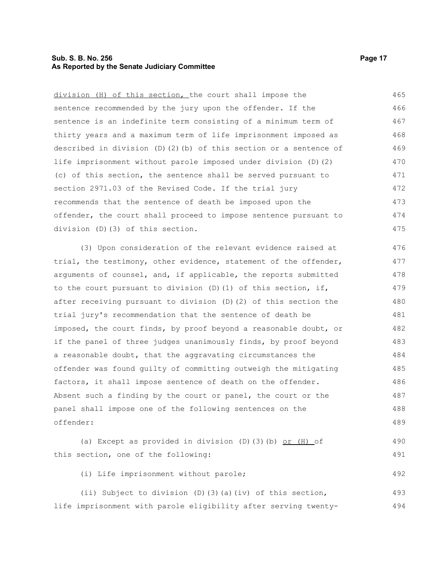#### **Sub. S. B. No. 256 Page 17 As Reported by the Senate Judiciary Committee**

division (H) of this section, the court shall impose the sentence recommended by the jury upon the offender. If the sentence is an indefinite term consisting of a minimum term of thirty years and a maximum term of life imprisonment imposed as described in division  $(D)(2)(b)$  of this section or a sentence of life imprisonment without parole imposed under division (D)(2) (c) of this section, the sentence shall be served pursuant to section 2971.03 of the Revised Code. If the trial jury recommends that the sentence of death be imposed upon the offender, the court shall proceed to impose sentence pursuant to division (D)(3) of this section. (3) Upon consideration of the relevant evidence raised at trial, the testimony, other evidence, statement of the offender, arguments of counsel, and, if applicable, the reports submitted to the court pursuant to division (D)(1) of this section, if, after receiving pursuant to division (D)(2) of this section the trial jury's recommendation that the sentence of death be imposed, the court finds, by proof beyond a reasonable doubt, or if the panel of three judges unanimously finds, by proof beyond a reasonable doubt, that the aggravating circumstances the offender was found guilty of committing outweigh the mitigating factors, it shall impose sentence of death on the offender. Absent such a finding by the court or panel, the court or the panel shall impose one of the following sentences on the offender: (a) Except as provided in division (D)(3)(b)  $or$  (H) of this section, one of the following: (i) Life imprisonment without parole; (ii) Subject to division (D)(3)(a)(iv) of this section, life imprisonment with parole eligibility after serving twenty-465 466 467 468 469 470 471 472 473 474 475 476 477 478 479 480 481 482 483 484 485 486 487 488 489 490 491 492 493 494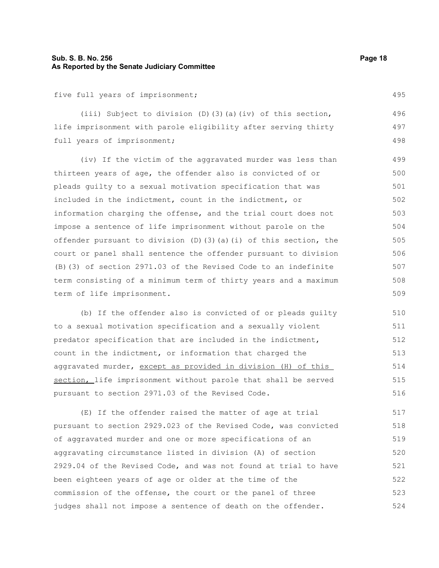#### **Sub. S. B. No. 256 Page 18 As Reported by the Senate Judiciary Committee**

five full years of imprisonment;

(iii) Subject to division (D)(3)(a)(iv) of this section, life imprisonment with parole eligibility after serving thirty full years of imprisonment; 496 497 498

(iv) If the victim of the aggravated murder was less than thirteen years of age, the offender also is convicted of or pleads guilty to a sexual motivation specification that was included in the indictment, count in the indictment, or information charging the offense, and the trial court does not impose a sentence of life imprisonment without parole on the offender pursuant to division  $(D)$  (3)(a)(i) of this section, the court or panel shall sentence the offender pursuant to division (B)(3) of section 2971.03 of the Revised Code to an indefinite term consisting of a minimum term of thirty years and a maximum term of life imprisonment. 499 500 501 502 503 504 505 506 507 508 509

(b) If the offender also is convicted of or pleads guilty to a sexual motivation specification and a sexually violent predator specification that are included in the indictment, count in the indictment, or information that charged the aggravated murder, except as provided in division (H) of this section, life imprisonment without parole that shall be served pursuant to section 2971.03 of the Revised Code.

(E) If the offender raised the matter of age at trial pursuant to section 2929.023 of the Revised Code, was convicted of aggravated murder and one or more specifications of an aggravating circumstance listed in division (A) of section 2929.04 of the Revised Code, and was not found at trial to have been eighteen years of age or older at the time of the commission of the offense, the court or the panel of three judges shall not impose a sentence of death on the offender. 517 518 519 520 521 522 523 524

495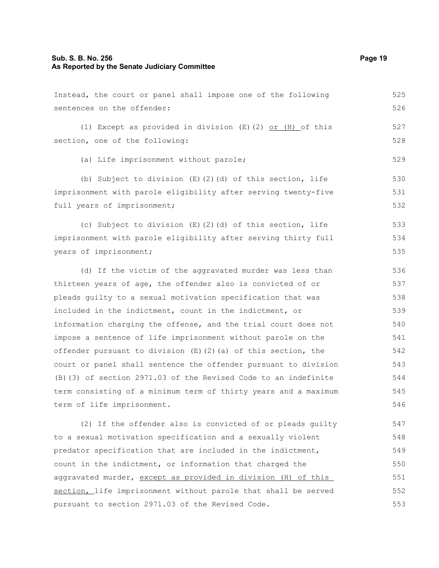## **Sub. S. B. No. 256 Page 19 As Reported by the Senate Judiciary Committee**

| Instead, the court or panel shall impose one of the following        | 525 |
|----------------------------------------------------------------------|-----|
| sentences on the offender:                                           | 526 |
| (1) Except as provided in division $(E)$ (2) or $(H)$ of this        | 527 |
| section, one of the following:                                       | 528 |
| (a) Life imprisonment without parole;                                | 529 |
| (b) Subject to division (E) (2) (d) of this section, life            | 530 |
| imprisonment with parole eligibility after serving twenty-five       | 531 |
| full years of imprisonment;                                          | 532 |
| (c) Subject to division $(E)$ (2) (d) of this section, life          | 533 |
| imprisonment with parole eligibility after serving thirty full       | 534 |
| years of imprisonment;                                               | 535 |
| (d) If the victim of the aggravated murder was less than             | 536 |
| thirteen years of age, the offender also is convicted of or          | 537 |
| pleads quilty to a sexual motivation specification that was          | 538 |
| included in the indictment, count in the indictment, or              | 539 |
| information charging the offense, and the trial court does not       | 540 |
| impose a sentence of life imprisonment without parole on the         | 541 |
| offender pursuant to division $(E)$ $(2)$ $(a)$ of this section, the | 542 |
| court or panel shall sentence the offender pursuant to division      | 543 |
| (B) (3) of section 2971.03 of the Revised Code to an indefinite      | 544 |
| term consisting of a minimum term of thirty years and a maximum      | 545 |
| term of life imprisonment.                                           | 546 |
| (2) If the offender also is convicted of or pleads guilty            | 547 |
| to a sexual motivation specification and a sexually violent          | 548 |
| predator specification that are included in the indictment,          | 549 |
| count in the indictment, or information that charged the             | 550 |
| aggravated murder, except as provided in division (H) of this        | 551 |
| section, life imprisonment without parole that shall be served       | 552 |
| pursuant to section 2971.03 of the Revised Code.                     | 553 |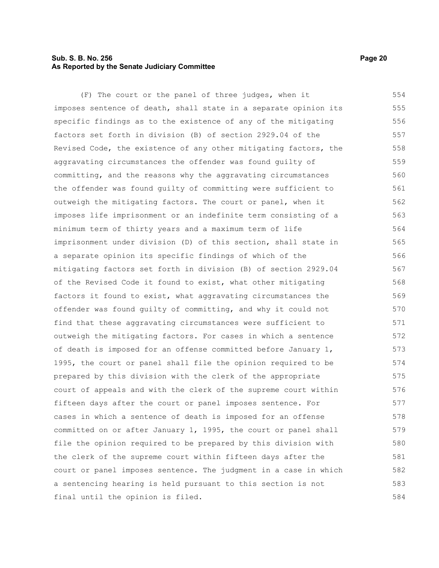#### **Sub. S. B. No. 256 Page 20 As Reported by the Senate Judiciary Committee**

(F) The court or the panel of three judges, when it imposes sentence of death, shall state in a separate opinion its specific findings as to the existence of any of the mitigating factors set forth in division (B) of section 2929.04 of the Revised Code, the existence of any other mitigating factors, the aggravating circumstances the offender was found guilty of committing, and the reasons why the aggravating circumstances the offender was found guilty of committing were sufficient to outweigh the mitigating factors. The court or panel, when it imposes life imprisonment or an indefinite term consisting of a minimum term of thirty years and a maximum term of life imprisonment under division (D) of this section, shall state in a separate opinion its specific findings of which of the mitigating factors set forth in division (B) of section 2929.04 of the Revised Code it found to exist, what other mitigating factors it found to exist, what aggravating circumstances the offender was found guilty of committing, and why it could not find that these aggravating circumstances were sufficient to outweigh the mitigating factors. For cases in which a sentence of death is imposed for an offense committed before January 1, 1995, the court or panel shall file the opinion required to be prepared by this division with the clerk of the appropriate court of appeals and with the clerk of the supreme court within fifteen days after the court or panel imposes sentence. For cases in which a sentence of death is imposed for an offense committed on or after January 1, 1995, the court or panel shall file the opinion required to be prepared by this division with the clerk of the supreme court within fifteen days after the court or panel imposes sentence. The judgment in a case in which a sentencing hearing is held pursuant to this section is not final until the opinion is filed. 554 555 556 557 558 559 560 561 562 563 564 565 566 567 568 569 570 571 572 573 574 575 576 577 578 579 580 581 582 583 584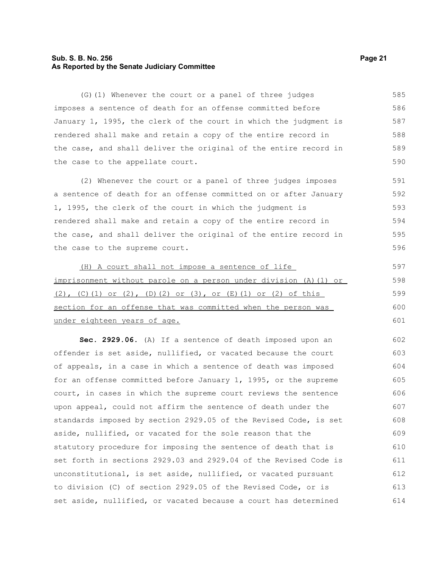#### **Sub. S. B. No. 256 Page 21 As Reported by the Senate Judiciary Committee**

(G)(1) Whenever the court or a panel of three judges imposes a sentence of death for an offense committed before January 1, 1995, the clerk of the court in which the judgment is rendered shall make and retain a copy of the entire record in the case, and shall deliver the original of the entire record in the case to the appellate court. 585 586 587 588 589 590

(2) Whenever the court or a panel of three judges imposes a sentence of death for an offense committed on or after January 1, 1995, the clerk of the court in which the judgment is rendered shall make and retain a copy of the entire record in the case, and shall deliver the original of the entire record in the case to the supreme court. 591 592 593 594 595 596

| (H) A court shall not impose a sentence of life                                       | 597 |
|---------------------------------------------------------------------------------------|-----|
| imprisonment without parole on a person under division (A)(1) or                      | 598 |
| $(2)$ , $(C)$ $(1)$ or $(2)$ , $(D)$ $(2)$ or $(3)$ , or $(E)$ $(1)$ or $(2)$ of this | 599 |
| section for an offense that was committed when the person was                         | 600 |
| under eighteen years of age.                                                          | 601 |

**Sec. 2929.06.** (A) If a sentence of death imposed upon an offender is set aside, nullified, or vacated because the court of appeals, in a case in which a sentence of death was imposed for an offense committed before January 1, 1995, or the supreme court, in cases in which the supreme court reviews the sentence upon appeal, could not affirm the sentence of death under the standards imposed by section 2929.05 of the Revised Code, is set aside, nullified, or vacated for the sole reason that the statutory procedure for imposing the sentence of death that is set forth in sections 2929.03 and 2929.04 of the Revised Code is unconstitutional, is set aside, nullified, or vacated pursuant to division (C) of section 2929.05 of the Revised Code, or is set aside, nullified, or vacated because a court has determined 602 603 604 605 606 607 608 609 610 611 612 613 614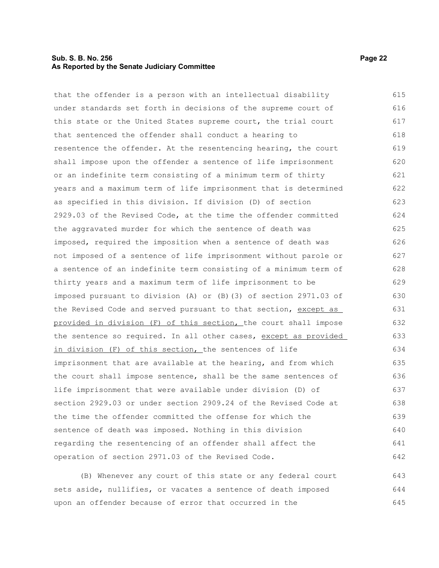#### **Sub. S. B. No. 256 Page 22 As Reported by the Senate Judiciary Committee**

that the offender is a person with an intellectual disability under standards set forth in decisions of the supreme court of this state or the United States supreme court, the trial court that sentenced the offender shall conduct a hearing to resentence the offender. At the resentencing hearing, the court shall impose upon the offender a sentence of life imprisonment or an indefinite term consisting of a minimum term of thirty years and a maximum term of life imprisonment that is determined as specified in this division. If division (D) of section 2929.03 of the Revised Code, at the time the offender committed the aggravated murder for which the sentence of death was imposed, required the imposition when a sentence of death was not imposed of a sentence of life imprisonment without parole or a sentence of an indefinite term consisting of a minimum term of thirty years and a maximum term of life imprisonment to be imposed pursuant to division (A) or (B)(3) of section 2971.03 of the Revised Code and served pursuant to that section, except as provided in division (F) of this section, the court shall impose the sentence so required. In all other cases, except as provided in division (F) of this section, the sentences of life imprisonment that are available at the hearing, and from which the court shall impose sentence, shall be the same sentences of life imprisonment that were available under division (D) of section 2929.03 or under section 2909.24 of the Revised Code at the time the offender committed the offense for which the sentence of death was imposed. Nothing in this division regarding the resentencing of an offender shall affect the operation of section 2971.03 of the Revised Code. 615 616 617 618 619 620 621 622 623 624 625 626 627 628 629 630 631 632 633 634 635 636 637 638 639 640 641 642

(B) Whenever any court of this state or any federal court sets aside, nullifies, or vacates a sentence of death imposed upon an offender because of error that occurred in the 643 644 645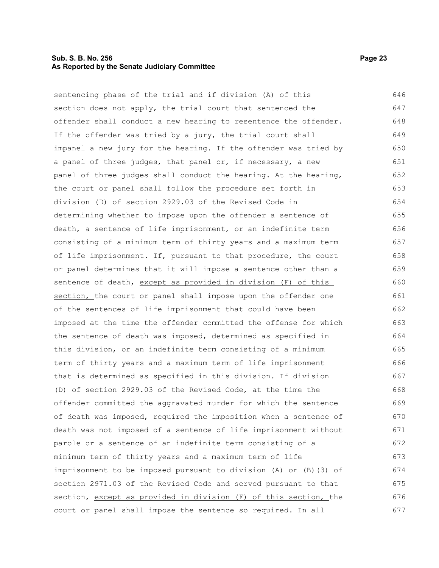#### **Sub. S. B. No. 256 Page 23 As Reported by the Senate Judiciary Committee**

sentencing phase of the trial and if division (A) of this section does not apply, the trial court that sentenced the offender shall conduct a new hearing to resentence the offender. If the offender was tried by a jury, the trial court shall impanel a new jury for the hearing. If the offender was tried by a panel of three judges, that panel or, if necessary, a new panel of three judges shall conduct the hearing. At the hearing, the court or panel shall follow the procedure set forth in division (D) of section 2929.03 of the Revised Code in determining whether to impose upon the offender a sentence of death, a sentence of life imprisonment, or an indefinite term consisting of a minimum term of thirty years and a maximum term of life imprisonment. If, pursuant to that procedure, the court or panel determines that it will impose a sentence other than a sentence of death, except as provided in division (F) of this section, the court or panel shall impose upon the offender one of the sentences of life imprisonment that could have been imposed at the time the offender committed the offense for which the sentence of death was imposed, determined as specified in this division, or an indefinite term consisting of a minimum term of thirty years and a maximum term of life imprisonment that is determined as specified in this division. If division (D) of section 2929.03 of the Revised Code, at the time the offender committed the aggravated murder for which the sentence of death was imposed, required the imposition when a sentence of death was not imposed of a sentence of life imprisonment without parole or a sentence of an indefinite term consisting of a minimum term of thirty years and a maximum term of life imprisonment to be imposed pursuant to division (A) or (B)(3) of section 2971.03 of the Revised Code and served pursuant to that section, except as provided in division (F) of this section, the court or panel shall impose the sentence so required. In all 646 647 648 649 650 651 652 653 654 655 656 657 658 659 660 661 662 663 664 665 666 667 668 669 670 671 672 673 674 675 676 677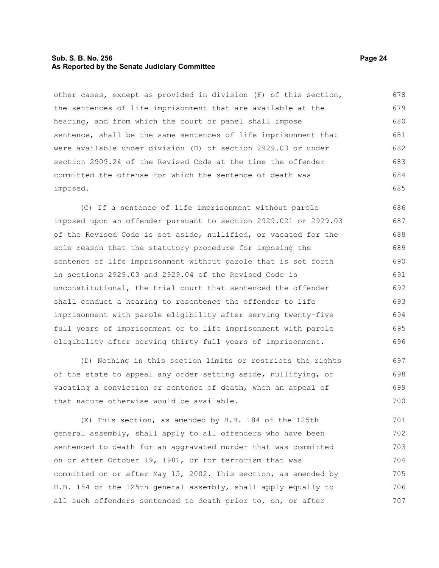#### **Sub. S. B. No. 256 Page 24 As Reported by the Senate Judiciary Committee**

other cases, except as provided in division (F) of this section, the sentences of life imprisonment that are available at the hearing, and from which the court or panel shall impose sentence, shall be the same sentences of life imprisonment that were available under division (D) of section 2929.03 or under section 2909.24 of the Revised Code at the time the offender committed the offense for which the sentence of death was imposed. 678 679 680 681 682 683 684 685

(C) If a sentence of life imprisonment without parole imposed upon an offender pursuant to section 2929.021 or 2929.03 of the Revised Code is set aside, nullified, or vacated for the sole reason that the statutory procedure for imposing the sentence of life imprisonment without parole that is set forth in sections 2929.03 and 2929.04 of the Revised Code is unconstitutional, the trial court that sentenced the offender shall conduct a hearing to resentence the offender to life imprisonment with parole eligibility after serving twenty-five full years of imprisonment or to life imprisonment with parole eligibility after serving thirty full years of imprisonment. 686 687 688 689 690 691 692 693 694 695 696

(D) Nothing in this section limits or restricts the rights of the state to appeal any order setting aside, nullifying, or vacating a conviction or sentence of death, when an appeal of that nature otherwise would be available. 698 700

(E) This section, as amended by H.B. 184 of the 125th general assembly, shall apply to all offenders who have been sentenced to death for an aggravated murder that was committed on or after October 19, 1981, or for terrorism that was committed on or after May 15, 2002. This section, as amended by H.B. 184 of the 125th general assembly, shall apply equally to all such offenders sentenced to death prior to, on, or after 701 702 703 704 705 706 707

697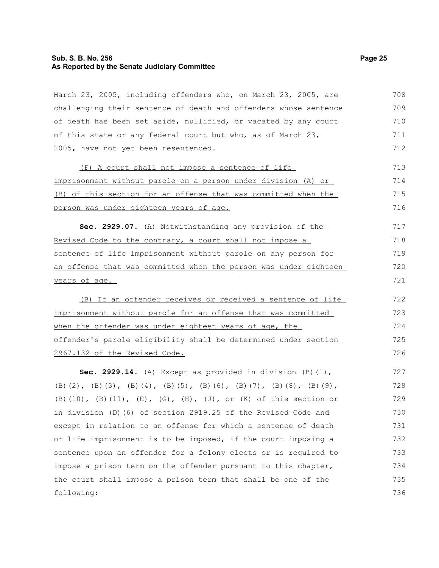#### **Sub. S. B. No. 256 Page 25 As Reported by the Senate Judiciary Committee**

March 23, 2005, including offenders who, on March 23, 2005, are challenging their sentence of death and offenders whose sentence of death has been set aside, nullified, or vacated by any court of this state or any federal court but who, as of March 23, 2005, have not yet been resentenced. 708 709 710 711 712

(F) A court shall not impose a sentence of life imprisonment without parole on a person under division (A) or (B) of this section for an offense that was committed when the person was under eighteen years of age. 713 714 715 716

 **Sec. 2929.07.** (A) Notwithstanding any provision of the Revised Code to the contrary, a court shall not impose a sentence of life imprisonment without parole on any person for an offense that was committed when the person was under eighteen years of age. 717 718 719 720 721

(B) If an offender receives or received a sentence of life imprisonment without parole for an offense that was committed when the offender was under eighteen years of age, the offender's parole eligibility shall be determined under section 2967.132 of the Revised Code. 722 723 724 725 726

**Sec. 2929.14.** (A) Except as provided in division (B)(1), (B)(2), (B)(3), (B)(4), (B)(5), (B)(6), (B)(7), (B)(8), (B)(9), (B)(10), (B)(11), (E), (G), (H), (J), or (K) of this section or in division (D)(6) of section 2919.25 of the Revised Code and except in relation to an offense for which a sentence of death or life imprisonment is to be imposed, if the court imposing a sentence upon an offender for a felony elects or is required to impose a prison term on the offender pursuant to this chapter, the court shall impose a prison term that shall be one of the following: 727 728 729 730 731 732 733 734 735 736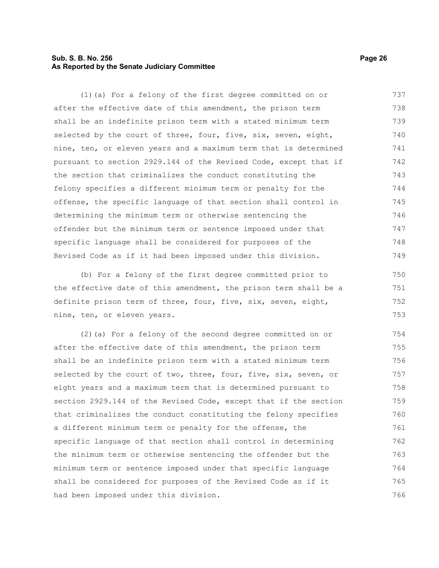#### **Sub. S. B. No. 256 Page 26 As Reported by the Senate Judiciary Committee**

(1)(a) For a felony of the first degree committed on or after the effective date of this amendment, the prison term shall be an indefinite prison term with a stated minimum term selected by the court of three, four, five, six, seven, eight, nine, ten, or eleven years and a maximum term that is determined pursuant to section 2929.144 of the Revised Code, except that if the section that criminalizes the conduct constituting the felony specifies a different minimum term or penalty for the offense, the specific language of that section shall control in determining the minimum term or otherwise sentencing the offender but the minimum term or sentence imposed under that specific language shall be considered for purposes of the Revised Code as if it had been imposed under this division. 737 738 739 740 741 742 743 744 745 746 747 748 749

(b) For a felony of the first degree committed prior to the effective date of this amendment, the prison term shall be a definite prison term of three, four, five, six, seven, eight, nine, ten, or eleven years. 750 751 752 753

(2)(a) For a felony of the second degree committed on or after the effective date of this amendment, the prison term shall be an indefinite prison term with a stated minimum term selected by the court of two, three, four, five, six, seven, or eight years and a maximum term that is determined pursuant to section 2929.144 of the Revised Code, except that if the section that criminalizes the conduct constituting the felony specifies a different minimum term or penalty for the offense, the specific language of that section shall control in determining the minimum term or otherwise sentencing the offender but the minimum term or sentence imposed under that specific language shall be considered for purposes of the Revised Code as if it had been imposed under this division. 754 755 756 757 758 759 760 761 762 763 764 765 766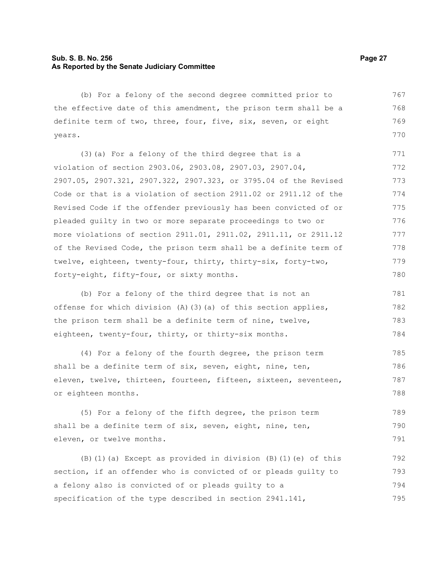#### **Sub. S. B. No. 256 Page 27 As Reported by the Senate Judiciary Committee**

(b) For a felony of the second degree committed prior to the effective date of this amendment, the prison term shall be a definite term of two, three, four, five, six, seven, or eight years. 767 768 769 770

(3)(a) For a felony of the third degree that is a violation of section 2903.06, 2903.08, 2907.03, 2907.04, 2907.05, 2907.321, 2907.322, 2907.323, or 3795.04 of the Revised Code or that is a violation of section 2911.02 or 2911.12 of the Revised Code if the offender previously has been convicted of or pleaded guilty in two or more separate proceedings to two or more violations of section 2911.01, 2911.02, 2911.11, or 2911.12 of the Revised Code, the prison term shall be a definite term of twelve, eighteen, twenty-four, thirty, thirty-six, forty-two, forty-eight, fifty-four, or sixty months. 774 775 776 777 778

(b) For a felony of the third degree that is not an offense for which division  $(A)$   $(3)$   $(a)$  of this section applies, the prison term shall be a definite term of nine, twelve, eighteen, twenty-four, thirty, or thirty-six months. 781 782 783 784

(4) For a felony of the fourth degree, the prison term shall be a definite term of six, seven, eight, nine, ten, eleven, twelve, thirteen, fourteen, fifteen, sixteen, seventeen, or eighteen months. 785 786 787 788

(5) For a felony of the fifth degree, the prison term shall be a definite term of six, seven, eight, nine, ten, eleven, or twelve months. 789 790 791

(B)(1)(a) Except as provided in division (B)(1)(e) of this section, if an offender who is convicted of or pleads guilty to a felony also is convicted of or pleads guilty to a specification of the type described in section 2941.141, 792 793 794 795

771 772 773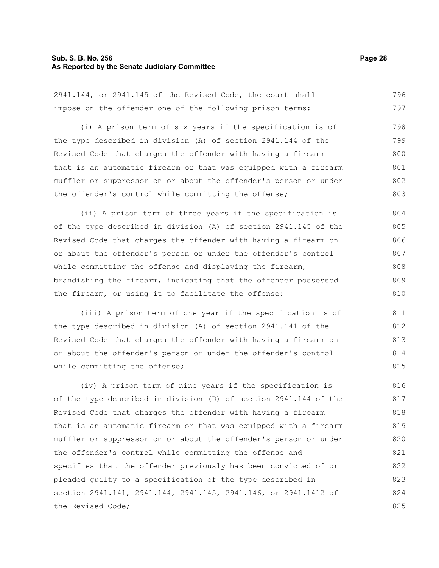## **Sub. S. B. No. 256 Page 28 As Reported by the Senate Judiciary Committee**

2941.144, or 2941.145 of the Revised Code, the court shall impose on the offender one of the following prison terms:

| (i) A prison term of six years if the specification is of        | 798 |
|------------------------------------------------------------------|-----|
| the type described in division (A) of section 2941.144 of the    | 799 |
| Revised Code that charges the offender with having a firearm     | 800 |
| that is an automatic firearm or that was equipped with a firearm | 801 |
| muffler or suppressor on or about the offender's person or under | 802 |
| the offender's control while committing the offense;             | 803 |
| (ii) A prison term of three years if the specification is        | 804 |
| of the type described in division (A) of section 2941.145 of the | 805 |
| Revised Code that charges the offender with having a firearm on  | 806 |
| or about the offender's person or under the offender's control   | 807 |
| while committing the offense and displaying the firearm,         | 808 |
| brandishing the firearm, indicating that the offender possessed  | 809 |
| the firearm, or using it to facilitate the offense;              | 810 |
| (iii) A prison term of one year if the specification is of       | 811 |
| the type described in division (A) of section 2941.141 of the    | 812 |
| Revised Code that charges the offender with having a firearm on  | 813 |
| or about the offender's person or under the offender's control   | 814 |
| while committing the offense;                                    | 815 |
| (iv) A prison term of nine years if the specification is         | 816 |
| of the type described in division (D) of section 2941.144 of the | 817 |
| Revised Code that charges the offender with having a firearm     | 818 |
| that is an automatic firearm or that was equipped with a firearm | 819 |
| muffler or suppressor on or about the offender's person or under | 820 |
| the offender's control while committing the offense and          | 821 |
| specifies that the offender previously has been convicted of or  | 822 |
| pleaded guilty to a specification of the type described in       | 823 |
| section 2941.141, 2941.144, 2941.145, 2941.146, or 2941.1412 of  | 824 |
| the Revised Code;                                                | 825 |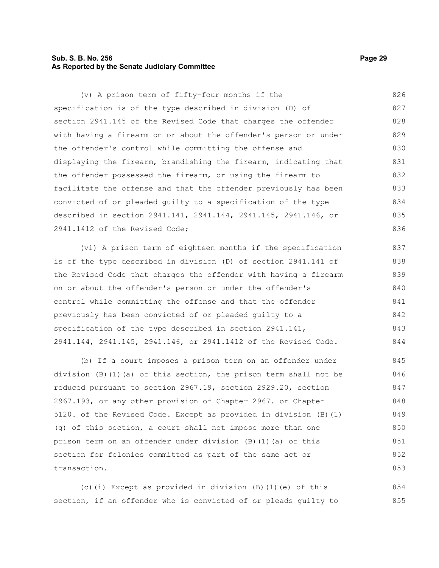#### **Sub. S. B. No. 256 Page 29 As Reported by the Senate Judiciary Committee**

(v) A prison term of fifty-four months if the specification is of the type described in division (D) of section 2941.145 of the Revised Code that charges the offender with having a firearm on or about the offender's person or under the offender's control while committing the offense and displaying the firearm, brandishing the firearm, indicating that the offender possessed the firearm, or using the firearm to facilitate the offense and that the offender previously has been convicted of or pleaded guilty to a specification of the type described in section 2941.141, 2941.144, 2941.145, 2941.146, or 2941.1412 of the Revised Code; 826 827 828 829 830 831 832 833 834 835 836

(vi) A prison term of eighteen months if the specification is of the type described in division (D) of section 2941.141 of the Revised Code that charges the offender with having a firearm on or about the offender's person or under the offender's control while committing the offense and that the offender previously has been convicted of or pleaded guilty to a specification of the type described in section 2941.141, 2941.144, 2941.145, 2941.146, or 2941.1412 of the Revised Code. 837 838 839 840 841 842 843 844

(b) If a court imposes a prison term on an offender under division (B)(1)(a) of this section, the prison term shall not be reduced pursuant to section 2967.19, section 2929.20, section 2967.193, or any other provision of Chapter 2967. or Chapter 5120. of the Revised Code. Except as provided in division (B)(1) (g) of this section, a court shall not impose more than one prison term on an offender under division (B)(1)(a) of this section for felonies committed as part of the same act or transaction. 845 846 847 848 849 850 851 852 853

(c)(i) Except as provided in division (B)(1)(e) of this section, if an offender who is convicted of or pleads guilty to 854 855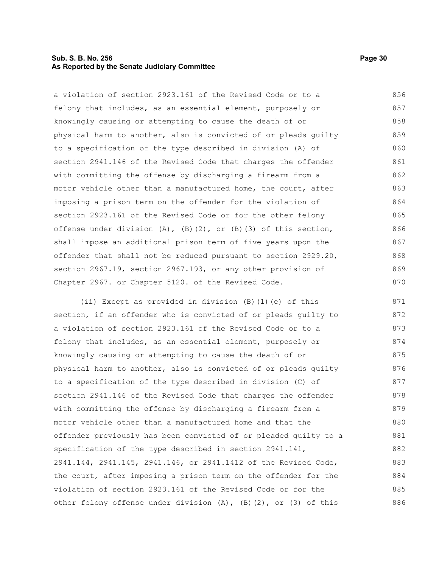#### **Sub. S. B. No. 256 Page 30 As Reported by the Senate Judiciary Committee**

a violation of section 2923.161 of the Revised Code or to a felony that includes, as an essential element, purposely or knowingly causing or attempting to cause the death of or physical harm to another, also is convicted of or pleads guilty to a specification of the type described in division (A) of section 2941.146 of the Revised Code that charges the offender with committing the offense by discharging a firearm from a motor vehicle other than a manufactured home, the court, after imposing a prison term on the offender for the violation of section 2923.161 of the Revised Code or for the other felony offense under division  $(A)$ ,  $(B)$   $(2)$ , or  $(B)$   $(3)$  of this section, shall impose an additional prison term of five years upon the offender that shall not be reduced pursuant to section 2929.20, section 2967.19, section 2967.193, or any other provision of Chapter 2967. or Chapter 5120. of the Revised Code. 856 857 858 859 860 861 862 863 864 865 866 867 868 869 870

(ii) Except as provided in division (B)(1)(e) of this section, if an offender who is convicted of or pleads guilty to a violation of section 2923.161 of the Revised Code or to a felony that includes, as an essential element, purposely or knowingly causing or attempting to cause the death of or physical harm to another, also is convicted of or pleads guilty to a specification of the type described in division (C) of section 2941.146 of the Revised Code that charges the offender with committing the offense by discharging a firearm from a motor vehicle other than a manufactured home and that the offender previously has been convicted of or pleaded guilty to a specification of the type described in section 2941.141, 2941.144, 2941.145, 2941.146, or 2941.1412 of the Revised Code, the court, after imposing a prison term on the offender for the violation of section 2923.161 of the Revised Code or for the other felony offense under division  $(A)$ ,  $(B)$   $(2)$ , or  $(3)$  of this 871 872 873 874 875 876 877 878 879 880 881 882 883 884 885 886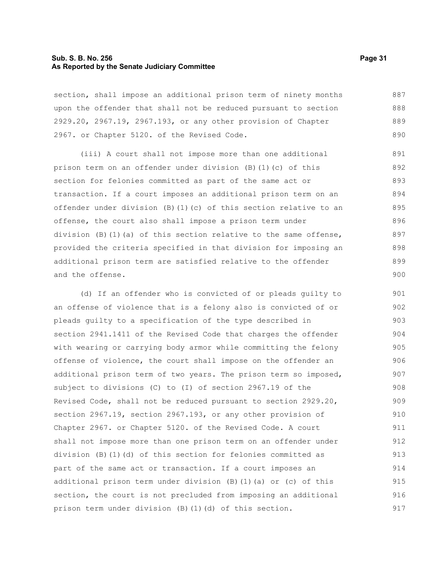#### **Sub. S. B. No. 256 Page 31 As Reported by the Senate Judiciary Committee**

section, shall impose an additional prison term of ninety months upon the offender that shall not be reduced pursuant to section 2929.20, 2967.19, 2967.193, or any other provision of Chapter 2967. or Chapter 5120. of the Revised Code. 887 888 889 890

(iii) A court shall not impose more than one additional prison term on an offender under division (B)(1)(c) of this section for felonies committed as part of the same act or transaction. If a court imposes an additional prison term on an offender under division (B)(1)(c) of this section relative to an offense, the court also shall impose a prison term under division  $(B)$  (1)(a) of this section relative to the same offense, provided the criteria specified in that division for imposing an additional prison term are satisfied relative to the offender and the offense.

(d) If an offender who is convicted of or pleads guilty to an offense of violence that is a felony also is convicted of or pleads guilty to a specification of the type described in section 2941.1411 of the Revised Code that charges the offender with wearing or carrying body armor while committing the felony offense of violence, the court shall impose on the offender an additional prison term of two years. The prison term so imposed, subject to divisions (C) to (I) of section 2967.19 of the Revised Code, shall not be reduced pursuant to section 2929.20, section 2967.19, section 2967.193, or any other provision of Chapter 2967. or Chapter 5120. of the Revised Code. A court shall not impose more than one prison term on an offender under division (B)(1)(d) of this section for felonies committed as part of the same act or transaction. If a court imposes an additional prison term under division (B)(1)(a) or (c) of this section, the court is not precluded from imposing an additional prison term under division (B)(1)(d) of this section. 901 902 903 904 905 906 907 908 909 910 911 912 913 914 915 916 917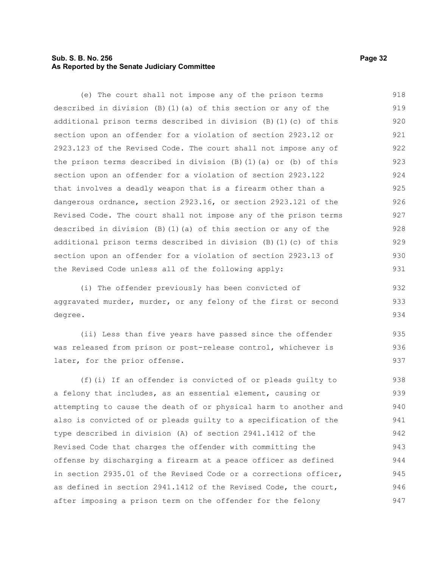#### **Sub. S. B. No. 256 Page 32 As Reported by the Senate Judiciary Committee**

(e) The court shall not impose any of the prison terms described in division (B)(1)(a) of this section or any of the additional prison terms described in division (B)(1)(c) of this section upon an offender for a violation of section 2923.12 or 2923.123 of the Revised Code. The court shall not impose any of the prison terms described in division (B)(1)(a) or (b) of this section upon an offender for a violation of section 2923.122 that involves a deadly weapon that is a firearm other than a dangerous ordnance, section 2923.16, or section 2923.121 of the Revised Code. The court shall not impose any of the prison terms described in division (B)(1)(a) of this section or any of the additional prison terms described in division (B)(1)(c) of this section upon an offender for a violation of section 2923.13 of the Revised Code unless all of the following apply: 918 919 920 921 922 923 924 925 926 927 928 929 930 931

(i) The offender previously has been convicted of aggravated murder, murder, or any felony of the first or second degree.

(ii) Less than five years have passed since the offender was released from prison or post-release control, whichever is later, for the prior offense. 935 936 937

(f)(i) If an offender is convicted of or pleads guilty to a felony that includes, as an essential element, causing or attempting to cause the death of or physical harm to another and also is convicted of or pleads guilty to a specification of the type described in division (A) of section 2941.1412 of the Revised Code that charges the offender with committing the offense by discharging a firearm at a peace officer as defined in section 2935.01 of the Revised Code or a corrections officer, as defined in section 2941.1412 of the Revised Code, the court, after imposing a prison term on the offender for the felony 938 939 940 941 942 943 944 945 946 947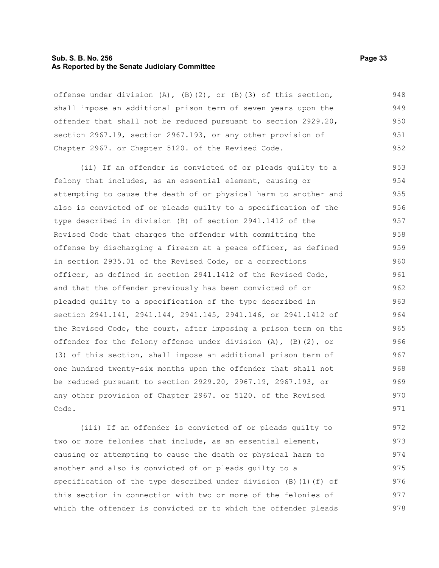#### **Sub. S. B. No. 256 Page 33 As Reported by the Senate Judiciary Committee**

offense under division  $(A)$ ,  $(B)$   $(2)$ , or  $(B)$   $(3)$  of this section, shall impose an additional prison term of seven years upon the offender that shall not be reduced pursuant to section 2929.20, section 2967.19, section 2967.193, or any other provision of Chapter 2967. or Chapter 5120. of the Revised Code. 948 949 950 951 952

(ii) If an offender is convicted of or pleads guilty to a felony that includes, as an essential element, causing or attempting to cause the death of or physical harm to another and also is convicted of or pleads guilty to a specification of the type described in division (B) of section 2941.1412 of the Revised Code that charges the offender with committing the offense by discharging a firearm at a peace officer, as defined in section 2935.01 of the Revised Code, or a corrections officer, as defined in section 2941.1412 of the Revised Code, and that the offender previously has been convicted of or pleaded guilty to a specification of the type described in section 2941.141, 2941.144, 2941.145, 2941.146, or 2941.1412 of the Revised Code, the court, after imposing a prison term on the offender for the felony offense under division (A), (B)(2), or (3) of this section, shall impose an additional prison term of one hundred twenty-six months upon the offender that shall not be reduced pursuant to section 2929.20, 2967.19, 2967.193, or any other provision of Chapter 2967. or 5120. of the Revised Code. 953 954 955 956 957 958 959 960 961 962 963 964 965 966 967 968 969 970 971

(iii) If an offender is convicted of or pleads guilty to two or more felonies that include, as an essential element, causing or attempting to cause the death or physical harm to another and also is convicted of or pleads guilty to a specification of the type described under division  $(B)$  (1)(f) of this section in connection with two or more of the felonies of which the offender is convicted or to which the offender pleads 972 973 974 975 976 977 978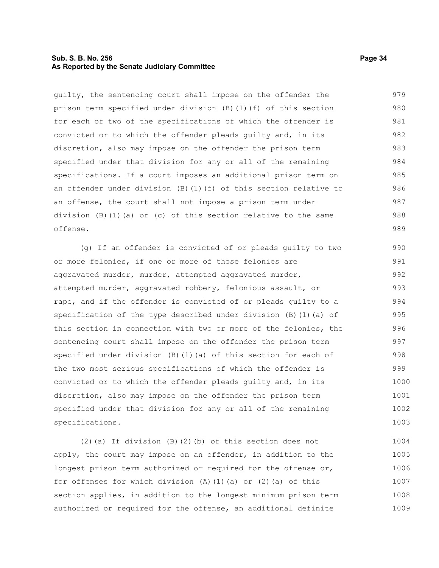#### **Sub. S. B. No. 256 Page 34 As Reported by the Senate Judiciary Committee**

guilty, the sentencing court shall impose on the offender the prison term specified under division (B)(1)(f) of this section for each of two of the specifications of which the offender is convicted or to which the offender pleads guilty and, in its discretion, also may impose on the offender the prison term specified under that division for any or all of the remaining specifications. If a court imposes an additional prison term on an offender under division  $(B)$  (1)(f) of this section relative to an offense, the court shall not impose a prison term under division  $(B)$  (1)(a) or (c) of this section relative to the same offense. 979 980 981 982 983 984 985 986 987 988 989

(g) If an offender is convicted of or pleads guilty to two or more felonies, if one or more of those felonies are aggravated murder, murder, attempted aggravated murder, attempted murder, aggravated robbery, felonious assault, or rape, and if the offender is convicted of or pleads guilty to a specification of the type described under division (B)(1)(a) of this section in connection with two or more of the felonies, the sentencing court shall impose on the offender the prison term specified under division (B)(1)(a) of this section for each of the two most serious specifications of which the offender is convicted or to which the offender pleads guilty and, in its discretion, also may impose on the offender the prison term specified under that division for any or all of the remaining specifications. 990 991 992 993 994 995 996 997 998 999 1000 1001 1002 1003

(2)(a) If division (B)(2)(b) of this section does not apply, the court may impose on an offender, in addition to the longest prison term authorized or required for the offense or, for offenses for which division  $(A)$   $(1)$   $(a)$  or  $(2)$   $(a)$  of this section applies, in addition to the longest minimum prison term authorized or required for the offense, an additional definite 1004 1005 1006 1007 1008 1009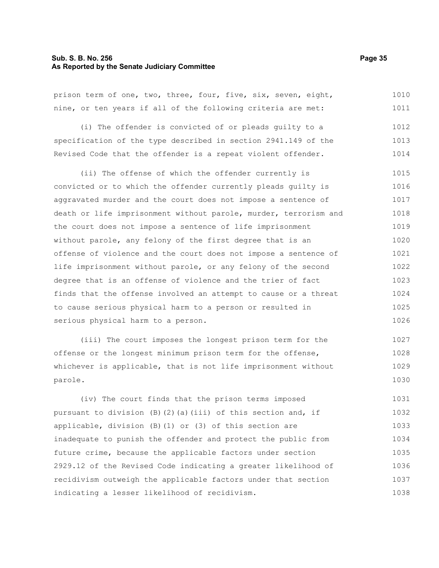#### **Sub. S. B. No. 256 Page 35 As Reported by the Senate Judiciary Committee**

parole.

prison term of one, two, three, four, five, six, seven, eight, nine, or ten years if all of the following criteria are met: (i) The offender is convicted of or pleads guilty to a specification of the type described in section 2941.149 of the Revised Code that the offender is a repeat violent offender. (ii) The offense of which the offender currently is convicted or to which the offender currently pleads guilty is aggravated murder and the court does not impose a sentence of death or life imprisonment without parole, murder, terrorism and the court does not impose a sentence of life imprisonment without parole, any felony of the first degree that is an offense of violence and the court does not impose a sentence of life imprisonment without parole, or any felony of the second degree that is an offense of violence and the trier of fact finds that the offense involved an attempt to cause or a threat to cause serious physical harm to a person or resulted in serious physical harm to a person. (iii) The court imposes the longest prison term for the offense or the longest minimum prison term for the offense, whichever is applicable, that is not life imprisonment without 1010 1011 1012 1013 1014 1015 1016 1017 1018 1019 1020 1021 1022 1023 1024 1025 1026 1027 1028 1029

(iv) The court finds that the prison terms imposed pursuant to division  $(B)$   $(2)$   $(a)$   $(iii)$  of this section and, if applicable, division (B)(1) or (3) of this section are inadequate to punish the offender and protect the public from future crime, because the applicable factors under section 2929.12 of the Revised Code indicating a greater likelihood of recidivism outweigh the applicable factors under that section indicating a lesser likelihood of recidivism. 1031 1032 1033 1034 1035 1036 1037 1038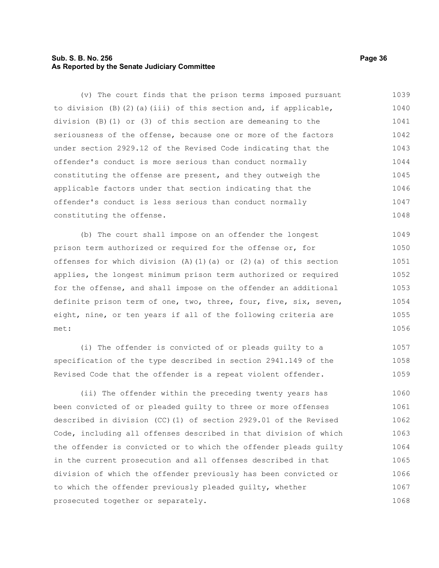#### **Sub. S. B. No. 256 Page 36 As Reported by the Senate Judiciary Committee**

(v) The court finds that the prison terms imposed pursuant to division (B)(2)(a)(iii) of this section and, if applicable, division (B)(1) or (3) of this section are demeaning to the seriousness of the offense, because one or more of the factors under section 2929.12 of the Revised Code indicating that the offender's conduct is more serious than conduct normally constituting the offense are present, and they outweigh the applicable factors under that section indicating that the offender's conduct is less serious than conduct normally constituting the offense. 1039 1040 1041 1042 1043 1044 1045 1046 1047 1048

(b) The court shall impose on an offender the longest prison term authorized or required for the offense or, for offenses for which division  $(A)$   $(1)$   $(a)$  or  $(2)$   $(a)$  of this section applies, the longest minimum prison term authorized or required for the offense, and shall impose on the offender an additional definite prison term of one, two, three, four, five, six, seven, eight, nine, or ten years if all of the following criteria are met: 1049 1050 1051 1052 1053 1054 1055 1056

(i) The offender is convicted of or pleads guilty to a specification of the type described in section 2941.149 of the Revised Code that the offender is a repeat violent offender. 1057 1058 1059

(ii) The offender within the preceding twenty years has been convicted of or pleaded guilty to three or more offenses described in division (CC)(1) of section 2929.01 of the Revised Code, including all offenses described in that division of which the offender is convicted or to which the offender pleads guilty in the current prosecution and all offenses described in that division of which the offender previously has been convicted or to which the offender previously pleaded guilty, whether prosecuted together or separately. 1060 1061 1062 1063 1064 1065 1066 1067 1068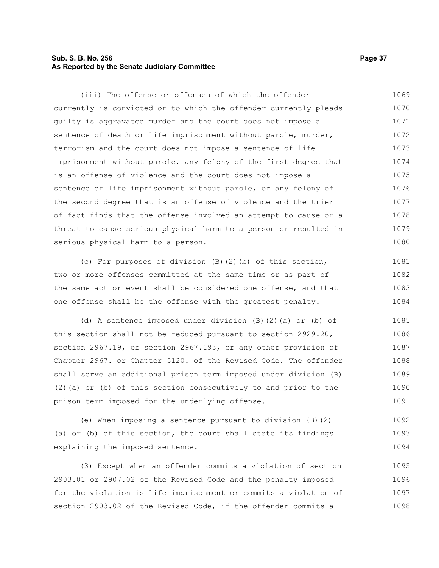### **Sub. S. B. No. 256 Page 37 As Reported by the Senate Judiciary Committee**

(iii) The offense or offenses of which the offender currently is convicted or to which the offender currently pleads guilty is aggravated murder and the court does not impose a sentence of death or life imprisonment without parole, murder, terrorism and the court does not impose a sentence of life imprisonment without parole, any felony of the first degree that is an offense of violence and the court does not impose a sentence of life imprisonment without parole, or any felony of the second degree that is an offense of violence and the trier of fact finds that the offense involved an attempt to cause or a threat to cause serious physical harm to a person or resulted in serious physical harm to a person. 1069 1070 1071 1072 1073 1074 1075 1076 1077 1078 1079 1080

(c) For purposes of division (B)(2)(b) of this section, two or more offenses committed at the same time or as part of the same act or event shall be considered one offense, and that one offense shall be the offense with the greatest penalty. 1081 1082 1083 1084

(d) A sentence imposed under division (B)(2)(a) or (b) of this section shall not be reduced pursuant to section 2929.20, section 2967.19, or section 2967.193, or any other provision of Chapter 2967. or Chapter 5120. of the Revised Code. The offender shall serve an additional prison term imposed under division (B) (2)(a) or (b) of this section consecutively to and prior to the prison term imposed for the underlying offense. 1085 1086 1087 1088 1089 1090 1091

(e) When imposing a sentence pursuant to division (B)(2) (a) or (b) of this section, the court shall state its findings explaining the imposed sentence. 1092 1093 1094

(3) Except when an offender commits a violation of section 2903.01 or 2907.02 of the Revised Code and the penalty imposed for the violation is life imprisonment or commits a violation of section 2903.02 of the Revised Code, if the offender commits a 1095 1096 1097 1098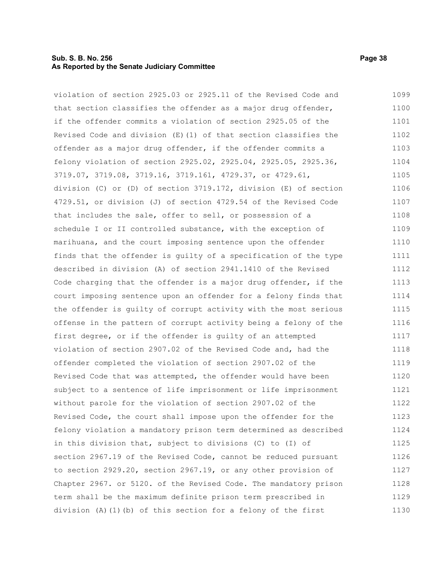#### **Sub. S. B. No. 256 Page 38 As Reported by the Senate Judiciary Committee**

violation of section 2925.03 or 2925.11 of the Revised Code and that section classifies the offender as a major drug offender, if the offender commits a violation of section 2925.05 of the Revised Code and division  $(E)$  (1) of that section classifies the offender as a major drug offender, if the offender commits a felony violation of section 2925.02, 2925.04, 2925.05, 2925.36, 3719.07, 3719.08, 3719.16, 3719.161, 4729.37, or 4729.61, division (C) or (D) of section 3719.172, division (E) of section 4729.51, or division (J) of section 4729.54 of the Revised Code that includes the sale, offer to sell, or possession of a schedule I or II controlled substance, with the exception of marihuana, and the court imposing sentence upon the offender finds that the offender is guilty of a specification of the type described in division (A) of section 2941.1410 of the Revised Code charging that the offender is a major drug offender, if the court imposing sentence upon an offender for a felony finds that the offender is guilty of corrupt activity with the most serious offense in the pattern of corrupt activity being a felony of the first degree, or if the offender is guilty of an attempted violation of section 2907.02 of the Revised Code and, had the offender completed the violation of section 2907.02 of the Revised Code that was attempted, the offender would have been subject to a sentence of life imprisonment or life imprisonment without parole for the violation of section 2907.02 of the Revised Code, the court shall impose upon the offender for the felony violation a mandatory prison term determined as described in this division that, subject to divisions (C) to (I) of section 2967.19 of the Revised Code, cannot be reduced pursuant to section 2929.20, section 2967.19, or any other provision of Chapter 2967. or 5120. of the Revised Code. The mandatory prison term shall be the maximum definite prison term prescribed in division (A)(1)(b) of this section for a felony of the first 1099 1100 1101 1102 1103 1104 1105 1106 1107 1108 1109 1110 1111 1112 1113 1114 1115 1116 1117 1118 1119 1120 1121 1122 1123 1124 1125 1126 1127 1128 1129 1130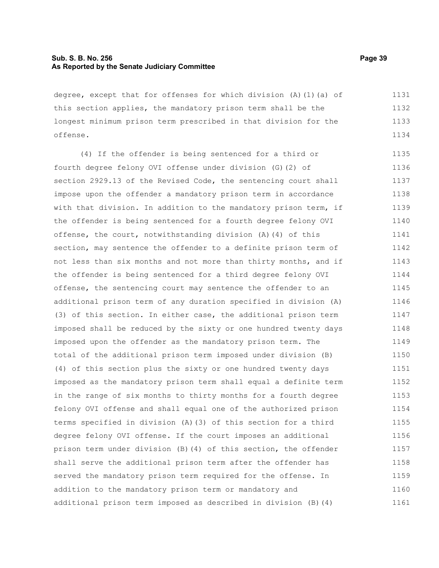#### **Sub. S. B. No. 256 Page 39 As Reported by the Senate Judiciary Committee**

degree, except that for offenses for which division (A)(1)(a) of this section applies, the mandatory prison term shall be the longest minimum prison term prescribed in that division for the offense. 1131 1132 1133 1134

(4) If the offender is being sentenced for a third or fourth degree felony OVI offense under division (G)(2) of section 2929.13 of the Revised Code, the sentencing court shall impose upon the offender a mandatory prison term in accordance with that division. In addition to the mandatory prison term, if the offender is being sentenced for a fourth degree felony OVI offense, the court, notwithstanding division (A)(4) of this section, may sentence the offender to a definite prison term of not less than six months and not more than thirty months, and if the offender is being sentenced for a third degree felony OVI offense, the sentencing court may sentence the offender to an additional prison term of any duration specified in division (A) (3) of this section. In either case, the additional prison term imposed shall be reduced by the sixty or one hundred twenty days imposed upon the offender as the mandatory prison term. The total of the additional prison term imposed under division (B) (4) of this section plus the sixty or one hundred twenty days imposed as the mandatory prison term shall equal a definite term in the range of six months to thirty months for a fourth degree felony OVI offense and shall equal one of the authorized prison terms specified in division (A)(3) of this section for a third degree felony OVI offense. If the court imposes an additional prison term under division (B)(4) of this section, the offender shall serve the additional prison term after the offender has served the mandatory prison term required for the offense. In addition to the mandatory prison term or mandatory and additional prison term imposed as described in division (B)(4) 1135 1136 1137 1138 1139 1140 1141 1142 1143 1144 1145 1146 1147 1148 1149 1150 1151 1152 1153 1154 1155 1156 1157 1158 1159 1160 1161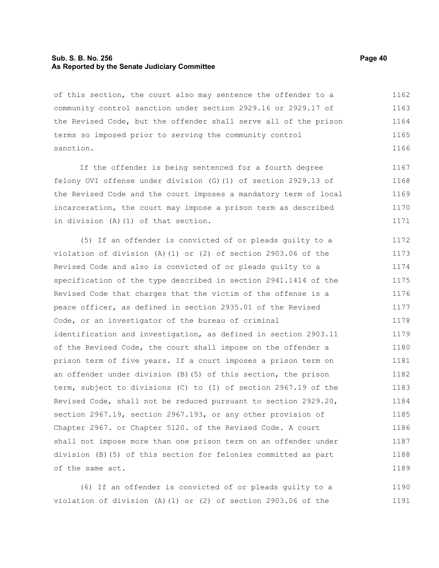#### **Sub. S. B. No. 256 Page 40 As Reported by the Senate Judiciary Committee**

of this section, the court also may sentence the offender to a community control sanction under section 2929.16 or 2929.17 of the Revised Code, but the offender shall serve all of the prison terms so imposed prior to serving the community control sanction. 1162 1163 1164 1165 1166

If the offender is being sentenced for a fourth degree felony OVI offense under division (G)(1) of section 2929.13 of the Revised Code and the court imposes a mandatory term of local incarceration, the court may impose a prison term as described in division (A)(1) of that section. 1167 1168 1169 1170 1171

(5) If an offender is convicted of or pleads guilty to a violation of division (A)(1) or (2) of section 2903.06 of the Revised Code and also is convicted of or pleads guilty to a specification of the type described in section 2941.1414 of the Revised Code that charges that the victim of the offense is a peace officer, as defined in section 2935.01 of the Revised Code, or an investigator of the bureau of criminal identification and investigation, as defined in section 2903.11 of the Revised Code, the court shall impose on the offender a prison term of five years. If a court imposes a prison term on an offender under division (B)(5) of this section, the prison term, subject to divisions (C) to (I) of section 2967.19 of the Revised Code, shall not be reduced pursuant to section 2929.20, section 2967.19, section 2967.193, or any other provision of Chapter 2967. or Chapter 5120. of the Revised Code. A court shall not impose more than one prison term on an offender under division (B)(5) of this section for felonies committed as part of the same act. 1172 1173 1174 1175 1176 1177 1178 1179 1180 1181 1182 1183 1184 1185 1186 1187 1188 1189

(6) If an offender is convicted of or pleads guilty to a violation of division (A)(1) or (2) of section 2903.06 of the 1190 1191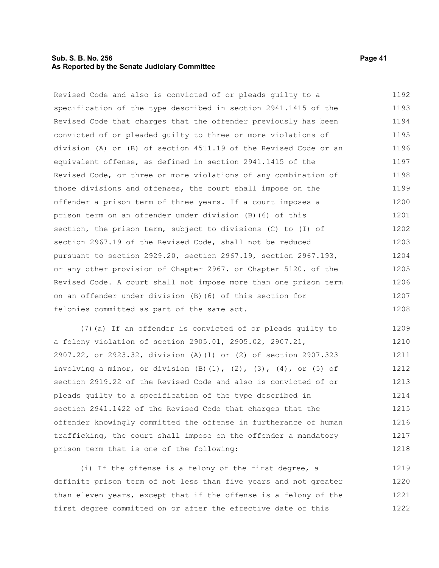#### **Sub. S. B. No. 256 Page 41 As Reported by the Senate Judiciary Committee**

Revised Code and also is convicted of or pleads guilty to a specification of the type described in section 2941.1415 of the Revised Code that charges that the offender previously has been convicted of or pleaded guilty to three or more violations of division (A) or (B) of section 4511.19 of the Revised Code or an equivalent offense, as defined in section 2941.1415 of the Revised Code, or three or more violations of any combination of those divisions and offenses, the court shall impose on the offender a prison term of three years. If a court imposes a prison term on an offender under division (B)(6) of this section, the prison term, subject to divisions (C) to (I) of section 2967.19 of the Revised Code, shall not be reduced pursuant to section 2929.20, section 2967.19, section 2967.193, or any other provision of Chapter 2967. or Chapter 5120. of the Revised Code. A court shall not impose more than one prison term on an offender under division (B)(6) of this section for felonies committed as part of the same act. 1192 1193 1194 1195 1196 1197 1198 1199 1200 1201 1202 1203 1204 1205 1206 1207 1208

(7)(a) If an offender is convicted of or pleads guilty to a felony violation of section 2905.01, 2905.02, 2907.21, 2907.22, or 2923.32, division (A)(1) or (2) of section 2907.323 involving a minor, or division  $(B)$   $(1)$ ,  $(2)$ ,  $(3)$ ,  $(4)$ , or  $(5)$  of section 2919.22 of the Revised Code and also is convicted of or pleads guilty to a specification of the type described in section 2941.1422 of the Revised Code that charges that the offender knowingly committed the offense in furtherance of human trafficking, the court shall impose on the offender a mandatory prison term that is one of the following: 1209 1210 1211 1212 1213 1214 1215 1216 1217 1218

(i) If the offense is a felony of the first degree, a definite prison term of not less than five years and not greater than eleven years, except that if the offense is a felony of the first degree committed on or after the effective date of this 1219 1220 1221 1222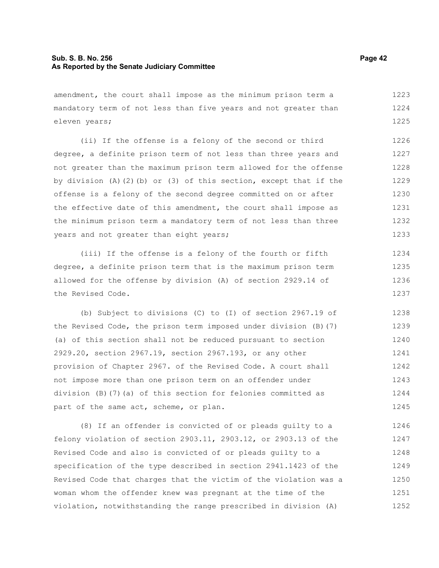#### **Sub. S. B. No. 256 Page 42 As Reported by the Senate Judiciary Committee**

amendment, the court shall impose as the minimum prison term a mandatory term of not less than five years and not greater than eleven years; 1223 1224 1225

(ii) If the offense is a felony of the second or third degree, a definite prison term of not less than three years and not greater than the maximum prison term allowed for the offense by division  $(A)$   $(2)$   $(b)$  or  $(3)$  of this section, except that if the offense is a felony of the second degree committed on or after the effective date of this amendment, the court shall impose as the minimum prison term a mandatory term of not less than three years and not greater than eight years; 1226 1227 1228 1229 1230 1231 1232 1233

(iii) If the offense is a felony of the fourth or fifth degree, a definite prison term that is the maximum prison term allowed for the offense by division (A) of section 2929.14 of the Revised Code. 1234 1235 1236 1237

(b) Subject to divisions (C) to (I) of section 2967.19 of the Revised Code, the prison term imposed under division (B)(7) (a) of this section shall not be reduced pursuant to section 2929.20, section 2967.19, section 2967.193, or any other provision of Chapter 2967. of the Revised Code. A court shall not impose more than one prison term on an offender under division (B)(7)(a) of this section for felonies committed as part of the same act, scheme, or plan. 1238 1239 1240 1241 1242 1243 1244 1245

(8) If an offender is convicted of or pleads guilty to a felony violation of section 2903.11, 2903.12, or 2903.13 of the Revised Code and also is convicted of or pleads guilty to a specification of the type described in section 2941.1423 of the Revised Code that charges that the victim of the violation was a woman whom the offender knew was pregnant at the time of the violation, notwithstanding the range prescribed in division (A) 1246 1247 1248 1249 1250 1251 1252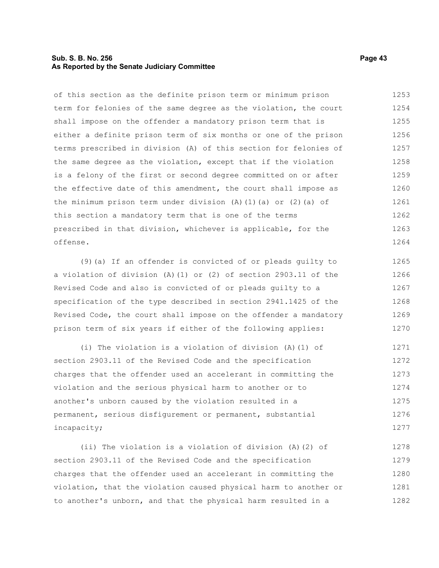#### **Sub. S. B. No. 256 Page 43 As Reported by the Senate Judiciary Committee**

of this section as the definite prison term or minimum prison term for felonies of the same degree as the violation, the court shall impose on the offender a mandatory prison term that is either a definite prison term of six months or one of the prison terms prescribed in division (A) of this section for felonies of the same degree as the violation, except that if the violation is a felony of the first or second degree committed on or after the effective date of this amendment, the court shall impose as the minimum prison term under division (A)(1)(a) or (2)(a) of this section a mandatory term that is one of the terms prescribed in that division, whichever is applicable, for the offense. 1253 1254 1255 1256 1257 1258 1259 1260 1261 1262 1263 1264

(9)(a) If an offender is convicted of or pleads guilty to a violation of division (A)(1) or (2) of section 2903.11 of the Revised Code and also is convicted of or pleads guilty to a specification of the type described in section 2941.1425 of the Revised Code, the court shall impose on the offender a mandatory prison term of six years if either of the following applies: 1265 1266 1267 1268 1269 1270

(i) The violation is a violation of division (A)(1) of section 2903.11 of the Revised Code and the specification charges that the offender used an accelerant in committing the violation and the serious physical harm to another or to another's unborn caused by the violation resulted in a permanent, serious disfigurement or permanent, substantial incapacity; 1271 1272 1273 1274 1275 1276 1277

(ii) The violation is a violation of division (A)(2) of section 2903.11 of the Revised Code and the specification charges that the offender used an accelerant in committing the violation, that the violation caused physical harm to another or to another's unborn, and that the physical harm resulted in a 1278 1279 1280 1281 1282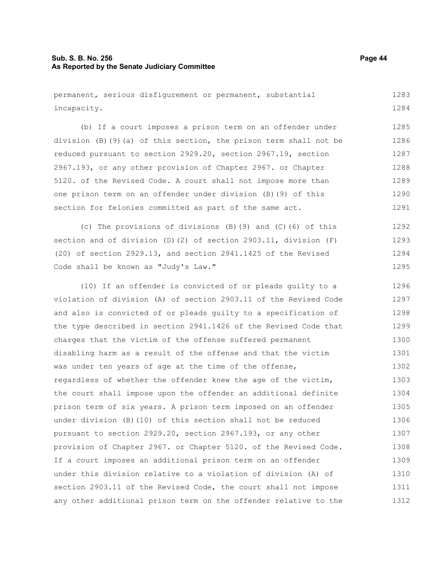### **Sub. S. B. No. 256 Page 44 As Reported by the Senate Judiciary Committee**

permanent, serious disfigurement or permanent, substantial incapacity. 1283 1284

(b) If a court imposes a prison term on an offender under division (B)(9)(a) of this section, the prison term shall not be reduced pursuant to section 2929.20, section 2967.19, section 2967.193, or any other provision of Chapter 2967. or Chapter 5120. of the Revised Code. A court shall not impose more than one prison term on an offender under division (B)(9) of this section for felonies committed as part of the same act. 1285 1286 1287 1288 1289 1290 1291

(c) The provisions of divisions (B)(9) and (C)(6) of this section and of division (D)(2) of section 2903.11, division (F) (20) of section 2929.13, and section 2941.1425 of the Revised Code shall be known as "Judy's Law." 1292 1293 1294 1295

(10) If an offender is convicted of or pleads guilty to a violation of division (A) of section 2903.11 of the Revised Code and also is convicted of or pleads guilty to a specification of the type described in section 2941.1426 of the Revised Code that charges that the victim of the offense suffered permanent disabling harm as a result of the offense and that the victim was under ten years of age at the time of the offense, regardless of whether the offender knew the age of the victim, the court shall impose upon the offender an additional definite prison term of six years. A prison term imposed on an offender under division (B)(10) of this section shall not be reduced pursuant to section 2929.20, section 2967.193, or any other provision of Chapter 2967. or Chapter 5120. of the Revised Code. If a court imposes an additional prison term on an offender under this division relative to a violation of division (A) of section 2903.11 of the Revised Code, the court shall not impose any other additional prison term on the offender relative to the 1296 1297 1298 1299 1300 1301 1302 1303 1304 1305 1306 1307 1308 1309 1310 1311 1312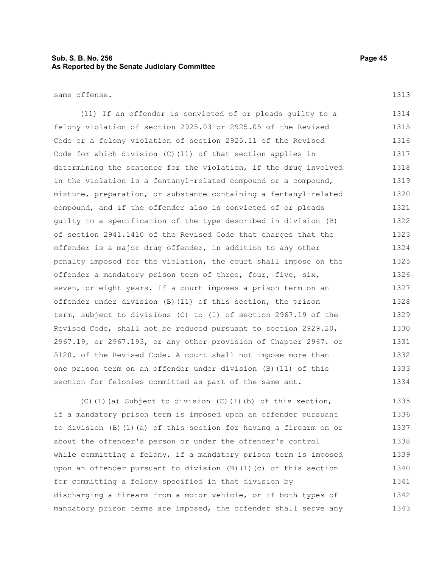### **Sub. S. B. No. 256 Page 45 As Reported by the Senate Judiciary Committee**

same offense.

(11) If an offender is convicted of or pleads guilty to a felony violation of section 2925.03 or 2925.05 of the Revised Code or a felony violation of section 2925.11 of the Revised Code for which division (C)(11) of that section applies in determining the sentence for the violation, if the drug involved in the violation is a fentanyl-related compound or a compound, mixture, preparation, or substance containing a fentanyl-related compound, and if the offender also is convicted of or pleads guilty to a specification of the type described in division (B) of section 2941.1410 of the Revised Code that charges that the offender is a major drug offender, in addition to any other penalty imposed for the violation, the court shall impose on the offender a mandatory prison term of three, four, five, six, seven, or eight years. If a court imposes a prison term on an offender under division (B)(11) of this section, the prison term, subject to divisions (C) to (I) of section 2967.19 of the Revised Code, shall not be reduced pursuant to section 2929.20, 2967.19, or 2967.193, or any other provision of Chapter 2967. or 5120. of the Revised Code. A court shall not impose more than one prison term on an offender under division (B)(11) of this section for felonies committed as part of the same act. 1314 1315 1316 1317 1318 1319 1320 1321 1322 1323 1324 1325 1326 1327 1328 1329 1330 1331 1332 1333 1334

(C)(1)(a) Subject to division (C)(1)(b) of this section, if a mandatory prison term is imposed upon an offender pursuant to division (B)(1)(a) of this section for having a firearm on or about the offender's person or under the offender's control while committing a felony, if a mandatory prison term is imposed upon an offender pursuant to division (B)(1)(c) of this section for committing a felony specified in that division by discharging a firearm from a motor vehicle, or if both types of mandatory prison terms are imposed, the offender shall serve any 1335 1336 1337 1338 1339 1340 1341 1342 1343

1313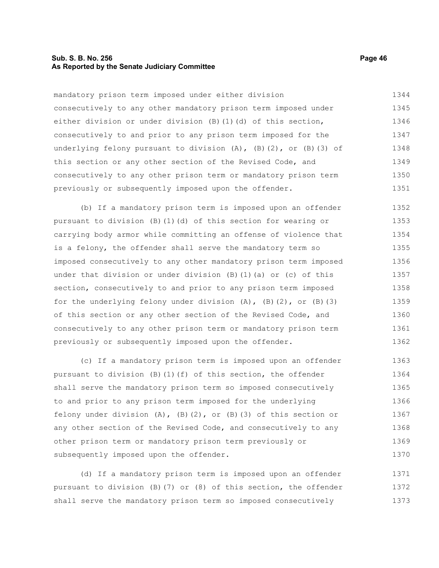#### **Sub. S. B. No. 256 Page 46 As Reported by the Senate Judiciary Committee**

mandatory prison term imposed under either division consecutively to any other mandatory prison term imposed under either division or under division (B)(1)(d) of this section, consecutively to and prior to any prison term imposed for the underlying felony pursuant to division  $(A)$ ,  $(B)$   $(2)$ , or  $(B)$   $(3)$  of this section or any other section of the Revised Code, and consecutively to any other prison term or mandatory prison term previously or subsequently imposed upon the offender. 1344 1345 1346 1347 1348 1349 1350 1351

(b) If a mandatory prison term is imposed upon an offender pursuant to division (B)(1)(d) of this section for wearing or carrying body armor while committing an offense of violence that is a felony, the offender shall serve the mandatory term so imposed consecutively to any other mandatory prison term imposed under that division or under division (B)(1)(a) or (c) of this section, consecutively to and prior to any prison term imposed for the underlying felony under division  $(A)$ ,  $(B)$   $(2)$ , or  $(B)$   $(3)$ of this section or any other section of the Revised Code, and consecutively to any other prison term or mandatory prison term previously or subsequently imposed upon the offender. 1352 1353 1354 1355 1356 1357 1358 1359 1360 1361 1362

(c) If a mandatory prison term is imposed upon an offender pursuant to division (B)(1)(f) of this section, the offender shall serve the mandatory prison term so imposed consecutively to and prior to any prison term imposed for the underlying felony under division  $(A)$ ,  $(B)$   $(2)$ , or  $(B)$   $(3)$  of this section or any other section of the Revised Code, and consecutively to any other prison term or mandatory prison term previously or subsequently imposed upon the offender. 1363 1364 1365 1366 1367 1368 1369 1370

(d) If a mandatory prison term is imposed upon an offender pursuant to division (B)(7) or (8) of this section, the offender shall serve the mandatory prison term so imposed consecutively 1371 1372 1373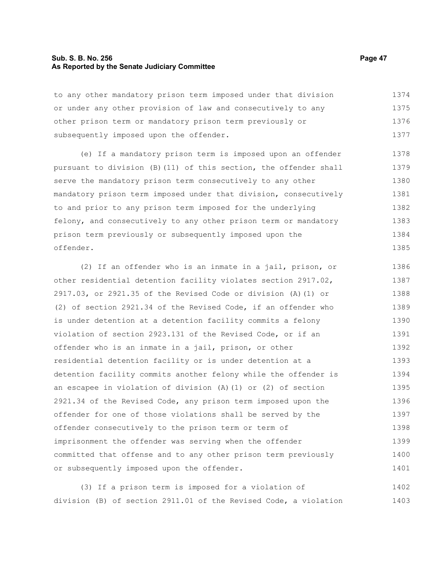#### **Sub. S. B. No. 256 Page 47 As Reported by the Senate Judiciary Committee**

to any other mandatory prison term imposed under that division or under any other provision of law and consecutively to any other prison term or mandatory prison term previously or subsequently imposed upon the offender. 1374 1375 1376 1377

(e) If a mandatory prison term is imposed upon an offender pursuant to division (B)(11) of this section, the offender shall serve the mandatory prison term consecutively to any other mandatory prison term imposed under that division, consecutively to and prior to any prison term imposed for the underlying felony, and consecutively to any other prison term or mandatory prison term previously or subsequently imposed upon the offender. 1378 1379 1380 1381 1382 1383 1384 1385

(2) If an offender who is an inmate in a jail, prison, or other residential detention facility violates section 2917.02, 2917.03, or 2921.35 of the Revised Code or division (A)(1) or (2) of section 2921.34 of the Revised Code, if an offender who is under detention at a detention facility commits a felony violation of section 2923.131 of the Revised Code, or if an offender who is an inmate in a jail, prison, or other residential detention facility or is under detention at a detention facility commits another felony while the offender is an escapee in violation of division (A)(1) or (2) of section 2921.34 of the Revised Code, any prison term imposed upon the offender for one of those violations shall be served by the offender consecutively to the prison term or term of imprisonment the offender was serving when the offender committed that offense and to any other prison term previously or subsequently imposed upon the offender. 1386 1387 1388 1389 1390 1391 1392 1393 1394 1395 1396 1397 1398 1399 1400 1401

(3) If a prison term is imposed for a violation of division (B) of section 2911.01 of the Revised Code, a violation 1402 1403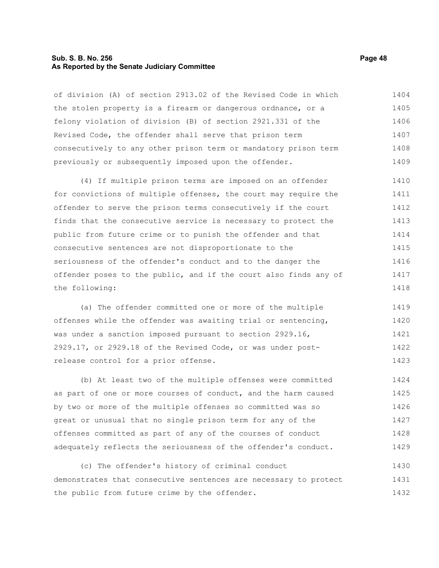#### **Sub. S. B. No. 256 Page 48 As Reported by the Senate Judiciary Committee**

of division (A) of section 2913.02 of the Revised Code in which the stolen property is a firearm or dangerous ordnance, or a felony violation of division (B) of section 2921.331 of the Revised Code, the offender shall serve that prison term consecutively to any other prison term or mandatory prison term previously or subsequently imposed upon the offender. 1404 1405 1406 1407 1408 1409

(4) If multiple prison terms are imposed on an offender for convictions of multiple offenses, the court may require the offender to serve the prison terms consecutively if the court finds that the consecutive service is necessary to protect the public from future crime or to punish the offender and that consecutive sentences are not disproportionate to the seriousness of the offender's conduct and to the danger the offender poses to the public, and if the court also finds any of the following: 1410 1411 1412 1413 1414 1415 1416 1417 1418

(a) The offender committed one or more of the multiple offenses while the offender was awaiting trial or sentencing, was under a sanction imposed pursuant to section 2929.16, 2929.17, or 2929.18 of the Revised Code, or was under postrelease control for a prior offense. 1419 1420 1421 1422 1423

(b) At least two of the multiple offenses were committed as part of one or more courses of conduct, and the harm caused by two or more of the multiple offenses so committed was so great or unusual that no single prison term for any of the offenses committed as part of any of the courses of conduct adequately reflects the seriousness of the offender's conduct. 1424 1425 1426 1427 1428 1429

(c) The offender's history of criminal conduct demonstrates that consecutive sentences are necessary to protect the public from future crime by the offender. 1430 1431 1432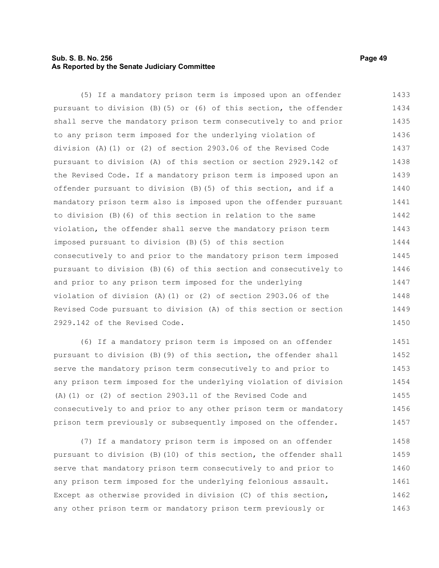### **Sub. S. B. No. 256 Page 49 As Reported by the Senate Judiciary Committee**

(5) If a mandatory prison term is imposed upon an offender pursuant to division (B)(5) or (6) of this section, the offender shall serve the mandatory prison term consecutively to and prior to any prison term imposed for the underlying violation of division (A)(1) or (2) of section 2903.06 of the Revised Code pursuant to division (A) of this section or section 2929.142 of the Revised Code. If a mandatory prison term is imposed upon an offender pursuant to division (B)(5) of this section, and if a mandatory prison term also is imposed upon the offender pursuant to division (B)(6) of this section in relation to the same violation, the offender shall serve the mandatory prison term imposed pursuant to division (B)(5) of this section consecutively to and prior to the mandatory prison term imposed pursuant to division (B)(6) of this section and consecutively to and prior to any prison term imposed for the underlying violation of division (A)(1) or (2) of section 2903.06 of the Revised Code pursuant to division (A) of this section or section 2929.142 of the Revised Code. 1433 1434 1435 1436 1437 1438 1439 1440 1441 1442 1443 1444 1445 1446 1447 1448 1449 1450

(6) If a mandatory prison term is imposed on an offender pursuant to division (B)(9) of this section, the offender shall serve the mandatory prison term consecutively to and prior to any prison term imposed for the underlying violation of division (A)(1) or (2) of section 2903.11 of the Revised Code and consecutively to and prior to any other prison term or mandatory prison term previously or subsequently imposed on the offender. 1451 1452 1453 1454 1455 1456 1457

(7) If a mandatory prison term is imposed on an offender pursuant to division (B)(10) of this section, the offender shall serve that mandatory prison term consecutively to and prior to any prison term imposed for the underlying felonious assault. Except as otherwise provided in division (C) of this section, any other prison term or mandatory prison term previously or 1458 1459 1460 1461 1462 1463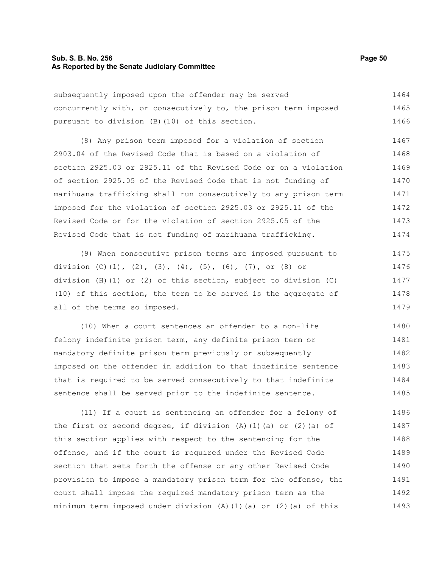#### **Sub. S. B. No. 256 Page 50 As Reported by the Senate Judiciary Committee**

subsequently imposed upon the offender may be served concurrently with, or consecutively to, the prison term imposed pursuant to division (B)(10) of this section. 1464 1465 1466

(8) Any prison term imposed for a violation of section 2903.04 of the Revised Code that is based on a violation of section 2925.03 or 2925.11 of the Revised Code or on a violation of section 2925.05 of the Revised Code that is not funding of marihuana trafficking shall run consecutively to any prison term imposed for the violation of section 2925.03 or 2925.11 of the Revised Code or for the violation of section 2925.05 of the Revised Code that is not funding of marihuana trafficking. 1467 1468 1469 1470 1471 1472 1473 1474

(9) When consecutive prison terms are imposed pursuant to division (C)(1), (2), (3), (4), (5), (6), (7), or (8) or division (H)(1) or (2) of this section, subject to division (C) (10) of this section, the term to be served is the aggregate of all of the terms so imposed. 1475 1476 1477 1478 1479

(10) When a court sentences an offender to a non-life felony indefinite prison term, any definite prison term or mandatory definite prison term previously or subsequently imposed on the offender in addition to that indefinite sentence that is required to be served consecutively to that indefinite sentence shall be served prior to the indefinite sentence. 1480 1481 1482 1483 1484 1485

(11) If a court is sentencing an offender for a felony of the first or second degree, if division  $(A)$   $(1)$   $(a)$  or  $(2)$   $(a)$  of this section applies with respect to the sentencing for the offense, and if the court is required under the Revised Code section that sets forth the offense or any other Revised Code provision to impose a mandatory prison term for the offense, the court shall impose the required mandatory prison term as the minimum term imposed under division  $(A)$   $(1)$   $(a)$  or  $(2)$   $(a)$  of this 1486 1487 1488 1489 1490 1491 1492 1493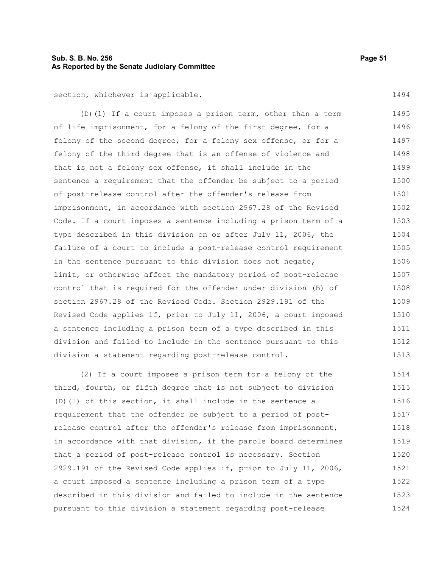### **Sub. S. B. No. 256 Page 51 As Reported by the Senate Judiciary Committee**

section, whichever is applicable.

(D)(1) If a court imposes a prison term, other than a term of life imprisonment, for a felony of the first degree, for a felony of the second degree, for a felony sex offense, or for a felony of the third degree that is an offense of violence and that is not a felony sex offense, it shall include in the sentence a requirement that the offender be subject to a period of post-release control after the offender's release from imprisonment, in accordance with section 2967.28 of the Revised Code. If a court imposes a sentence including a prison term of a type described in this division on or after July 11, 2006, the failure of a court to include a post-release control requirement in the sentence pursuant to this division does not negate, limit, or otherwise affect the mandatory period of post-release control that is required for the offender under division (B) of section 2967.28 of the Revised Code. Section 2929.191 of the Revised Code applies if, prior to July 11, 2006, a court imposed a sentence including a prison term of a type described in this division and failed to include in the sentence pursuant to this division a statement regarding post-release control. 1495 1496 1497 1498 1499 1500 1501 1502 1503 1504 1505 1506 1507 1508 1509 1510 1511 1512 1513

(2) If a court imposes a prison term for a felony of the third, fourth, or fifth degree that is not subject to division (D)(1) of this section, it shall include in the sentence a requirement that the offender be subject to a period of postrelease control after the offender's release from imprisonment, in accordance with that division, if the parole board determines that a period of post-release control is necessary. Section 2929.191 of the Revised Code applies if, prior to July 11, 2006, a court imposed a sentence including a prison term of a type described in this division and failed to include in the sentence pursuant to this division a statement regarding post-release 1514 1515 1516 1517 1518 1519 1520 1521 1522 1523 1524

1494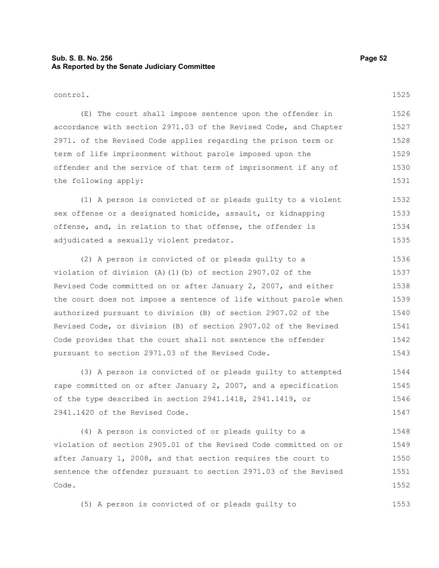### **Sub. S. B. No. 256 Page 52 As Reported by the Senate Judiciary Committee**

#### control.

(E) The court shall impose sentence upon the offender in accordance with section 2971.03 of the Revised Code, and Chapter 2971. of the Revised Code applies regarding the prison term or term of life imprisonment without parole imposed upon the offender and the service of that term of imprisonment if any of the following apply: 1526 1527 1528 1529 1530 1531

(1) A person is convicted of or pleads guilty to a violent sex offense or a designated homicide, assault, or kidnapping offense, and, in relation to that offense, the offender is adjudicated a sexually violent predator. 1532 1533 1534 1535

(2) A person is convicted of or pleads guilty to a violation of division (A)(1)(b) of section 2907.02 of the Revised Code committed on or after January 2, 2007, and either the court does not impose a sentence of life without parole when authorized pursuant to division (B) of section 2907.02 of the Revised Code, or division (B) of section 2907.02 of the Revised Code provides that the court shall not sentence the offender pursuant to section 2971.03 of the Revised Code. 1536 1537 1538 1539 1540 1541 1542 1543

(3) A person is convicted of or pleads guilty to attempted rape committed on or after January 2, 2007, and a specification of the type described in section 2941.1418, 2941.1419, or 2941.1420 of the Revised Code. 1544 1545 1546 1547

(4) A person is convicted of or pleads guilty to a violation of section 2905.01 of the Revised Code committed on or after January 1, 2008, and that section requires the court to sentence the offender pursuant to section 2971.03 of the Revised Code. 1548 1549 1550 1551 1552

(5) A person is convicted of or pleads guilty to

1553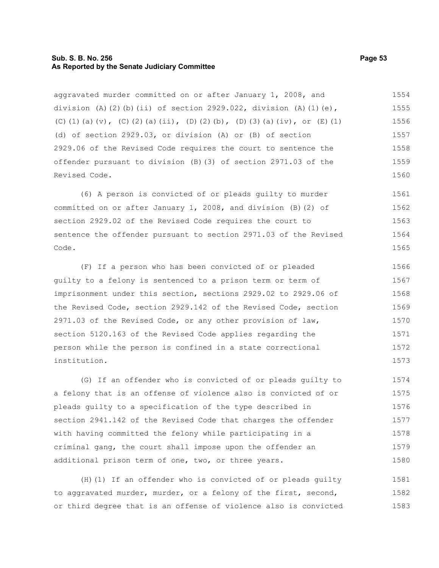#### **Sub. S. B. No. 256 Page 53 As Reported by the Senate Judiciary Committee**

aggravated murder committed on or after January 1, 2008, and division (A)(2)(b)(ii) of section 2929.022, division (A)(1)(e), (C)(1)(a)(v), (C)(2)(a)(ii), (D)(2)(b), (D)(3)(a)(iv), or (E)(1) (d) of section 2929.03, or division (A) or (B) of section 2929.06 of the Revised Code requires the court to sentence the offender pursuant to division (B)(3) of section 2971.03 of the Revised Code. 1554 1555 1556 1557 1558 1559 1560

(6) A person is convicted of or pleads guilty to murder committed on or after January 1, 2008, and division (B)(2) of section 2929.02 of the Revised Code requires the court to sentence the offender pursuant to section 2971.03 of the Revised Code. 1561 1562 1563 1564 1565

(F) If a person who has been convicted of or pleaded guilty to a felony is sentenced to a prison term or term of imprisonment under this section, sections 2929.02 to 2929.06 of the Revised Code, section 2929.142 of the Revised Code, section 2971.03 of the Revised Code, or any other provision of law, section 5120.163 of the Revised Code applies regarding the person while the person is confined in a state correctional institution. 1566 1567 1568 1569 1570 1571 1572 1573

(G) If an offender who is convicted of or pleads guilty to a felony that is an offense of violence also is convicted of or pleads guilty to a specification of the type described in section 2941.142 of the Revised Code that charges the offender with having committed the felony while participating in a criminal gang, the court shall impose upon the offender an additional prison term of one, two, or three years. 1574 1575 1576 1577 1578 1579 1580

(H)(1) If an offender who is convicted of or pleads guilty to aggravated murder, murder, or a felony of the first, second, or third degree that is an offense of violence also is convicted 1581 1582 1583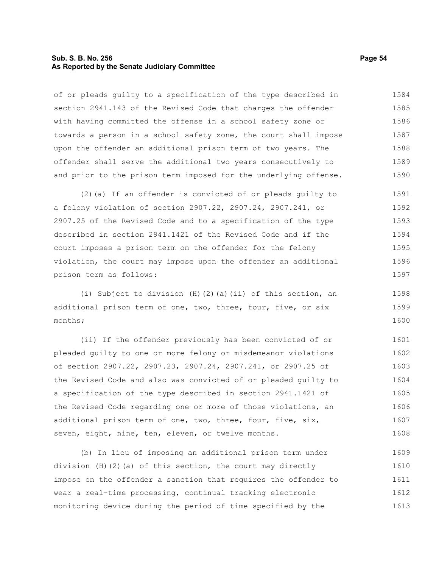#### **Sub. S. B. No. 256 Page 54 As Reported by the Senate Judiciary Committee**

of or pleads guilty to a specification of the type described in section 2941.143 of the Revised Code that charges the offender with having committed the offense in a school safety zone or towards a person in a school safety zone, the court shall impose upon the offender an additional prison term of two years. The offender shall serve the additional two years consecutively to and prior to the prison term imposed for the underlying offense. 1584 1585 1586 1587 1588 1589 1590

(2)(a) If an offender is convicted of or pleads guilty to a felony violation of section 2907.22, 2907.24, 2907.241, or 2907.25 of the Revised Code and to a specification of the type described in section 2941.1421 of the Revised Code and if the court imposes a prison term on the offender for the felony violation, the court may impose upon the offender an additional prison term as follows: 1591 1592 1593 1594 1595 1596 1597

(i) Subject to division (H)(2)(a)(ii) of this section, an additional prison term of one, two, three, four, five, or six months;

(ii) If the offender previously has been convicted of or pleaded guilty to one or more felony or misdemeanor violations of section 2907.22, 2907.23, 2907.24, 2907.241, or 2907.25 of the Revised Code and also was convicted of or pleaded guilty to a specification of the type described in section 2941.1421 of the Revised Code regarding one or more of those violations, an additional prison term of one, two, three, four, five, six, seven, eight, nine, ten, eleven, or twelve months. 1601 1602 1603 1604 1605 1606 1607 1608

(b) In lieu of imposing an additional prison term under division (H)(2)(a) of this section, the court may directly impose on the offender a sanction that requires the offender to wear a real-time processing, continual tracking electronic monitoring device during the period of time specified by the 1609 1610 1611 1612 1613

1598 1599 1600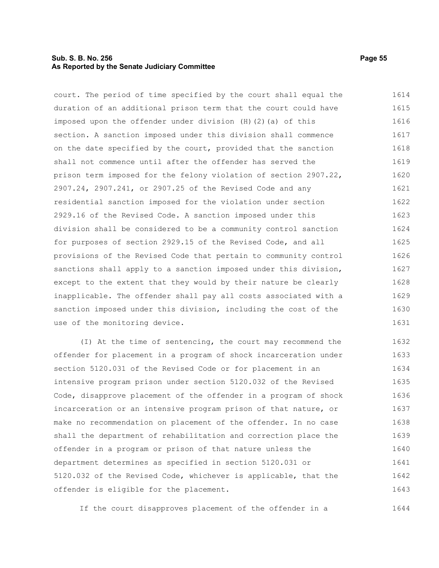#### **Sub. S. B. No. 256 Page 55 As Reported by the Senate Judiciary Committee**

court. The period of time specified by the court shall equal the duration of an additional prison term that the court could have imposed upon the offender under division (H)(2)(a) of this section. A sanction imposed under this division shall commence on the date specified by the court, provided that the sanction shall not commence until after the offender has served the prison term imposed for the felony violation of section 2907.22, 2907.24, 2907.241, or 2907.25 of the Revised Code and any residential sanction imposed for the violation under section 2929.16 of the Revised Code. A sanction imposed under this division shall be considered to be a community control sanction for purposes of section 2929.15 of the Revised Code, and all provisions of the Revised Code that pertain to community control sanctions shall apply to a sanction imposed under this division, except to the extent that they would by their nature be clearly inapplicable. The offender shall pay all costs associated with a sanction imposed under this division, including the cost of the use of the monitoring device. 1614 1615 1616 1617 1618 1619 1620 1621 1622 1623 1624 1625 1626 1627 1628 1629 1630 1631

(I) At the time of sentencing, the court may recommend the offender for placement in a program of shock incarceration under section 5120.031 of the Revised Code or for placement in an intensive program prison under section 5120.032 of the Revised Code, disapprove placement of the offender in a program of shock incarceration or an intensive program prison of that nature, or make no recommendation on placement of the offender. In no case shall the department of rehabilitation and correction place the offender in a program or prison of that nature unless the department determines as specified in section 5120.031 or 5120.032 of the Revised Code, whichever is applicable, that the offender is eligible for the placement. 1632 1633 1634 1635 1636 1637 1638 1639 1640 1641 1642 1643

If the court disapproves placement of the offender in a 1644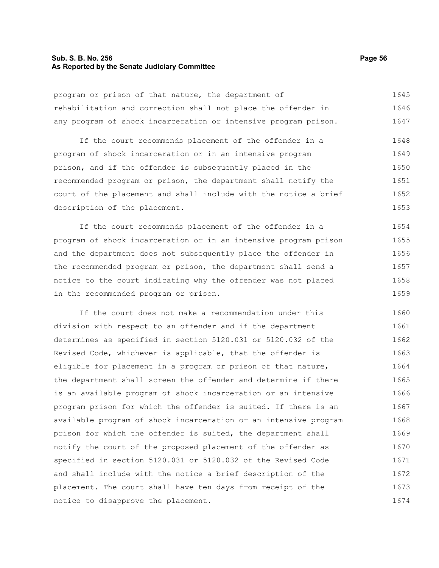#### **Sub. S. B. No. 256 Page 56 As Reported by the Senate Judiciary Committee**

program or prison of that nature, the department of rehabilitation and correction shall not place the offender in any program of shock incarceration or intensive program prison. 1645 1646 1647

If the court recommends placement of the offender in a program of shock incarceration or in an intensive program prison, and if the offender is subsequently placed in the recommended program or prison, the department shall notify the court of the placement and shall include with the notice a brief description of the placement. 1648 1649 1650 1651 1652 1653

If the court recommends placement of the offender in a program of shock incarceration or in an intensive program prison and the department does not subsequently place the offender in the recommended program or prison, the department shall send a notice to the court indicating why the offender was not placed in the recommended program or prison. 1654 1655 1656 1657 1658 1659

If the court does not make a recommendation under this division with respect to an offender and if the department determines as specified in section 5120.031 or 5120.032 of the Revised Code, whichever is applicable, that the offender is eligible for placement in a program or prison of that nature, the department shall screen the offender and determine if there is an available program of shock incarceration or an intensive program prison for which the offender is suited. If there is an available program of shock incarceration or an intensive program prison for which the offender is suited, the department shall notify the court of the proposed placement of the offender as specified in section 5120.031 or 5120.032 of the Revised Code and shall include with the notice a brief description of the placement. The court shall have ten days from receipt of the notice to disapprove the placement. 1660 1661 1662 1663 1664 1665 1666 1667 1668 1669 1670 1671 1672 1673 1674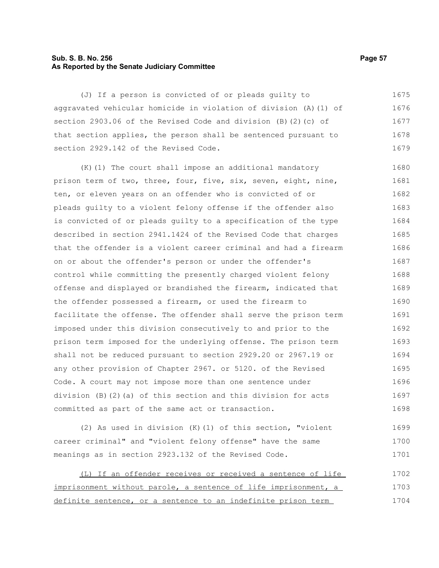#### **Sub. S. B. No. 256 Page 57 As Reported by the Senate Judiciary Committee**

(J) If a person is convicted of or pleads guilty to aggravated vehicular homicide in violation of division (A)(1) of section 2903.06 of the Revised Code and division (B)(2)(c) of that section applies, the person shall be sentenced pursuant to section 2929.142 of the Revised Code. 1675 1676 1677 1678 1679

(K)(1) The court shall impose an additional mandatory prison term of two, three, four, five, six, seven, eight, nine, ten, or eleven years on an offender who is convicted of or pleads guilty to a violent felony offense if the offender also is convicted of or pleads guilty to a specification of the type described in section 2941.1424 of the Revised Code that charges that the offender is a violent career criminal and had a firearm on or about the offender's person or under the offender's control while committing the presently charged violent felony offense and displayed or brandished the firearm, indicated that the offender possessed a firearm, or used the firearm to facilitate the offense. The offender shall serve the prison term imposed under this division consecutively to and prior to the prison term imposed for the underlying offense. The prison term shall not be reduced pursuant to section 2929.20 or 2967.19 or any other provision of Chapter 2967. or 5120. of the Revised Code. A court may not impose more than one sentence under division (B)(2)(a) of this section and this division for acts committed as part of the same act or transaction. 1680 1681 1682 1683 1684 1685 1686 1687 1688 1689 1690 1691 1692 1693 1694 1695 1696 1697 1698

(2) As used in division (K)(1) of this section, "violent career criminal" and "violent felony offense" have the same meanings as in section 2923.132 of the Revised Code. 1699 1700 1701

| (L) If an offender receives or received a sentence of life      | 1702 |
|-----------------------------------------------------------------|------|
| imprisonment without parole, a sentence of life imprisonment, a | 1703 |
| definite sentence, or a sentence to an indefinite prison term   | 1704 |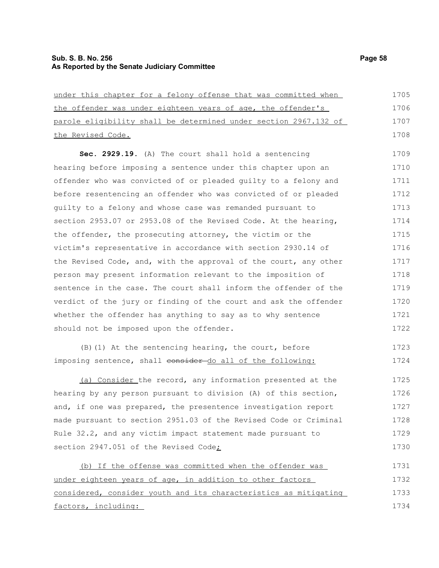## **Sub. S. B. No. 256 Page 58 As Reported by the Senate Judiciary Committee**

| under this chapter for a felony offense that was committed when  | 1705 |
|------------------------------------------------------------------|------|
| the offender was under eighteen years of age, the offender's     | 1706 |
| parole eligibility shall be determined under section 2967.132 of | 1707 |
| the Revised Code.                                                | 1708 |
| Sec. 2929.19. (A) The court shall hold a sentencing              | 1709 |
| hearing before imposing a sentence under this chapter upon an    | 1710 |
| offender who was convicted of or pleaded guilty to a felony and  | 1711 |
| before resentencing an offender who was convicted of or pleaded  | 1712 |
| quilty to a felony and whose case was remanded pursuant to       | 1713 |
| section 2953.07 or 2953.08 of the Revised Code. At the hearing,  | 1714 |
| the offender, the prosecuting attorney, the victim or the        | 1715 |
| victim's representative in accordance with section 2930.14 of    | 1716 |
| the Revised Code, and, with the approval of the court, any other | 1717 |
| person may present information relevant to the imposition of     | 1718 |
| sentence in the case. The court shall inform the offender of the | 1719 |
| verdict of the jury or finding of the court and ask the offender | 1720 |
| whether the offender has anything to say as to why sentence      | 1721 |
| should not be imposed upon the offender.                         | 1722 |
| (B) (1) At the sentencing hearing, the court, before             | 1723 |
| imposing sentence, shall consider-do all of the following:       | 1724 |
| (a) Consider the record, any information presented at the        | 1725 |
| hearing by any person pursuant to division (A) of this section,  | 1726 |
| and, if one was prepared, the presentence investigation report   | 1727 |
| made pursuant to section 2951.03 of the Revised Code or Criminal | 1728 |
| Rule 32.2, and any victim impact statement made pursuant to      | 1729 |
| section 2947.051 of the Revised Code;                            | 1730 |
| (b) If the offense was committed when the offender was           | 1731 |
| under eighteen years of age, in addition to other factors        | 1732 |
| considered, consider youth and its characteristics as mitigating | 1733 |
| factors, including:                                              | 1734 |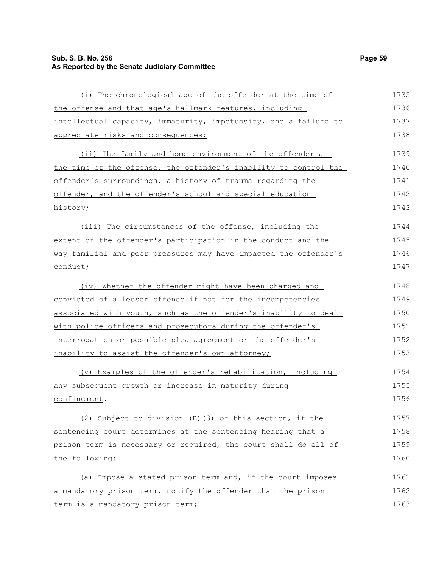# **Sub. S. B. No. 256 Page 59 As Reported by the Senate Judiciary Committee**

| (i) The chronological age of the offender at the time of          | 1735 |
|-------------------------------------------------------------------|------|
| the offense and that age's hallmark features, including           | 1736 |
| intellectual capacity, immaturity, impetuosity, and a failure to  | 1737 |
| appreciate risks and consequences;                                | 1738 |
| (ii) The family and home environment of the offender at           | 1739 |
| the time of the offense, the offender's inability to control the  | 1740 |
| offender's surroundings, a history of trauma regarding the        | 1741 |
| offender, and the offender's school and special education         | 1742 |
| history;                                                          | 1743 |
| (iii) The circumstances of the offense, including the             | 1744 |
| extent of the offender's participation in the conduct and the     | 1745 |
| way familial and peer pressures may have impacted the offender's  | 1746 |
| conduct;                                                          | 1747 |
| (iv) Whether the offender might have been charged and             | 1748 |
| convicted of a lesser offense if not for the incompetencies       | 1749 |
| associated with youth, such as the offender's inability to deal   | 1750 |
| <u>with police officers and prosecutors during the offender's</u> | 1751 |
| interrogation or possible plea agreement or the offender's        | 1752 |
| inability to assist the offender's own attorney;                  | 1753 |
| (v) Examples of the offender's rehabilitation, including          | 1754 |
| any subsequent growth or increase in maturity during              | 1755 |
| confinement.                                                      | 1756 |
| (2) Subject to division (B) (3) of this section, if the           | 1757 |
| sentencing court determines at the sentencing hearing that a      | 1758 |
| prison term is necessary or required, the court shall do all of   | 1759 |
| the following:                                                    | 1760 |
| (a) Impose a stated prison term and, if the court imposes         | 1761 |
| a mandatory prison term, notify the offender that the prison      | 1762 |
| term is a mandatory prison term;                                  | 1763 |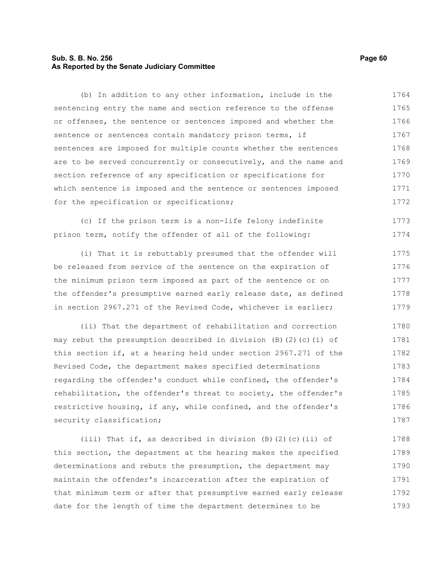### **Sub. S. B. No. 256 Page 60 As Reported by the Senate Judiciary Committee**

(b) In addition to any other information, include in the sentencing entry the name and section reference to the offense or offenses, the sentence or sentences imposed and whether the sentence or sentences contain mandatory prison terms, if sentences are imposed for multiple counts whether the sentences are to be served concurrently or consecutively, and the name and section reference of any specification or specifications for which sentence is imposed and the sentence or sentences imposed for the specification or specifications; 1764 1765 1766 1767 1768 1769 1770 1771 1772

(c) If the prison term is a non-life felony indefinite prison term, notify the offender of all of the following: 1773 1774

(i) That it is rebuttably presumed that the offender will be released from service of the sentence on the expiration of the minimum prison term imposed as part of the sentence or on the offender's presumptive earned early release date, as defined in section 2967.271 of the Revised Code, whichever is earlier; 1775 1776 1777 1778 1779

(ii) That the department of rehabilitation and correction may rebut the presumption described in division  $(B)$   $(2)$   $(c)$   $(i)$  of this section if, at a hearing held under section 2967.271 of the Revised Code, the department makes specified determinations regarding the offender's conduct while confined, the offender's rehabilitation, the offender's threat to society, the offender's restrictive housing, if any, while confined, and the offender's security classification; 1780 1781 1782 1783 1784 1785 1786 1787

(iii) That if, as described in division  $(B)$  (2)(c)(ii) of this section, the department at the hearing makes the specified determinations and rebuts the presumption, the department may maintain the offender's incarceration after the expiration of that minimum term or after that presumptive earned early release date for the length of time the department determines to be 1788 1789 1790 1791 1792 1793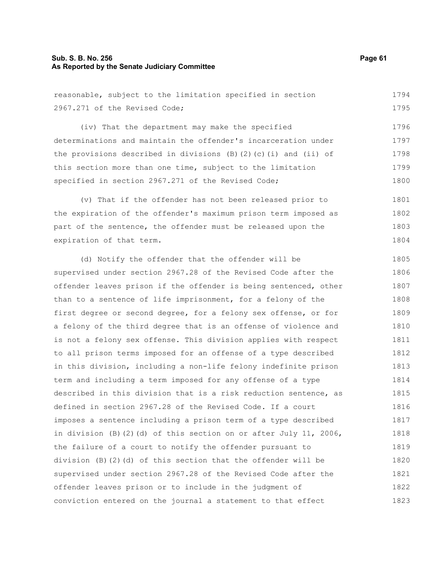#### **Sub. S. B. No. 256 Page 61 As Reported by the Senate Judiciary Committee**

| reasonable, subject to the limitation specified in section | 1794 |
|------------------------------------------------------------|------|
| 2967.271 of the Revised Code;                              | 1795 |

(iv) That the department may make the specified determinations and maintain the offender's incarceration under the provisions described in divisions (B)(2)(c)(i) and (ii) of this section more than one time, subject to the limitation specified in section 2967.271 of the Revised Code; 1796 1797 1798 1799 1800

(v) That if the offender has not been released prior to the expiration of the offender's maximum prison term imposed as part of the sentence, the offender must be released upon the expiration of that term. 1801 1802 1803 1804

(d) Notify the offender that the offender will be supervised under section 2967.28 of the Revised Code after the offender leaves prison if the offender is being sentenced, other than to a sentence of life imprisonment, for a felony of the first degree or second degree, for a felony sex offense, or for a felony of the third degree that is an offense of violence and is not a felony sex offense. This division applies with respect to all prison terms imposed for an offense of a type described in this division, including a non-life felony indefinite prison term and including a term imposed for any offense of a type described in this division that is a risk reduction sentence, as defined in section 2967.28 of the Revised Code. If a court imposes a sentence including a prison term of a type described in division  $(B)$   $(2)$   $(d)$  of this section on or after July 11, 2006, the failure of a court to notify the offender pursuant to division (B)(2)(d) of this section that the offender will be supervised under section 2967.28 of the Revised Code after the offender leaves prison or to include in the judgment of conviction entered on the journal a statement to that effect 1805 1806 1807 1808 1809 1810 1811 1812 1813 1814 1815 1816 1817 1818 1819 1820 1821 1822 1823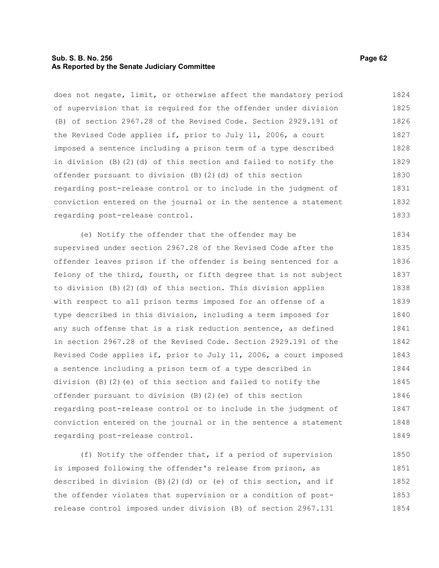#### **Sub. S. B. No. 256 Page 62 As Reported by the Senate Judiciary Committee**

does not negate, limit, or otherwise affect the mandatory period of supervision that is required for the offender under division (B) of section 2967.28 of the Revised Code. Section 2929.191 of the Revised Code applies if, prior to July 11, 2006, a court imposed a sentence including a prison term of a type described in division  $(B)$   $(2)$   $(d)$  of this section and failed to notify the offender pursuant to division (B)(2)(d) of this section regarding post-release control or to include in the judgment of conviction entered on the journal or in the sentence a statement regarding post-release control. 1824 1825 1826 1827 1828 1829 1830 1831 1832 1833

(e) Notify the offender that the offender may be supervised under section 2967.28 of the Revised Code after the offender leaves prison if the offender is being sentenced for a felony of the third, fourth, or fifth degree that is not subject to division (B)(2)(d) of this section. This division applies with respect to all prison terms imposed for an offense of a type described in this division, including a term imposed for any such offense that is a risk reduction sentence, as defined in section 2967.28 of the Revised Code. Section 2929.191 of the Revised Code applies if, prior to July 11, 2006, a court imposed a sentence including a prison term of a type described in division (B)(2)(e) of this section and failed to notify the offender pursuant to division (B)(2)(e) of this section regarding post-release control or to include in the judgment of conviction entered on the journal or in the sentence a statement regarding post-release control. 1834 1835 1836 1837 1838 1839 1840 1841 1842 1843 1844 1845 1846 1847 1848 1849

(f) Notify the offender that, if a period of supervision is imposed following the offender's release from prison, as described in division  $(B)$   $(2)$   $(d)$  or  $(e)$  of this section, and if the offender violates that supervision or a condition of postrelease control imposed under division (B) of section 2967.131 1850 1851 1852 1853 1854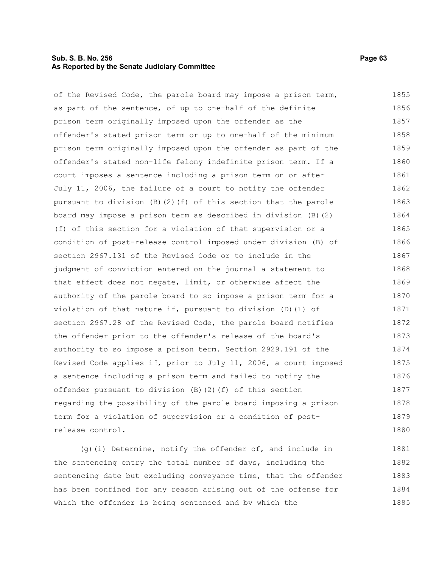#### **Sub. S. B. No. 256 Page 63 As Reported by the Senate Judiciary Committee**

of the Revised Code, the parole board may impose a prison term, as part of the sentence, of up to one-half of the definite prison term originally imposed upon the offender as the offender's stated prison term or up to one-half of the minimum prison term originally imposed upon the offender as part of the offender's stated non-life felony indefinite prison term. If a court imposes a sentence including a prison term on or after July 11, 2006, the failure of a court to notify the offender pursuant to division  $(B)(2)(f)$  of this section that the parole board may impose a prison term as described in division (B)(2) (f) of this section for a violation of that supervision or a condition of post-release control imposed under division (B) of section 2967.131 of the Revised Code or to include in the judgment of conviction entered on the journal a statement to that effect does not negate, limit, or otherwise affect the authority of the parole board to so impose a prison term for a violation of that nature if, pursuant to division (D)(1) of section 2967.28 of the Revised Code, the parole board notifies the offender prior to the offender's release of the board's authority to so impose a prison term. Section 2929.191 of the Revised Code applies if, prior to July 11, 2006, a court imposed a sentence including a prison term and failed to notify the offender pursuant to division (B)(2)(f) of this section regarding the possibility of the parole board imposing a prison term for a violation of supervision or a condition of postrelease control. 1855 1856 1857 1858 1859 1860 1861 1862 1863 1864 1865 1866 1867 1868 1869 1870 1871 1872 1873 1874 1875 1876 1877 1878 1879 1880

(g)(i) Determine, notify the offender of, and include in the sentencing entry the total number of days, including the sentencing date but excluding conveyance time, that the offender has been confined for any reason arising out of the offense for which the offender is being sentenced and by which the 1881 1882 1883 1884 1885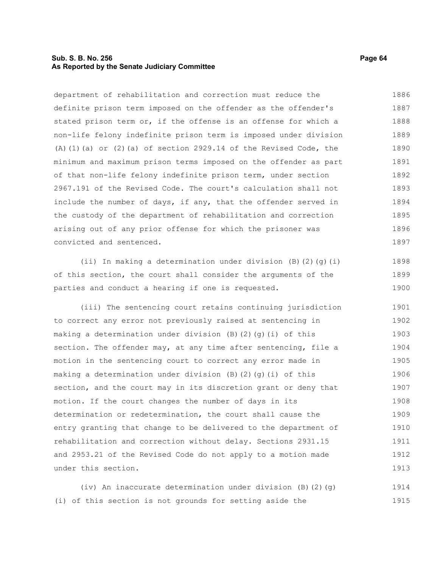#### **Sub. S. B. No. 256 Page 64 As Reported by the Senate Judiciary Committee**

department of rehabilitation and correction must reduce the definite prison term imposed on the offender as the offender's stated prison term or, if the offense is an offense for which a non-life felony indefinite prison term is imposed under division (A)(1)(a) or (2)(a) of section  $2929.14$  of the Revised Code, the minimum and maximum prison terms imposed on the offender as part of that non-life felony indefinite prison term, under section 2967.191 of the Revised Code. The court's calculation shall not include the number of days, if any, that the offender served in the custody of the department of rehabilitation and correction arising out of any prior offense for which the prisoner was convicted and sentenced. 1886 1887 1888 1889 1890 1891 1892 1893 1894 1895 1896 1897

(ii) In making a determination under division  $(B)$   $(2)$   $(q)$   $(i)$ of this section, the court shall consider the arguments of the parties and conduct a hearing if one is requested. 1898 1899 1900

(iii) The sentencing court retains continuing jurisdiction to correct any error not previously raised at sentencing in making a determination under division  $(B)$   $(2)$   $(g)$   $(i)$  of this section. The offender may, at any time after sentencing, file a motion in the sentencing court to correct any error made in making a determination under division (B)(2)(g)(i) of this section, and the court may in its discretion grant or deny that motion. If the court changes the number of days in its determination or redetermination, the court shall cause the entry granting that change to be delivered to the department of rehabilitation and correction without delay. Sections 2931.15 and 2953.21 of the Revised Code do not apply to a motion made under this section. 1901 1902 1903 1904 1905 1906 1907 1908 1909 1910 1911 1912 1913

(iv) An inaccurate determination under division (B)(2)(g) (i) of this section is not grounds for setting aside the 1914 1915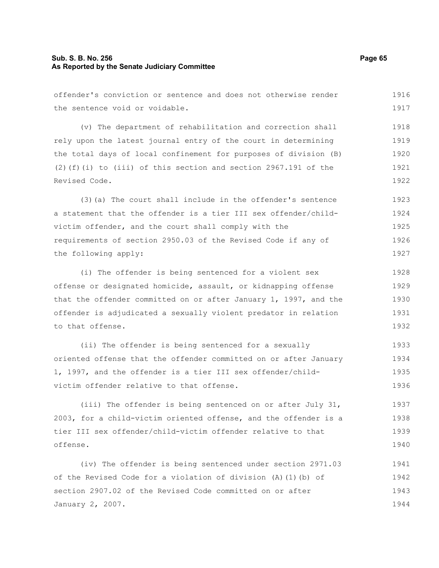#### **Sub. S. B. No. 256 Page 65 As Reported by the Senate Judiciary Committee**

offender's conviction or sentence and does not otherwise render the sentence void or voidable. 1916 1917

(v) The department of rehabilitation and correction shall rely upon the latest journal entry of the court in determining the total days of local confinement for purposes of division (B) (2)(f)(i) to (iii) of this section and section 2967.191 of the Revised Code. 1918 1919 1920 1921 1922

(3)(a) The court shall include in the offender's sentence a statement that the offender is a tier III sex offender/childvictim offender, and the court shall comply with the requirements of section 2950.03 of the Revised Code if any of the following apply: 1923 1924 1925 1926 1927

(i) The offender is being sentenced for a violent sex offense or designated homicide, assault, or kidnapping offense that the offender committed on or after January 1, 1997, and the offender is adjudicated a sexually violent predator in relation to that offense. 1928 1929 1930 1931 1932

(ii) The offender is being sentenced for a sexually oriented offense that the offender committed on or after January 1, 1997, and the offender is a tier III sex offender/childvictim offender relative to that offense. 1933 1934 1935 1936

(iii) The offender is being sentenced on or after July 31, 2003, for a child-victim oriented offense, and the offender is a tier III sex offender/child-victim offender relative to that offense. 1937 1938 1939 1940

(iv) The offender is being sentenced under section 2971.03 of the Revised Code for a violation of division (A)(1)(b) of section 2907.02 of the Revised Code committed on or after January 2, 2007. 1941 1942 1943 1944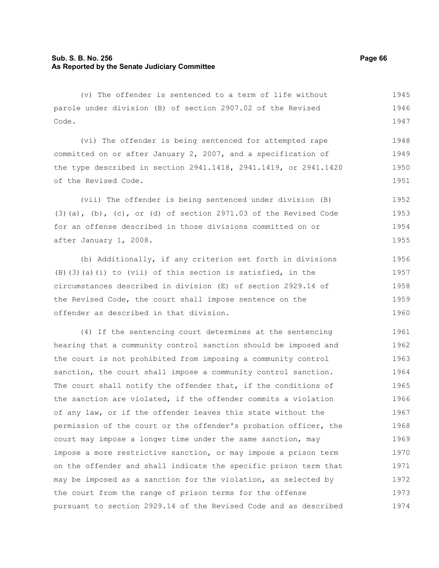### **Sub. S. B. No. 256 Page 66 As Reported by the Senate Judiciary Committee**

(v) The offender is sentenced to a term of life without parole under division (B) of section 2907.02 of the Revised Code. 1945 1946 1947

(vi) The offender is being sentenced for attempted rape committed on or after January 2, 2007, and a specification of the type described in section 2941.1418, 2941.1419, or 2941.1420 of the Revised Code. 1948 1949 1950 1951

(vii) The offender is being sentenced under division (B)  $(3)(a)$ ,  $(b)$ ,  $(c)$ , or  $(d)$  of section 2971.03 of the Revised Code for an offense described in those divisions committed on or after January 1, 2008. 1952 1953 1954 1955

(b) Additionally, if any criterion set forth in divisions (B)(3)(a)(i) to (vii) of this section is satisfied, in the circumstances described in division (E) of section 2929.14 of the Revised Code, the court shall impose sentence on the offender as described in that division. 1956 1957 1958 1959 1960

(4) If the sentencing court determines at the sentencing hearing that a community control sanction should be imposed and the court is not prohibited from imposing a community control sanction, the court shall impose a community control sanction. The court shall notify the offender that, if the conditions of the sanction are violated, if the offender commits a violation of any law, or if the offender leaves this state without the permission of the court or the offender's probation officer, the court may impose a longer time under the same sanction, may impose a more restrictive sanction, or may impose a prison term on the offender and shall indicate the specific prison term that may be imposed as a sanction for the violation, as selected by the court from the range of prison terms for the offense pursuant to section 2929.14 of the Revised Code and as described 1961 1962 1963 1964 1965 1966 1967 1968 1969 1970 1971 1972 1973 1974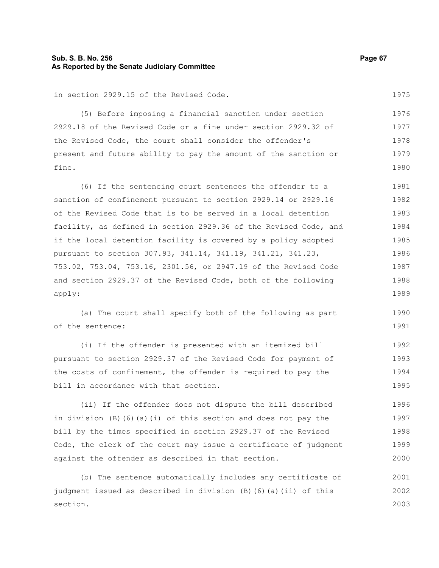### **Sub. S. B. No. 256 Page 67 As Reported by the Senate Judiciary Committee**

in section 2929.15 of the Revised Code.

(5) Before imposing a financial sanction under section 2929.18 of the Revised Code or a fine under section 2929.32 of the Revised Code, the court shall consider the offender's present and future ability to pay the amount of the sanction or fine. 1976 1977 1979 1980

(6) If the sentencing court sentences the offender to a sanction of confinement pursuant to section 2929.14 or 2929.16 of the Revised Code that is to be served in a local detention facility, as defined in section 2929.36 of the Revised Code, and if the local detention facility is covered by a policy adopted pursuant to section 307.93, 341.14, 341.19, 341.21, 341.23, 753.02, 753.04, 753.16, 2301.56, or 2947.19 of the Revised Code and section 2929.37 of the Revised Code, both of the following apply: 1981 1982 1983 1984 1985 1986 1987 1988 1989

(a) The court shall specify both of the following as part of the sentence: 1990 1991

(i) If the offender is presented with an itemized bill pursuant to section 2929.37 of the Revised Code for payment of the costs of confinement, the offender is required to pay the bill in accordance with that section. 1992 1993 1994 1995

(ii) If the offender does not dispute the bill described in division (B)(6)(a)(i) of this section and does not pay the bill by the times specified in section 2929.37 of the Revised Code, the clerk of the court may issue a certificate of judgment against the offender as described in that section. 1996 1997 1998 1999 2000

(b) The sentence automatically includes any certificate of judgment issued as described in division (B)(6)(a)(ii) of this section. 2001 2002 2003

1978

1975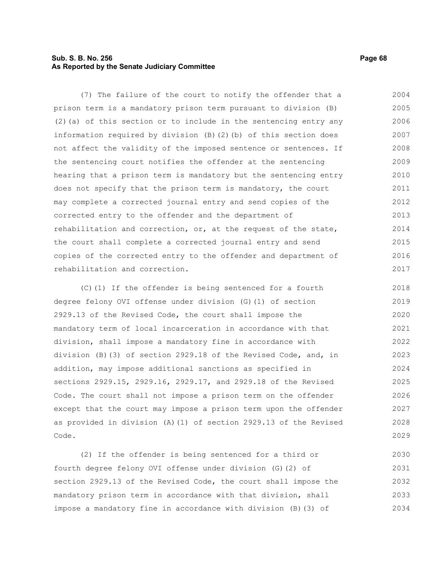## **Sub. S. B. No. 256 Page 68 As Reported by the Senate Judiciary Committee**

(7) The failure of the court to notify the offender that a prison term is a mandatory prison term pursuant to division (B) (2)(a) of this section or to include in the sentencing entry any information required by division (B)(2)(b) of this section does not affect the validity of the imposed sentence or sentences. If the sentencing court notifies the offender at the sentencing hearing that a prison term is mandatory but the sentencing entry does not specify that the prison term is mandatory, the court may complete a corrected journal entry and send copies of the corrected entry to the offender and the department of rehabilitation and correction, or, at the request of the state, the court shall complete a corrected journal entry and send copies of the corrected entry to the offender and department of rehabilitation and correction. 2004 2005 2006 2007 2008 2009 2010 2011 2012 2013 2014 2015 2016 2017

(C)(1) If the offender is being sentenced for a fourth degree felony OVI offense under division (G)(1) of section 2929.13 of the Revised Code, the court shall impose the mandatory term of local incarceration in accordance with that division, shall impose a mandatory fine in accordance with division (B)(3) of section 2929.18 of the Revised Code, and, in addition, may impose additional sanctions as specified in sections 2929.15, 2929.16, 2929.17, and 2929.18 of the Revised Code. The court shall not impose a prison term on the offender except that the court may impose a prison term upon the offender as provided in division (A)(1) of section 2929.13 of the Revised Code. 2018 2019 2020 2021 2022 2023 2024 2025 2026 2027 2028 2029

(2) If the offender is being sentenced for a third or fourth degree felony OVI offense under division (G)(2) of section 2929.13 of the Revised Code, the court shall impose the mandatory prison term in accordance with that division, shall impose a mandatory fine in accordance with division (B)(3) of 2030 2031 2032 2033 2034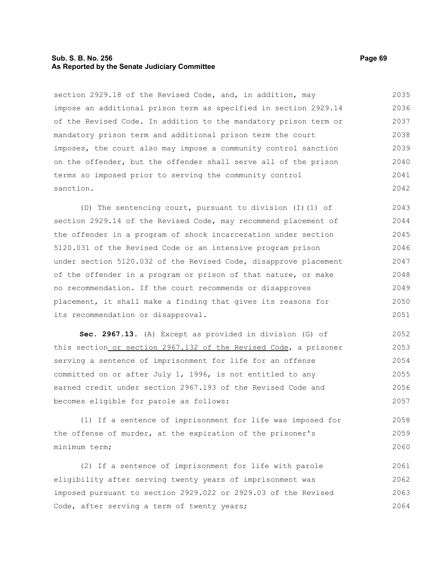#### **Sub. S. B. No. 256 Page 69 As Reported by the Senate Judiciary Committee**

section 2929.18 of the Revised Code, and, in addition, may impose an additional prison term as specified in section 2929.14 of the Revised Code. In addition to the mandatory prison term or mandatory prison term and additional prison term the court imposes, the court also may impose a community control sanction on the offender, but the offender shall serve all of the prison terms so imposed prior to serving the community control sanction. 2035 2036 2037 2038 2039 2040 2041 2042

(D) The sentencing court, pursuant to division (I)(1) of section 2929.14 of the Revised Code, may recommend placement of the offender in a program of shock incarceration under section 5120.031 of the Revised Code or an intensive program prison under section 5120.032 of the Revised Code, disapprove placement of the offender in a program or prison of that nature, or make no recommendation. If the court recommends or disapproves placement, it shall make a finding that gives its reasons for its recommendation or disapproval. 2043 2044 2045 2046 2047 2048 2049 2050 2051

**Sec. 2967.13.** (A) Except as provided in division (G) of this section or section 2967.132 of the Revised Code, a prisoner serving a sentence of imprisonment for life for an offense committed on or after July 1, 1996, is not entitled to any earned credit under section 2967.193 of the Revised Code and becomes eligible for parole as follows: 2052 2053 2054 2055 2056 2057

(1) If a sentence of imprisonment for life was imposed for the offense of murder, at the expiration of the prisoner's minimum term; 2058 2059 2060

(2) If a sentence of imprisonment for life with parole eligibility after serving twenty years of imprisonment was imposed pursuant to section 2929.022 or 2929.03 of the Revised Code, after serving a term of twenty years; 2061 2062 2063 2064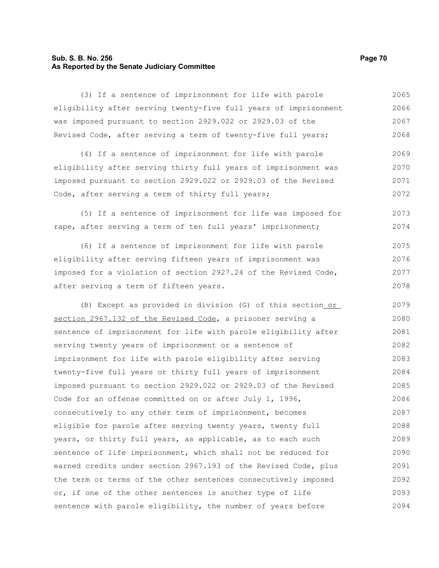#### **Sub. S. B. No. 256 Page 70 As Reported by the Senate Judiciary Committee**

(3) If a sentence of imprisonment for life with parole eligibility after serving twenty-five full years of imprisonment was imposed pursuant to section 2929.022 or 2929.03 of the Revised Code, after serving a term of twenty-five full years; 2065 2066 2067 2068

(4) If a sentence of imprisonment for life with parole eligibility after serving thirty full years of imprisonment was imposed pursuant to section 2929.022 or 2929.03 of the Revised Code, after serving a term of thirty full years; 2069 2070 2071 2072

(5) If a sentence of imprisonment for life was imposed for rape, after serving a term of ten full years' imprisonment; 2073 2074

(6) If a sentence of imprisonment for life with parole eligibility after serving fifteen years of imprisonment was imposed for a violation of section 2927.24 of the Revised Code, after serving a term of fifteen years. 2075 2076 2077 2078

(B) Except as provided in division (G) of this section or section 2967.132 of the Revised Code, a prisoner serving a sentence of imprisonment for life with parole eligibility after serving twenty years of imprisonment or a sentence of imprisonment for life with parole eligibility after serving twenty-five full years or thirty full years of imprisonment imposed pursuant to section 2929.022 or 2929.03 of the Revised Code for an offense committed on or after July 1, 1996, consecutively to any other term of imprisonment, becomes eligible for parole after serving twenty years, twenty full years, or thirty full years, as applicable, as to each such sentence of life imprisonment, which shall not be reduced for earned credits under section 2967.193 of the Revised Code, plus the term or terms of the other sentences consecutively imposed or, if one of the other sentences is another type of life sentence with parole eligibility, the number of years before 2079 2080 2081 2082 2083 2084 2085 2086 2087 2088 2089 2090 2091 2092 2093 2094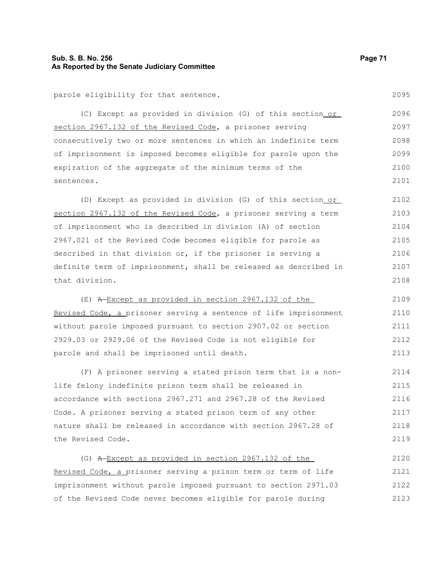### **Sub. S. B. No. 256 Page 71 As Reported by the Senate Judiciary Committee**

parole eligibility for that sentence.

(C) Except as provided in division (G) of this section or section 2967.132 of the Revised Code, a prisoner serving consecutively two or more sentences in which an indefinite term of imprisonment is imposed becomes eligible for parole upon the expiration of the aggregate of the minimum terms of the sentences. 2096 2097 2098 2099 2100 2101

(D) Except as provided in division (G) of this section or section 2967.132 of the Revised Code, a prisoner serving a term of imprisonment who is described in division (A) of section 2967.021 of the Revised Code becomes eligible for parole as described in that division or, if the prisoner is serving a definite term of imprisonment, shall be released as described in that division. 2102 2103 2104 2105 2106 2107 2108

(E) A Except as provided in section 2967.132 of the Revised Code, a prisoner serving a sentence of life imprisonment without parole imposed pursuant to section 2907.02 or section 2929.03 or 2929.06 of the Revised Code is not eligible for parole and shall be imprisoned until death. 2109 2110 2111 2112 2113

(F) A prisoner serving a stated prison term that is a nonlife felony indefinite prison term shall be released in accordance with sections 2967.271 and 2967.28 of the Revised Code. A prisoner serving a stated prison term of any other nature shall be released in accordance with section 2967.28 of the Revised Code. 2114 2115 2116 2117 2118 2119

(G) A Except as provided in section 2967.132 of the Revised Code, a prisoner serving a prison term or term of life imprisonment without parole imposed pursuant to section 2971.03 of the Revised Code never becomes eligible for parole during 2120 2121 2122 2123

2095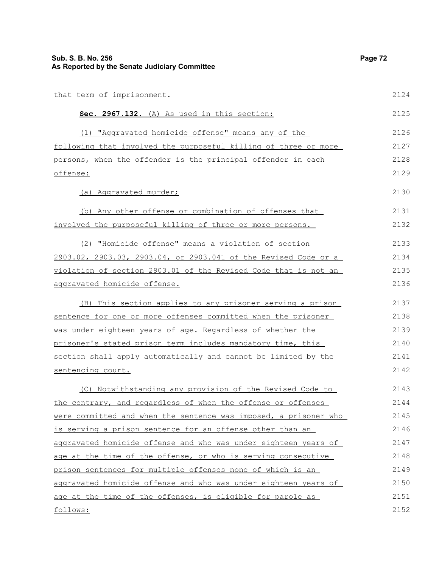| that term of imprisonment.                                       | 2124 |
|------------------------------------------------------------------|------|
| Sec. 2967.132. (A) As used in this section:                      | 2125 |
| (1) "Aggravated homicide offense" means any of the               | 2126 |
| following that involved the purposeful killing of three or more  | 2127 |
| persons, when the offender is the principal offender in each     | 2128 |
| offense:                                                         | 2129 |
| (a) Aggravated murder;                                           | 2130 |
| (b) Any other offense or combination of offenses that            | 2131 |
| involved the purposeful killing of three or more persons.        | 2132 |
| (2) "Homicide offense" means a violation of section              | 2133 |
| 2903.02, 2903.03, 2903.04, or 2903.041 of the Revised Code or a  | 2134 |
| violation of section 2903.01 of the Revised Code that is not an  | 2135 |
| aggravated homicide offense.                                     | 2136 |
| (B) This section applies to any prisoner serving a prison        | 2137 |
| sentence for one or more offenses committed when the prisoner    | 2138 |
| was under eighteen years of age. Regardless of whether the       | 2139 |
| prisoner's stated prison term includes mandatory time, this      | 2140 |
| section shall apply automatically and cannot be limited by the   | 2141 |
| sentencing court.                                                | 2142 |
| (C) Notwithstanding any provision of the Revised Code to         | 2143 |
| the contrary, and regardless of when the offense or offenses     | 2144 |
| were committed and when the sentence was imposed, a prisoner who | 2145 |
| is serving a prison sentence for an offense other than an        | 2146 |
| aggravated homicide offense and who was under eighteen years of  | 2147 |
| age at the time of the offense, or who is serving consecutive    | 2148 |
| prison sentences for multiple offenses none of which is an       | 2149 |
| aggravated homicide offense and who was under eighteen years of  | 2150 |
| age at the time of the offenses, is eligible for parole as       | 2151 |
| follows:                                                         | 2152 |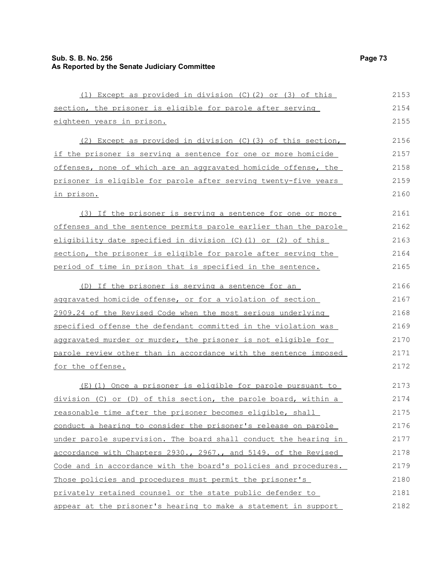# **Sub. S. B. No. 256 Page 73 As Reported by the Senate Judiciary Committee**

| (1) Except as provided in division (C) (2) or (3) of this             | 2153 |
|-----------------------------------------------------------------------|------|
| section, the prisoner is eligible for parole after serving            | 2154 |
| eighteen years in prison.                                             | 2155 |
| (2) Except as provided in division (C)(3) of this section,            | 2156 |
| if the prisoner is serving a sentence for one or more homicide        | 2157 |
| offenses, none of which are an aggravated homicide offense, the       | 2158 |
| prisoner is eligible for parole after serving twenty-five years       | 2159 |
| <u>in prison.</u>                                                     | 2160 |
| (3) If the prisoner is serving a sentence for one or more             | 2161 |
| offenses and the sentence permits parole earlier than the parole      | 2162 |
| eligibility date specified in division (C)(1) or (2) of this          | 2163 |
| section, the prisoner is eligible for parole after serving the        | 2164 |
| period of time in prison that is specified in the sentence.           | 2165 |
| (D) If the prisoner is serving a sentence for an                      | 2166 |
| <u>aggravated homicide offense, or for a violation of section</u>     | 2167 |
| 2909.24 of the Revised Code when the most serious underlying          | 2168 |
| specified offense the defendant committed in the violation was        | 2169 |
| <u>aggravated murder or murder, the prisoner is not eligible for </u> | 2170 |
| parole review other than in accordance with the sentence imposed      | 2171 |
| for the offense.                                                      | 2172 |
| (E)(1) Once a prisoner is eligible for parole pursuant to             | 2173 |
| division (C) or (D) of this section, the parole board, within a       | 2174 |
| reasonable time after the prisoner becomes eligible, shall            | 2175 |
| conduct a hearing to consider the prisoner's release on parole        | 2176 |
| under parole supervision. The board shall conduct the hearing in      | 2177 |
| accordance with Chapters 2930., 2967., and 5149. of the Revised       | 2178 |
| Code and in accordance with the board's policies and procedures.      | 2179 |
| Those policies and procedures must permit the prisoner's              | 2180 |
| privately retained counsel or the state public defender to            | 2181 |
| appear at the prisoner's hearing to make a statement in support       | 2182 |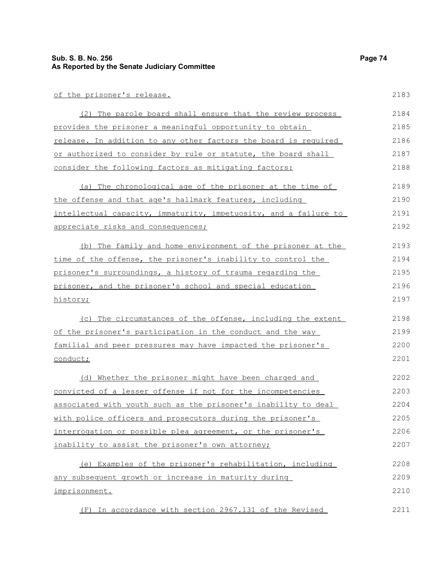# **Sub. S. B. No. 256 Page 74 As Reported by the Senate Judiciary Committee**

# of the prisoner's release.

| of the prisoner's release.                                          | 2183 |
|---------------------------------------------------------------------|------|
| (2) The parole board shall ensure that the review process           | 2184 |
| provides the prisoner a meaningful opportunity to obtain            | 2185 |
| release. In addition to any other factors the board is required     | 2186 |
| or authorized to consider by rule or statute, the board shall       | 2187 |
| consider the following factors as mitigating factors:               | 2188 |
| (a) The chronological age of the prisoner at the time of            | 2189 |
| the offense and that age's hallmark features, including             | 2190 |
| intellectual capacity, immaturity, impetuosity, and a failure to    | 2191 |
| appreciate risks and consequences;                                  | 2192 |
| (b) The family and home environment of the prisoner at the          | 2193 |
| time of the offense, the prisoner's inability to control the        | 2194 |
| prisoner's surroundings, a history of trauma regarding the          | 2195 |
| prisoner, and the prisoner's school and special education           | 2196 |
| history;                                                            | 2197 |
| (c) The circumstances of the offense, including the extent          | 2198 |
| of the prisoner's participation in the conduct and the way          | 2199 |
| <u>familial and peer pressures may have impacted the prisoner's</u> | 2200 |
| conduct;                                                            | 2201 |
| (d) Whether the prisoner might have been charged and                | 2202 |
| convicted of a lesser offense if not for the incompetencies         | 2203 |
| associated with youth such as the prisoner's inability to deal      | 2204 |
| with police officers and prosecutors during the prisoner's          | 2205 |
| interrogation or possible plea agreement, or the prisoner's         | 2206 |
| inability to assist the prisoner's own attorney;                    | 2207 |
| (e) Examples of the prisoner's rehabilitation, including            | 2208 |
| any subsequent growth or increase in maturity during                | 2209 |
| imprisonment.                                                       | 2210 |
| (F) In accordance with section 2967.131 of the Revised              | 2211 |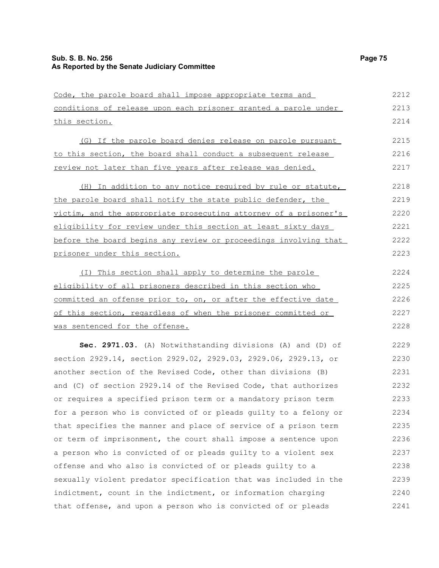| Code, the parole board shall impose appropriate terms and        | 2212 |
|------------------------------------------------------------------|------|
| conditions of release upon each prisoner granted a parole under  | 2213 |
| this section.                                                    | 2214 |
| (G) If the parole board denies release on parole pursuant        | 2215 |
| to this section, the board shall conduct a subsequent release    | 2216 |
| review not later than five years after release was denied.       | 2217 |
| (H) In addition to any notice required by rule or statute,       | 2218 |
| the parole board shall notify the state public defender, the     | 2219 |
| victim, and the appropriate prosecuting attorney of a prisoner's | 2220 |
| eligibility for review under this section at least sixty days    | 2221 |
| before the board begins any review or proceedings involving that | 2222 |
| prisoner under this section.                                     | 2223 |
| (I) This section shall apply to determine the parole             | 2224 |
| eligibility of all prisoners described in this section who       | 2225 |
| committed an offense prior to, on, or after the effective date   | 2226 |
| of this section, regardless of when the prisoner committed or    | 2227 |
| was sentenced for the offense.                                   | 2228 |
| Sec. 2971.03. (A) Notwithstanding divisions (A) and (D) of       | 2229 |
| section 2929.14, section 2929.02, 2929.03, 2929.06, 2929.13, or  | 2230 |
| another section of the Revised Code, other than divisions (B)    | 2231 |
| and (C) of section 2929.14 of the Revised Code, that authorizes  | 2232 |
| or requires a specified prison term or a mandatory prison term   | 2233 |
| for a person who is convicted of or pleads guilty to a felony or | 2234 |
| that specifies the manner and place of service of a prison term  | 2235 |
| or term of imprisonment, the court shall impose a sentence upon  | 2236 |
| a person who is convicted of or pleads guilty to a violent sex   | 2237 |
| offense and who also is convicted of or pleads guilty to a       | 2238 |
| sexually violent predator specification that was included in the | 2239 |

indictment, count in the indictment, or information charging that offense, and upon a person who is convicted of or pleads 2240 2241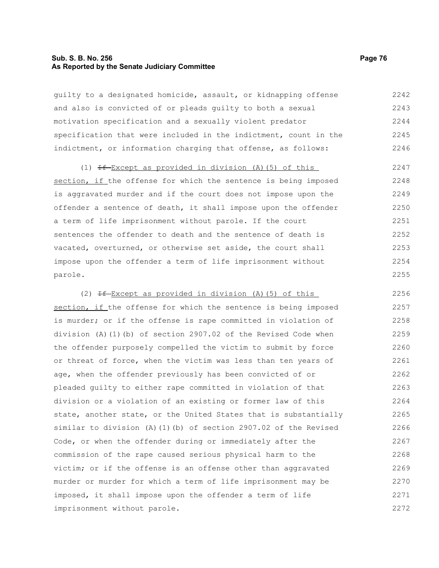#### **Sub. S. B. No. 256 Page 76 As Reported by the Senate Judiciary Committee**

guilty to a designated homicide, assault, or kidnapping offense and also is convicted of or pleads guilty to both a sexual motivation specification and a sexually violent predator specification that were included in the indictment, count in the indictment, or information charging that offense, as follows: 2242 2243 2244 2245 2246

(1)  $H$ -Except as provided in division (A)(5) of this section, if the offense for which the sentence is being imposed is aggravated murder and if the court does not impose upon the offender a sentence of death, it shall impose upon the offender a term of life imprisonment without parole. If the court sentences the offender to death and the sentence of death is vacated, overturned, or otherwise set aside, the court shall impose upon the offender a term of life imprisonment without parole.

(2)  $H$ Except as provided in division (A)(5) of this section, if the offense for which the sentence is being imposed is murder; or if the offense is rape committed in violation of division (A)(1)(b) of section 2907.02 of the Revised Code when the offender purposely compelled the victim to submit by force or threat of force, when the victim was less than ten years of age, when the offender previously has been convicted of or pleaded guilty to either rape committed in violation of that division or a violation of an existing or former law of this state, another state, or the United States that is substantially similar to division (A)(1)(b) of section 2907.02 of the Revised Code, or when the offender during or immediately after the commission of the rape caused serious physical harm to the victim; or if the offense is an offense other than aggravated murder or murder for which a term of life imprisonment may be imposed, it shall impose upon the offender a term of life imprisonment without parole. 2256 2257 2258 2259 2260 2261 2262 2263 2264 2265 2266 2267 2268 2269 2270 2271 2272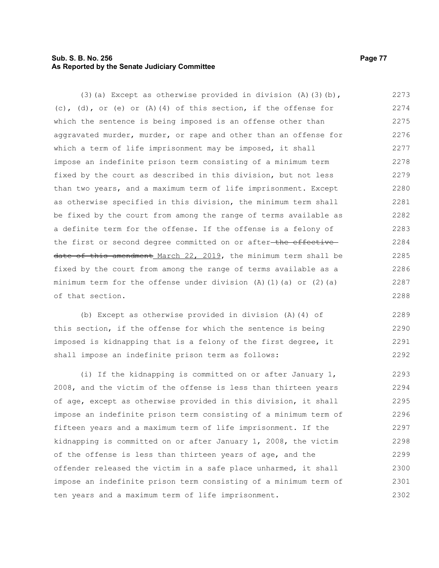## **Sub. S. B. No. 256 Page 77 As Reported by the Senate Judiciary Committee**

(3)(a) Except as otherwise provided in division (A)(3)(b), (c), (d), or (e) or (A)(4) of this section, if the offense for which the sentence is being imposed is an offense other than aggravated murder, murder, or rape and other than an offense for which a term of life imprisonment may be imposed, it shall impose an indefinite prison term consisting of a minimum term fixed by the court as described in this division, but not less than two years, and a maximum term of life imprisonment. Except as otherwise specified in this division, the minimum term shall be fixed by the court from among the range of terms available as a definite term for the offense. If the offense is a felony of the first or second degree committed on or after-the effectivedate of this amendment March 22, 2019, the minimum term shall be fixed by the court from among the range of terms available as a minimum term for the offense under division  $(A)$   $(1)$   $(a)$  or  $(2)$   $(a)$ of that section. 2273 2274 2275 2276 2277 2278 2279 2280 2281 2282 2283 2284 2285 2286 2287 2288

(b) Except as otherwise provided in division (A)(4) of this section, if the offense for which the sentence is being imposed is kidnapping that is a felony of the first degree, it shall impose an indefinite prison term as follows: 2289 2290 2291 2292

(i) If the kidnapping is committed on or after January 1, 2008, and the victim of the offense is less than thirteen years of age, except as otherwise provided in this division, it shall impose an indefinite prison term consisting of a minimum term of fifteen years and a maximum term of life imprisonment. If the kidnapping is committed on or after January 1, 2008, the victim of the offense is less than thirteen years of age, and the offender released the victim in a safe place unharmed, it shall impose an indefinite prison term consisting of a minimum term of ten years and a maximum term of life imprisonment. 2293 2294 2295 2296 2297 2298 2299 2300 2301 2302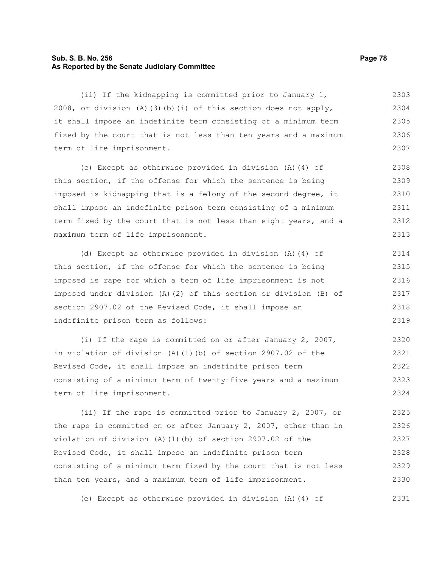## **Sub. S. B. No. 256 Page 78 As Reported by the Senate Judiciary Committee**

(ii) If the kidnapping is committed prior to January 1, 2008, or division (A)(3)(b)(i) of this section does not apply, it shall impose an indefinite term consisting of a minimum term fixed by the court that is not less than ten years and a maximum term of life imprisonment. 2303 2304 2305 2306 2307

(c) Except as otherwise provided in division (A)(4) of this section, if the offense for which the sentence is being imposed is kidnapping that is a felony of the second degree, it shall impose an indefinite prison term consisting of a minimum term fixed by the court that is not less than eight years, and a maximum term of life imprisonment. 2308 2309 2310 2311 2312 2313

(d) Except as otherwise provided in division (A)(4) of this section, if the offense for which the sentence is being imposed is rape for which a term of life imprisonment is not imposed under division (A)(2) of this section or division (B) of section 2907.02 of the Revised Code, it shall impose an indefinite prison term as follows: 2314 2315 2316 2317 2318 2319

(i) If the rape is committed on or after January 2, 2007, in violation of division (A)(1)(b) of section 2907.02 of the Revised Code, it shall impose an indefinite prison term consisting of a minimum term of twenty-five years and a maximum term of life imprisonment. 2320 2321 2322 2323 2324

(ii) If the rape is committed prior to January 2, 2007, or the rape is committed on or after January 2, 2007, other than in violation of division (A)(1)(b) of section 2907.02 of the Revised Code, it shall impose an indefinite prison term consisting of a minimum term fixed by the court that is not less than ten years, and a maximum term of life imprisonment. 2325 2326 2327 2328 2329 2330

(e) Except as otherwise provided in division (A)(4) of 2331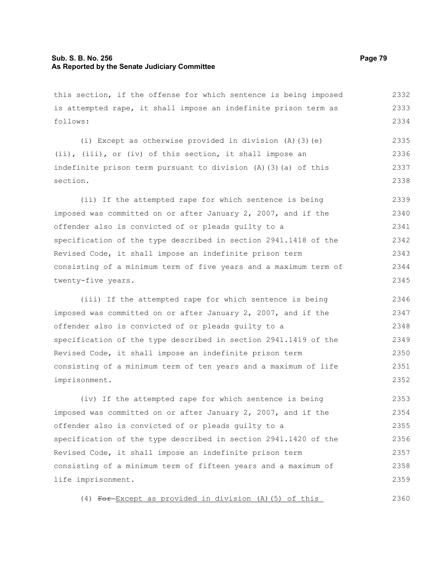## **Sub. S. B. No. 256 Page 79 As Reported by the Senate Judiciary Committee**

this section, if the offense for which sentence is being imposed is attempted rape, it shall impose an indefinite prison term as follows: 2332 2333 2334

(i) Except as otherwise provided in division (A)(3)(e) (ii), (iii), or (iv) of this section, it shall impose an indefinite prison term pursuant to division (A)(3)(a) of this section. 2335 2336 2337 2338

(ii) If the attempted rape for which sentence is being imposed was committed on or after January 2, 2007, and if the offender also is convicted of or pleads guilty to a specification of the type described in section 2941.1418 of the Revised Code, it shall impose an indefinite prison term consisting of a minimum term of five years and a maximum term of twenty-five years. 2339 2340 2341 2342 2343 2344 2345

(iii) If the attempted rape for which sentence is being imposed was committed on or after January 2, 2007, and if the offender also is convicted of or pleads guilty to a specification of the type described in section 2941.1419 of the Revised Code, it shall impose an indefinite prison term consisting of a minimum term of ten years and a maximum of life imprisonment. 2346 2347 2348 2349 2350 2351 2352

(iv) If the attempted rape for which sentence is being imposed was committed on or after January 2, 2007, and if the offender also is convicted of or pleads guilty to a specification of the type described in section 2941.1420 of the Revised Code, it shall impose an indefinite prison term consisting of a minimum term of fifteen years and a maximum of life imprisonment. 2353 2354 2355 2356 2357 2358 2359

(4) For Except as provided in division  $(A)$  (5) of this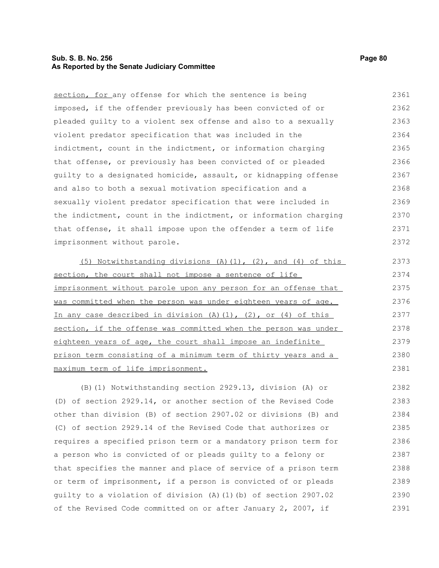## **Sub. S. B. No. 256 Page 80 As Reported by the Senate Judiciary Committee**

| section, for any offense for which the sentence is being                 | 2361 |
|--------------------------------------------------------------------------|------|
| imposed, if the offender previously has been convicted of or             | 2362 |
| pleaded quilty to a violent sex offense and also to a sexually           | 2363 |
| violent predator specification that was included in the                  | 2364 |
| indictment, count in the indictment, or information charging             | 2365 |
| that offense, or previously has been convicted of or pleaded             | 2366 |
| quilty to a designated homicide, assault, or kidnapping offense          | 2367 |
| and also to both a sexual motivation specification and a                 | 2368 |
| sexually violent predator specification that were included in            | 2369 |
| the indictment, count in the indictment, or information charging         | 2370 |
| that offense, it shall impose upon the offender a term of life           | 2371 |
| imprisonment without parole.                                             | 2372 |
| (5) Notwithstanding divisions $(A)$ $(1)$ , $(2)$ , and $(4)$ of this    | 2373 |
| section, the court shall not impose a sentence of life                   | 2374 |
| imprisonment without parole upon any person for an offense that          | 2375 |
| was committed when the person was under eighteen years of age.           | 2376 |
| In any case described in division $(A)$ $(1)$ , $(2)$ , or $(4)$ of this | 2377 |
| section, if the offense was committed when the person was under          | 2378 |
| eighteen years of age, the court shall impose an indefinite              | 2379 |
| prison term consisting of a minimum term of thirty years and a           | 2380 |
| maximum term of life imprisonment.                                       | 2381 |

(B)(1) Notwithstanding section 2929.13, division (A) or (D) of section 2929.14, or another section of the Revised Code other than division (B) of section 2907.02 or divisions (B) and (C) of section 2929.14 of the Revised Code that authorizes or requires a specified prison term or a mandatory prison term for a person who is convicted of or pleads guilty to a felony or that specifies the manner and place of service of a prison term or term of imprisonment, if a person is convicted of or pleads guilty to a violation of division (A)(1)(b) of section 2907.02 of the Revised Code committed on or after January 2, 2007, if 2382 2383 2384 2385 2386 2387 2388 2389 2390 2391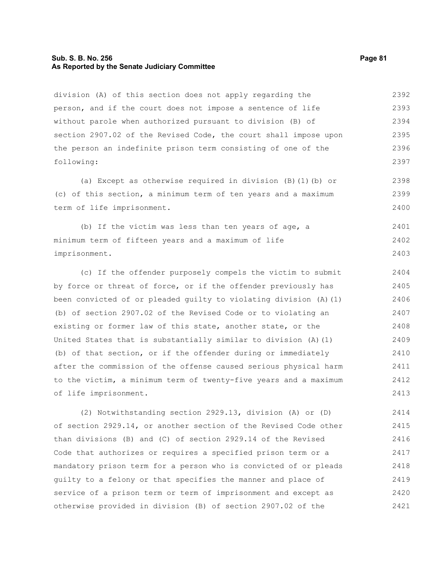## **Sub. S. B. No. 256 Page 81 As Reported by the Senate Judiciary Committee**

division (A) of this section does not apply regarding the person, and if the court does not impose a sentence of life without parole when authorized pursuant to division (B) of section 2907.02 of the Revised Code, the court shall impose upon the person an indefinite prison term consisting of one of the following: 2392 2393 2394 2395 2396 2397

(a) Except as otherwise required in division (B)(1)(b) or (c) of this section, a minimum term of ten years and a maximum term of life imprisonment. 2398 2399 2400

(b) If the victim was less than ten years of age, a minimum term of fifteen years and a maximum of life imprisonment. 2401 2402 2403

(c) If the offender purposely compels the victim to submit by force or threat of force, or if the offender previously has been convicted of or pleaded guilty to violating division (A)(1) (b) of section 2907.02 of the Revised Code or to violating an existing or former law of this state, another state, or the United States that is substantially similar to division (A)(1) (b) of that section, or if the offender during or immediately after the commission of the offense caused serious physical harm to the victim, a minimum term of twenty-five years and a maximum of life imprisonment. 2404 2405 2406 2407 2408 2409 2410 2411 2412 2413

(2) Notwithstanding section 2929.13, division (A) or (D) of section 2929.14, or another section of the Revised Code other than divisions (B) and (C) of section 2929.14 of the Revised Code that authorizes or requires a specified prison term or a mandatory prison term for a person who is convicted of or pleads guilty to a felony or that specifies the manner and place of service of a prison term or term of imprisonment and except as otherwise provided in division (B) of section 2907.02 of the 2414 2415 2416 2417 2418 2419 2420 2421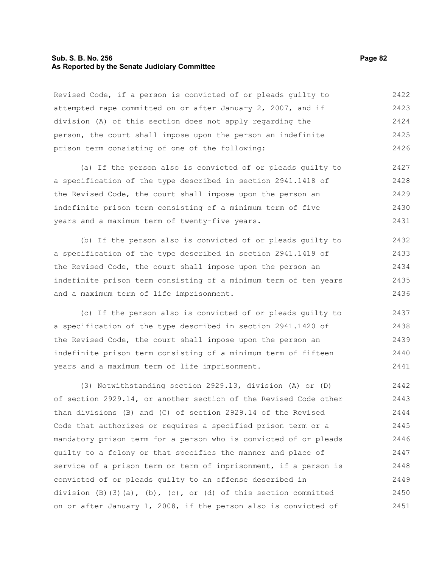#### **Sub. S. B. No. 256 Page 82 As Reported by the Senate Judiciary Committee**

Revised Code, if a person is convicted of or pleads guilty to attempted rape committed on or after January 2, 2007, and if division (A) of this section does not apply regarding the person, the court shall impose upon the person an indefinite prison term consisting of one of the following: 2422 2423 2424 2425 2426

(a) If the person also is convicted of or pleads guilty to a specification of the type described in section 2941.1418 of the Revised Code, the court shall impose upon the person an indefinite prison term consisting of a minimum term of five years and a maximum term of twenty-five years. 2427 2428 2429 2430 2431

(b) If the person also is convicted of or pleads guilty to a specification of the type described in section 2941.1419 of the Revised Code, the court shall impose upon the person an indefinite prison term consisting of a minimum term of ten years and a maximum term of life imprisonment. 2432 2433 2434 2435 2436

(c) If the person also is convicted of or pleads guilty to a specification of the type described in section 2941.1420 of the Revised Code, the court shall impose upon the person an indefinite prison term consisting of a minimum term of fifteen years and a maximum term of life imprisonment. 2437 2438 2439 2440 2441

(3) Notwithstanding section 2929.13, division (A) or (D) of section 2929.14, or another section of the Revised Code other than divisions (B) and (C) of section 2929.14 of the Revised Code that authorizes or requires a specified prison term or a mandatory prison term for a person who is convicted of or pleads guilty to a felony or that specifies the manner and place of service of a prison term or term of imprisonment, if a person is convicted of or pleads guilty to an offense described in division (B)(3)(a), (b), (c), or (d) of this section committed on or after January 1, 2008, if the person also is convicted of 2442 2443 2444 2445 2446 2447 2448 2449 2450 2451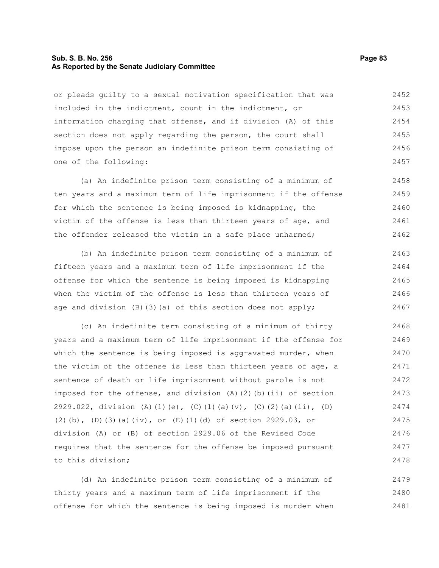## **Sub. S. B. No. 256 Page 83 As Reported by the Senate Judiciary Committee**

or pleads guilty to a sexual motivation specification that was included in the indictment, count in the indictment, or information charging that offense, and if division (A) of this section does not apply regarding the person, the court shall impose upon the person an indefinite prison term consisting of one of the following: 2452 2453 2454 2455 2456 2457

(a) An indefinite prison term consisting of a minimum of ten years and a maximum term of life imprisonment if the offense for which the sentence is being imposed is kidnapping, the victim of the offense is less than thirteen years of age, and the offender released the victim in a safe place unharmed; 2458 2459 2460 2461 2462

(b) An indefinite prison term consisting of a minimum of fifteen years and a maximum term of life imprisonment if the offense for which the sentence is being imposed is kidnapping when the victim of the offense is less than thirteen years of age and division  $(B)$   $(3)$   $(a)$  of this section does not apply; 2463 2464 2465 2466 2467

(c) An indefinite term consisting of a minimum of thirty years and a maximum term of life imprisonment if the offense for which the sentence is being imposed is aggravated murder, when the victim of the offense is less than thirteen years of age, a sentence of death or life imprisonment without parole is not imposed for the offense, and division  $(A)$   $(2)$   $(b)$   $(ii)$  of section 2929.022, division (A)(1)(e), (C)(1)(a)(v), (C)(2)(a)(ii), (D) (2)(b), (D)(3)(a)(iv), or (E)(1)(d) of section 2929.03, or division (A) or (B) of section 2929.06 of the Revised Code requires that the sentence for the offense be imposed pursuant to this division; 2468 2469 2470 2471 2472 2473 2474 2475 2476 2477 2478

(d) An indefinite prison term consisting of a minimum of thirty years and a maximum term of life imprisonment if the offense for which the sentence is being imposed is murder when 2479 2480 2481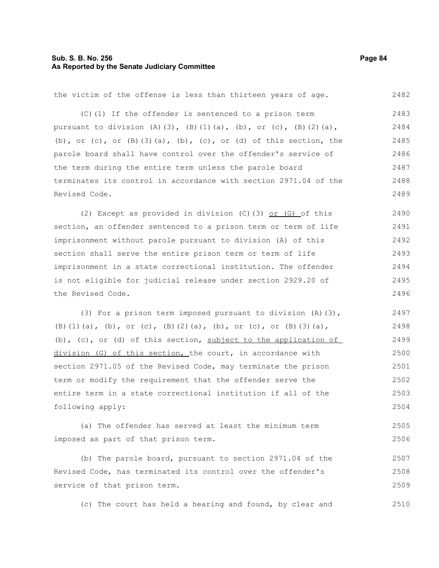# **Sub. S. B. No. 256 Page 84 As Reported by the Senate Judiciary Committee**

service of that prison term.

| the victim of the offense is less than thirteen years of age.                                        | 2482 |
|------------------------------------------------------------------------------------------------------|------|
| (C)(1) If the offender is sentenced to a prison term                                                 | 2483 |
| pursuant to division (A)(3), (B)(1)(a), (b), or (c), (B)(2)(a),                                      | 2484 |
| (b), or (c), or $(B)(3)(a)$ , (b), (c), or (d) of this section, the                                  | 2485 |
| parole board shall have control over the offender's service of                                       | 2486 |
| the term during the entire term unless the parole board                                              | 2487 |
| terminates its control in accordance with section 2971.04 of the                                     | 2488 |
| Revised Code.                                                                                        | 2489 |
| (2) Except as provided in division (C) (3) $or$ (G) of this                                          | 2490 |
| section, an offender sentenced to a prison term or term of life                                      | 2491 |
| imprisonment without parole pursuant to division (A) of this                                         | 2492 |
| section shall serve the entire prison term or term of life                                           | 2493 |
| imprisonment in a state correctional institution. The offender                                       | 2494 |
| is not eligible for judicial release under section 2929.20 of                                        | 2495 |
| the Revised Code.                                                                                    | 2496 |
| (3) For a prison term imposed pursuant to division $(A)$ (3),                                        | 2497 |
| $(B)$ $(1)$ $(a)$ , $(b)$ , or $(c)$ , $(B)$ $(2)$ $(a)$ , $(b)$ , or $(c)$ , or $(B)$ $(3)$ $(a)$ , | 2498 |
| (b), (c), or (d) of this section, subject to the application of                                      | 2499 |
| division (G) of this section, the court, in accordance with                                          | 2500 |
| section 2971.05 of the Revised Code, may terminate the prison                                        | 2501 |
| term or modify the requirement that the offender serve the                                           | 2502 |
| entire term in a state correctional institution if all of the                                        | 2503 |
| following apply:                                                                                     | 2504 |
| (a) The offender has served at least the minimum term                                                | 2505 |
| imposed as part of that prison term.                                                                 | 2506 |
| (b) The parole board, pursuant to section 2971.04 of the                                             | 2507 |
| Revised Code, has terminated its control over the offender's                                         | 2508 |

(c) The court has held a hearing and found, by clear and 2510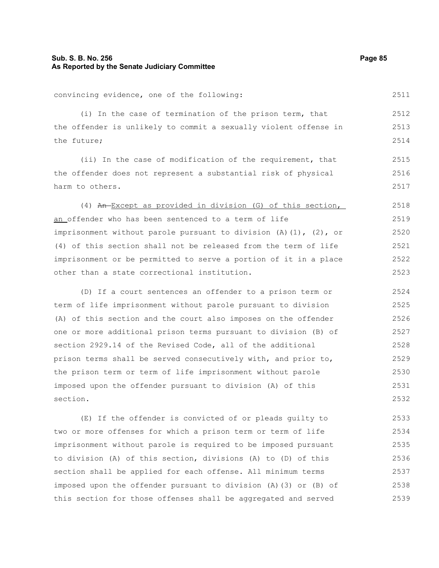# **Sub. S. B. No. 256 Page 85 As Reported by the Senate Judiciary Committee**

convincing evidence, one of the following: (i) In the case of termination of the prison term, that the offender is unlikely to commit a sexually violent offense in the future; (ii) In the case of modification of the requirement, that the offender does not represent a substantial risk of physical harm to others. (4) An Except as provided in division (G) of this section, an offender who has been sentenced to a term of life imprisonment without parole pursuant to division  $(A)$   $(1)$ ,  $(2)$ , or (4) of this section shall not be released from the term of life 2512 2513 2514 2515 2516 2517 2518 2519 2520 2521

(D) If a court sentences an offender to a prison term or term of life imprisonment without parole pursuant to division (A) of this section and the court also imposes on the offender one or more additional prison terms pursuant to division (B) of section 2929.14 of the Revised Code, all of the additional prison terms shall be served consecutively with, and prior to, the prison term or term of life imprisonment without parole imposed upon the offender pursuant to division (A) of this section. 2524 2525 2526 2527 2528 2529 2530 2531 2532

imprisonment or be permitted to serve a portion of it in a place

other than a state correctional institution.

(E) If the offender is convicted of or pleads guilty to two or more offenses for which a prison term or term of life imprisonment without parole is required to be imposed pursuant to division (A) of this section, divisions (A) to (D) of this section shall be applied for each offense. All minimum terms imposed upon the offender pursuant to division (A)(3) or (B) of this section for those offenses shall be aggregated and served 2533 2534 2535 2536 2537 2538 2539

2511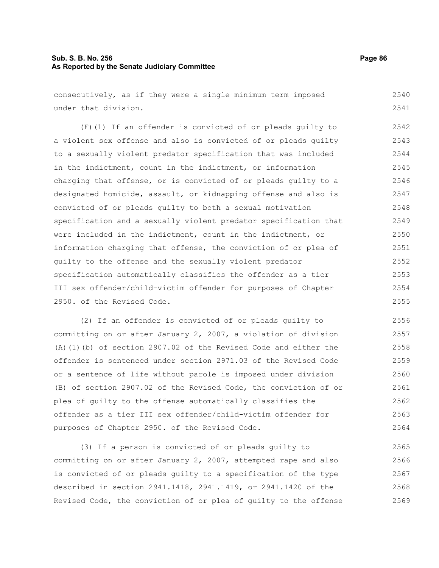## **Sub. S. B. No. 256 Page 86 As Reported by the Senate Judiciary Committee**

consecutively, as if they were a single minimum term imposed under that division. 2540 2541

(F)(1) If an offender is convicted of or pleads guilty to a violent sex offense and also is convicted of or pleads guilty to a sexually violent predator specification that was included in the indictment, count in the indictment, or information charging that offense, or is convicted of or pleads guilty to a designated homicide, assault, or kidnapping offense and also is convicted of or pleads guilty to both a sexual motivation specification and a sexually violent predator specification that were included in the indictment, count in the indictment, or information charging that offense, the conviction of or plea of guilty to the offense and the sexually violent predator specification automatically classifies the offender as a tier III sex offender/child-victim offender for purposes of Chapter 2950. of the Revised Code. 2542 2543 2544 2545 2546 2547 2548 2549 2550 2551 2552 2553 2554 2555

(2) If an offender is convicted of or pleads guilty to committing on or after January 2, 2007, a violation of division (A)(1)(b) of section 2907.02 of the Revised Code and either the offender is sentenced under section 2971.03 of the Revised Code or a sentence of life without parole is imposed under division (B) of section 2907.02 of the Revised Code, the conviction of or plea of guilty to the offense automatically classifies the offender as a tier III sex offender/child-victim offender for purposes of Chapter 2950. of the Revised Code. 2556 2557 2558 2559 2560 2561 2562 2563 2564

(3) If a person is convicted of or pleads guilty to committing on or after January 2, 2007, attempted rape and also is convicted of or pleads guilty to a specification of the type described in section 2941.1418, 2941.1419, or 2941.1420 of the Revised Code, the conviction of or plea of guilty to the offense 2565 2566 2567 2568 2569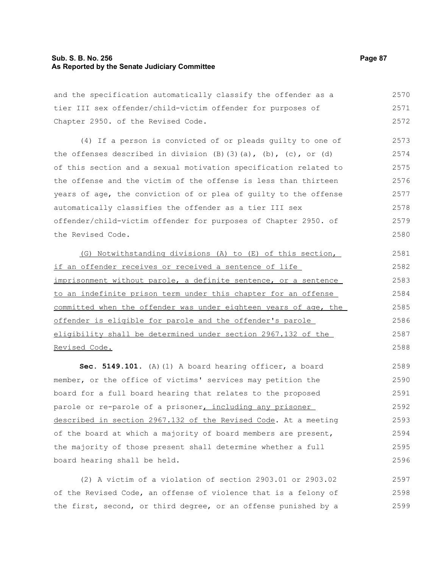#### **Sub. S. B. No. 256 Page 87 As Reported by the Senate Judiciary Committee**

and the specification automatically classify the offender as a tier III sex offender/child-victim offender for purposes of Chapter 2950. of the Revised Code. 2570 2571 2572

(4) If a person is convicted of or pleads guilty to one of the offenses described in division  $(B)$   $(3)$   $(a)$ ,  $(b)$ ,  $(c)$ , or  $(d)$ of this section and a sexual motivation specification related to the offense and the victim of the offense is less than thirteen years of age, the conviction of or plea of guilty to the offense automatically classifies the offender as a tier III sex offender/child-victim offender for purposes of Chapter 2950. of the Revised Code. 2573 2574 2575 2576 2577 2578 2579 2580

(G) Notwithstanding divisions (A) to (E) of this section, if an offender receives or received a sentence of life imprisonment without parole, a definite sentence, or a sentence to an indefinite prison term under this chapter for an offense committed when the offender was under eighteen years of age, the offender is eligible for parole and the offender's parole eligibility shall be determined under section 2967.132 of the Revised Code. 2581 2582 2583 2584 2585 2586 2587 2588

**Sec. 5149.101.** (A)(1) A board hearing officer, a board member, or the office of victims' services may petition the board for a full board hearing that relates to the proposed parole or re-parole of a prisoner, including any prisoner described in section 2967.132 of the Revised Code. At a meeting of the board at which a majority of board members are present, the majority of those present shall determine whether a full board hearing shall be held. 2589 2590 2591 2592 2593 2594 2595 2596

(2) A victim of a violation of section 2903.01 or 2903.02 of the Revised Code, an offense of violence that is a felony of the first, second, or third degree, or an offense punished by a 2597 2598 2599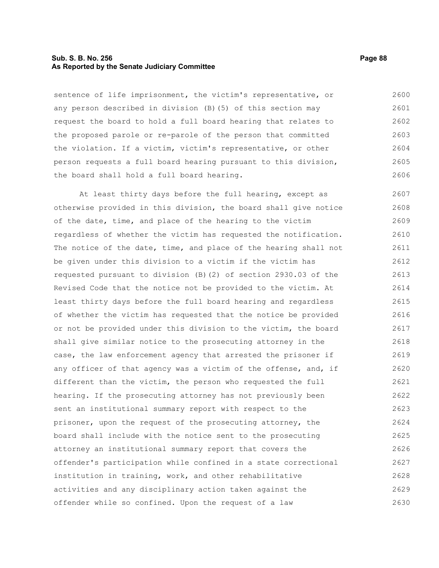## **Sub. S. B. No. 256 Page 88 As Reported by the Senate Judiciary Committee**

sentence of life imprisonment, the victim's representative, or any person described in division (B)(5) of this section may request the board to hold a full board hearing that relates to the proposed parole or re-parole of the person that committed the violation. If a victim, victim's representative, or other person requests a full board hearing pursuant to this division, the board shall hold a full board hearing. 2600 2601 2602 2603 2604 2605 2606

At least thirty days before the full hearing, except as otherwise provided in this division, the board shall give notice of the date, time, and place of the hearing to the victim regardless of whether the victim has requested the notification. The notice of the date, time, and place of the hearing shall not be given under this division to a victim if the victim has requested pursuant to division (B)(2) of section 2930.03 of the Revised Code that the notice not be provided to the victim. At least thirty days before the full board hearing and regardless of whether the victim has requested that the notice be provided or not be provided under this division to the victim, the board shall give similar notice to the prosecuting attorney in the case, the law enforcement agency that arrested the prisoner if any officer of that agency was a victim of the offense, and, if different than the victim, the person who requested the full hearing. If the prosecuting attorney has not previously been sent an institutional summary report with respect to the prisoner, upon the request of the prosecuting attorney, the board shall include with the notice sent to the prosecuting attorney an institutional summary report that covers the offender's participation while confined in a state correctional institution in training, work, and other rehabilitative activities and any disciplinary action taken against the offender while so confined. Upon the request of a law 2607 2608 2609 2610 2611 2612 2613 2614 2615 2616 2617 2618 2619 2620 2621 2622 2623 2624 2625 2626 2627 2628 2629 2630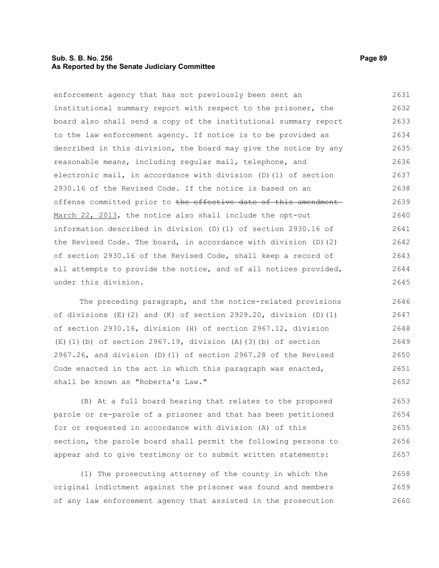## **Sub. S. B. No. 256 Page 89 As Reported by the Senate Judiciary Committee**

enforcement agency that has not previously been sent an institutional summary report with respect to the prisoner, the board also shall send a copy of the institutional summary report to the law enforcement agency. If notice is to be provided as described in this division, the board may give the notice by any reasonable means, including regular mail, telephone, and electronic mail, in accordance with division (D)(1) of section 2930.16 of the Revised Code. If the notice is based on an offense committed prior to the effective date of this amendment-March 22, 2013, the notice also shall include the opt-out information described in division (D)(1) of section 2930.16 of the Revised Code. The board, in accordance with division (D)(2) of section 2930.16 of the Revised Code, shall keep a record of all attempts to provide the notice, and of all notices provided, under this division. 2631 2632 2633 2634 2635 2636 2637 2638 2639 2640 2641 2642 2643 2644 2645

The preceding paragraph, and the notice-related provisions of divisions  $(E)$  (2) and  $(K)$  of section 2929.20, division (D)(1) of section 2930.16, division (H) of section 2967.12, division  $(E)$ (1)(b) of section 2967.19, division (A)(3)(b) of section 2967.26, and division (D)(1) of section 2967.28 of the Revised Code enacted in the act in which this paragraph was enacted, shall be known as "Roberta's Law." 2646 2647 2648 2649 2650 2651 2652

(B) At a full board hearing that relates to the proposed parole or re-parole of a prisoner and that has been petitioned for or requested in accordance with division (A) of this section, the parole board shall permit the following persons to appear and to give testimony or to submit written statements:

(1) The prosecuting attorney of the county in which the original indictment against the prisoner was found and members of any law enforcement agency that assisted in the prosecution 2658 2659 2660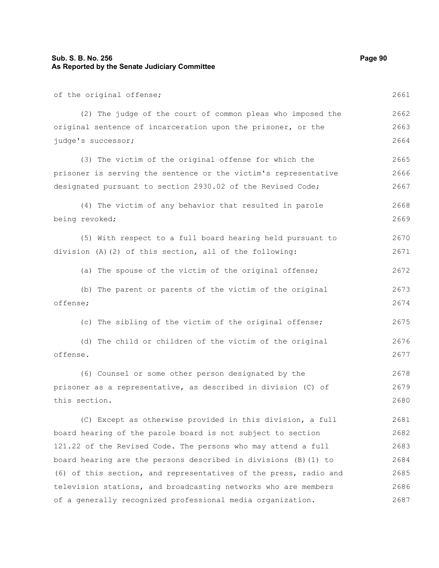#### **Sub. S. B. No. 256 Page 90 As Reported by the Senate Judiciary Committee**

of the original offense; (2) The judge of the court of common pleas who imposed the original sentence of incarceration upon the prisoner, or the judge's successor; (3) The victim of the original offense for which the prisoner is serving the sentence or the victim's representative designated pursuant to section 2930.02 of the Revised Code; (4) The victim of any behavior that resulted in parole being revoked; (5) With respect to a full board hearing held pursuant to division (A)(2) of this section, all of the following: (a) The spouse of the victim of the original offense; (b) The parent or parents of the victim of the original offense; (c) The sibling of the victim of the original offense; (d) The child or children of the victim of the original offense. (6) Counsel or some other person designated by the prisoner as a representative, as described in division (C) of this section. (C) Except as otherwise provided in this division, a full board hearing of the parole board is not subject to section 121.22 of the Revised Code. The persons who may attend a full 2661 2662 2663 2664 2665 2666 2667 2668 2669 2670 2671 2672 2673 2674 2675 2676 2677 2678 2679 2680 2681 2682 2683

board hearing are the persons described in divisions (B)(1) to (6) of this section, and representatives of the press, radio and television stations, and broadcasting networks who are members of a generally recognized professional media organization. 2684 2685 2686 2687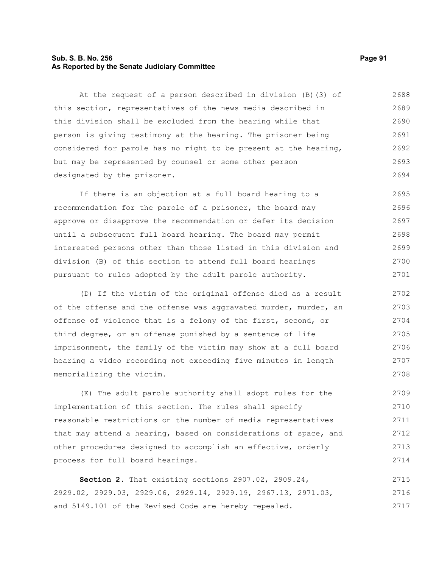## **Sub. S. B. No. 256 Page 91 As Reported by the Senate Judiciary Committee**

At the request of a person described in division (B)(3) of this section, representatives of the news media described in this division shall be excluded from the hearing while that person is giving testimony at the hearing. The prisoner being considered for parole has no right to be present at the hearing, but may be represented by counsel or some other person designated by the prisoner. 2688 2689 2690 2691 2692 2693 2694

If there is an objection at a full board hearing to a recommendation for the parole of a prisoner, the board may approve or disapprove the recommendation or defer its decision until a subsequent full board hearing. The board may permit interested persons other than those listed in this division and division (B) of this section to attend full board hearings pursuant to rules adopted by the adult parole authority. 2695 2696 2697 2698 2699 2700 2701

(D) If the victim of the original offense died as a result of the offense and the offense was aggravated murder, murder, an offense of violence that is a felony of the first, second, or third degree, or an offense punished by a sentence of life imprisonment, the family of the victim may show at a full board hearing a video recording not exceeding five minutes in length memorializing the victim. 2702 2703 2704 2705 2706 2707 2708

(E) The adult parole authority shall adopt rules for the implementation of this section. The rules shall specify reasonable restrictions on the number of media representatives that may attend a hearing, based on considerations of space, and other procedures designed to accomplish an effective, orderly process for full board hearings. 2709 2710 2711 2712 2713 2714

**Section 2.** That existing sections 2907.02, 2909.24, 2929.02, 2929.03, 2929.06, 2929.14, 2929.19, 2967.13, 2971.03, and 5149.101 of the Revised Code are hereby repealed. 2715 2716 2717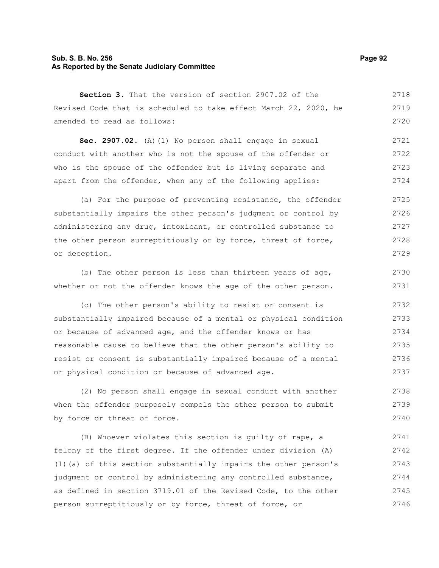## **Sub. S. B. No. 256 Page 92 As Reported by the Senate Judiciary Committee**

**Section 3.** That the version of section 2907.02 of the Revised Code that is scheduled to take effect March 22, 2020, be amended to read as follows: 2718 2719 2720

**Sec. 2907.02.** (A)(1) No person shall engage in sexual conduct with another who is not the spouse of the offender or who is the spouse of the offender but is living separate and apart from the offender, when any of the following applies: 2721 2722 2723 2724

(a) For the purpose of preventing resistance, the offender substantially impairs the other person's judgment or control by administering any drug, intoxicant, or controlled substance to the other person surreptitiously or by force, threat of force, or deception. 2725 2726 2727 2728 2729

(b) The other person is less than thirteen years of age, whether or not the offender knows the age of the other person. 2730 2731

(c) The other person's ability to resist or consent is substantially impaired because of a mental or physical condition or because of advanced age, and the offender knows or has reasonable cause to believe that the other person's ability to resist or consent is substantially impaired because of a mental or physical condition or because of advanced age. 2732 2733 2734 2735 2736 2737

(2) No person shall engage in sexual conduct with another when the offender purposely compels the other person to submit by force or threat of force. 2738 2739 2740

(B) Whoever violates this section is guilty of rape, a felony of the first degree. If the offender under division (A) (1)(a) of this section substantially impairs the other person's judgment or control by administering any controlled substance, as defined in section 3719.01 of the Revised Code, to the other person surreptitiously or by force, threat of force, or 2741 2742 2743 2744 2745 2746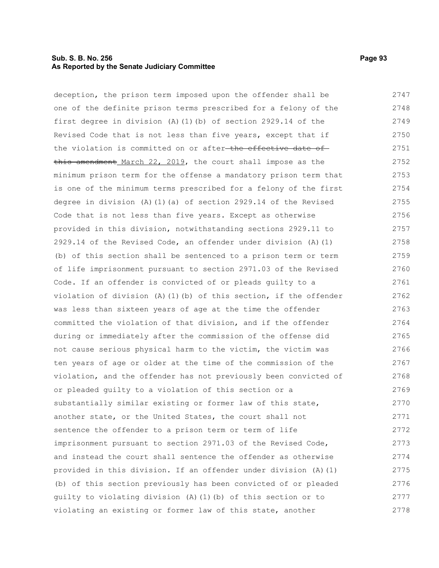## **Sub. S. B. No. 256 Page 93 As Reported by the Senate Judiciary Committee**

deception, the prison term imposed upon the offender shall be one of the definite prison terms prescribed for a felony of the first degree in division (A)(1)(b) of section 2929.14 of the Revised Code that is not less than five years, except that if the violation is committed on or after-the effective date ofthis amendment March 22, 2019, the court shall impose as the minimum prison term for the offense a mandatory prison term that is one of the minimum terms prescribed for a felony of the first degree in division (A)(1)(a) of section 2929.14 of the Revised Code that is not less than five years. Except as otherwise provided in this division, notwithstanding sections 2929.11 to 2929.14 of the Revised Code, an offender under division  $(A)$  (1) (b) of this section shall be sentenced to a prison term or term of life imprisonment pursuant to section 2971.03 of the Revised Code. If an offender is convicted of or pleads guilty to a violation of division  $(A)$   $(1)$   $(b)$  of this section, if the offender was less than sixteen years of age at the time the offender committed the violation of that division, and if the offender during or immediately after the commission of the offense did not cause serious physical harm to the victim, the victim was ten years of age or older at the time of the commission of the violation, and the offender has not previously been convicted of or pleaded guilty to a violation of this section or a substantially similar existing or former law of this state, another state, or the United States, the court shall not sentence the offender to a prison term or term of life imprisonment pursuant to section 2971.03 of the Revised Code, and instead the court shall sentence the offender as otherwise provided in this division. If an offender under division (A)(1) (b) of this section previously has been convicted of or pleaded guilty to violating division (A)(1)(b) of this section or to violating an existing or former law of this state, another 2747 2748 2749 2750 2751 2752 2753 2754 2755 2756 2757 2758 2759 2760 2761 2762 2763 2764 2765 2766 2767 2768 2769 2770 2771 2772 2773 2774 2775 2776 2777 2778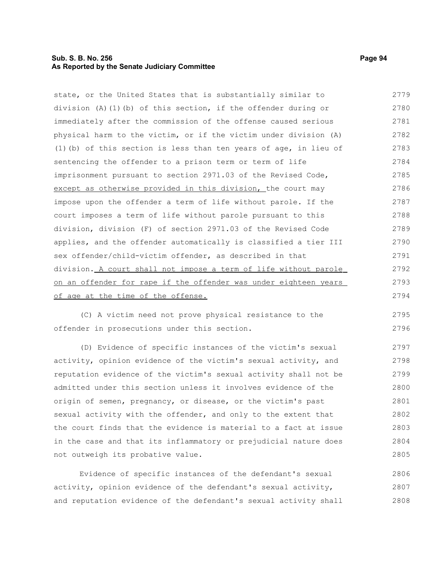#### **Sub. S. B. No. 256 Page 94 As Reported by the Senate Judiciary Committee**

state, or the United States that is substantially similar to division (A)(1)(b) of this section, if the offender during or immediately after the commission of the offense caused serious physical harm to the victim, or if the victim under division (A) (1)(b) of this section is less than ten years of age, in lieu of sentencing the offender to a prison term or term of life imprisonment pursuant to section 2971.03 of the Revised Code, except as otherwise provided in this division, the court may impose upon the offender a term of life without parole. If the court imposes a term of life without parole pursuant to this division, division (F) of section 2971.03 of the Revised Code applies, and the offender automatically is classified a tier III sex offender/child-victim offender, as described in that division. A court shall not impose a term of life without parole on an offender for rape if the offender was under eighteen years of age at the time of the offense. 2779 2780 2781 2782 2783 2784 2785 2786 2787 2788 2789 2790 2791 2792 2793 2794

(C) A victim need not prove physical resistance to the offender in prosecutions under this section.

(D) Evidence of specific instances of the victim's sexual activity, opinion evidence of the victim's sexual activity, and reputation evidence of the victim's sexual activity shall not be admitted under this section unless it involves evidence of the origin of semen, pregnancy, or disease, or the victim's past sexual activity with the offender, and only to the extent that the court finds that the evidence is material to a fact at issue in the case and that its inflammatory or prejudicial nature does not outweigh its probative value. 2797 2798 2799 2800 2801 2802 2803 2804 2805

Evidence of specific instances of the defendant's sexual activity, opinion evidence of the defendant's sexual activity, and reputation evidence of the defendant's sexual activity shall 2806 2807 2808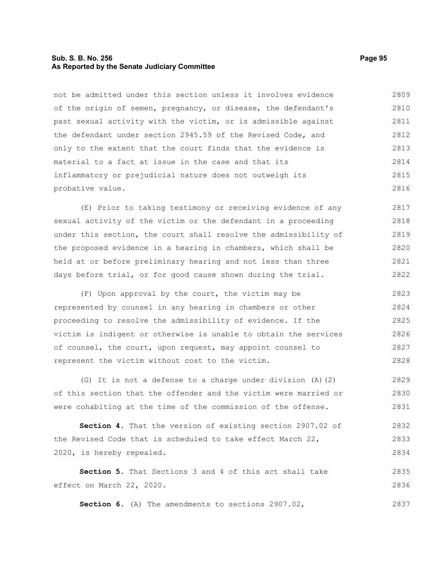## **Sub. S. B. No. 256 Page 95 As Reported by the Senate Judiciary Committee**

not be admitted under this section unless it involves evidence of the origin of semen, pregnancy, or disease, the defendant's past sexual activity with the victim, or is admissible against the defendant under section 2945.59 of the Revised Code, and only to the extent that the court finds that the evidence is material to a fact at issue in the case and that its inflammatory or prejudicial nature does not outweigh its probative value. 2809 2810 2811 2812 2813 2814 2815 2816

(E) Prior to taking testimony or receiving evidence of any sexual activity of the victim or the defendant in a proceeding under this section, the court shall resolve the admissibility of the proposed evidence in a hearing in chambers, which shall be held at or before preliminary hearing and not less than three days before trial, or for good cause shown during the trial. 2817 2818 2819 2820 2821 2822

(F) Upon approval by the court, the victim may be represented by counsel in any hearing in chambers or other proceeding to resolve the admissibility of evidence. If the victim is indigent or otherwise is unable to obtain the services of counsel, the court, upon request, may appoint counsel to represent the victim without cost to the victim. 2823 2824 2825 2826 2827 2828

(G) It is not a defense to a charge under division (A)(2) of this section that the offender and the victim were married or were cohabiting at the time of the commission of the offense. 2829 2830 2831

**Section 4.** That the version of existing section 2907.02 of the Revised Code that is scheduled to take effect March 22, 2020, is hereby repealed. 2832 2833 2834

**Section 5.** That Sections 3 and 4 of this act shall take effect on March 22, 2020. 2835 2836

**Section 6.** (A) The amendments to sections 2907.02, 2837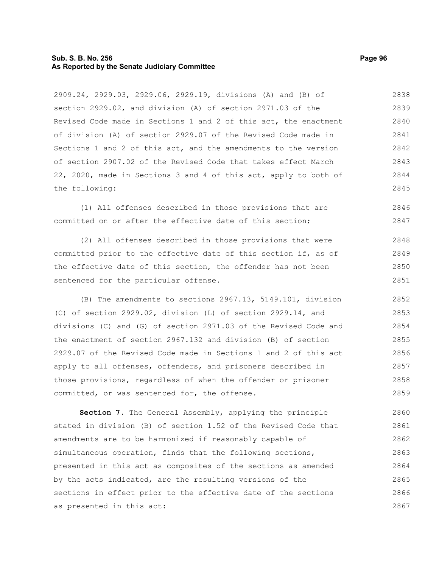#### **Sub. S. B. No. 256 Page 96 As Reported by the Senate Judiciary Committee**

2909.24, 2929.03, 2929.06, 2929.19, divisions (A) and (B) of section 2929.02, and division (A) of section 2971.03 of the Revised Code made in Sections 1 and 2 of this act, the enactment of division (A) of section 2929.07 of the Revised Code made in Sections 1 and 2 of this act, and the amendments to the version of section 2907.02 of the Revised Code that takes effect March 22, 2020, made in Sections 3 and 4 of this act, apply to both of the following: 2838 2839 2840 2841 2842 2843 2844 2845

(1) All offenses described in those provisions that are committed on or after the effective date of this section; 2846 2847

(2) All offenses described in those provisions that were committed prior to the effective date of this section if, as of the effective date of this section, the offender has not been sentenced for the particular offense. 2848 2849 2850 2851

(B) The amendments to sections 2967.13, 5149.101, division (C) of section 2929.02, division (L) of section 2929.14, and divisions (C) and (G) of section 2971.03 of the Revised Code and the enactment of section 2967.132 and division (B) of section 2929.07 of the Revised Code made in Sections 1 and 2 of this act apply to all offenses, offenders, and prisoners described in those provisions, regardless of when the offender or prisoner committed, or was sentenced for, the offense. 2852 2853 2854 2855 2856 2857 2858 2859

**Section 7.** The General Assembly, applying the principle stated in division (B) of section 1.52 of the Revised Code that amendments are to be harmonized if reasonably capable of simultaneous operation, finds that the following sections, presented in this act as composites of the sections as amended by the acts indicated, are the resulting versions of the sections in effect prior to the effective date of the sections as presented in this act: 2860 2861 2862 2863 2864 2865 2866 2867